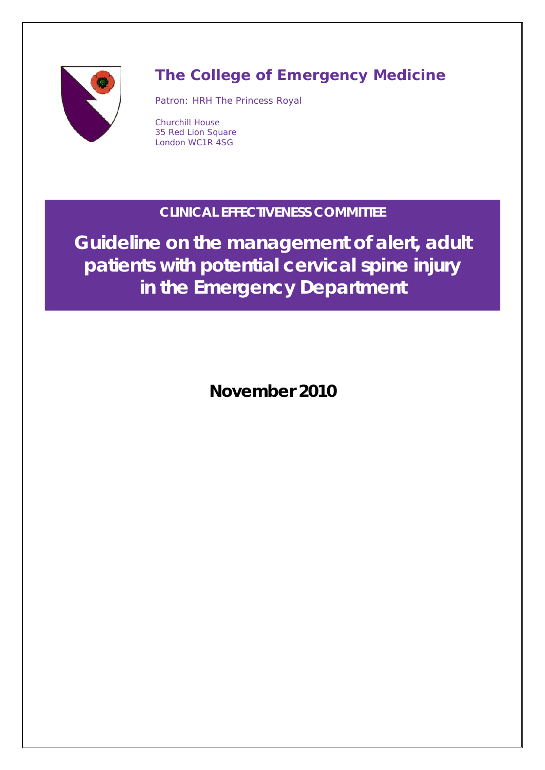

# **The College of Emergency Medicine**

Patron: HRH The Princess Royal

Churchill House 35 Red Lion Square London WC1R 4SG

## **CLINICAL EFFECTIVENESS COMMITTEE**

**Guideline on the management of alert, adult patients with potential cervical spine injury in the Emergency Department**

**November 2010**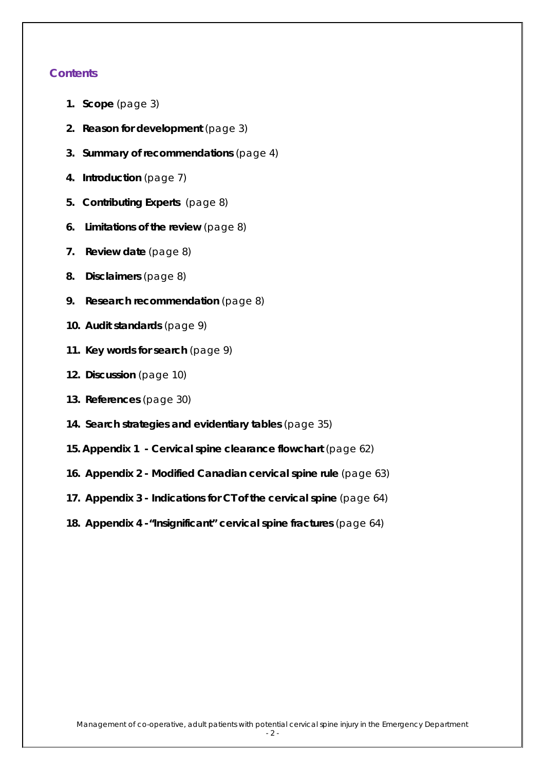### **Contents**

- **1. Scope** (page 3)
- **2. Reason for development** (page 3)
- **3. Summary of recommendations** (page 4)
- **4. Introduction** (page 7)
- **5. Contributing Experts** (page 8)
- **6. Limitations of the review** (page 8)
- **7. Review date** (page 8)
- **8. Disclaimers** (page 8)
- **9. Research recommendation** (page 8)
- **10. Audit standards** (page 9)
- **11. Key words for search** (page 9)
- **12. Discussion** (page 10)
- **13. References** (page 30)
- **14. Search strategies and evidentiary tables** (page 35)
- **15. Appendix 1 - Cervical spine clearance flowchart** (page 62)
- **16. Appendix 2 - Modified Canadian cervical spine rule** (page 63)
- **17. Appendix 3 - Indications for CT of the cervical spine** (page 64)
- **18. Appendix 4 -"Insignificant" cervical spine fractures** (page 64)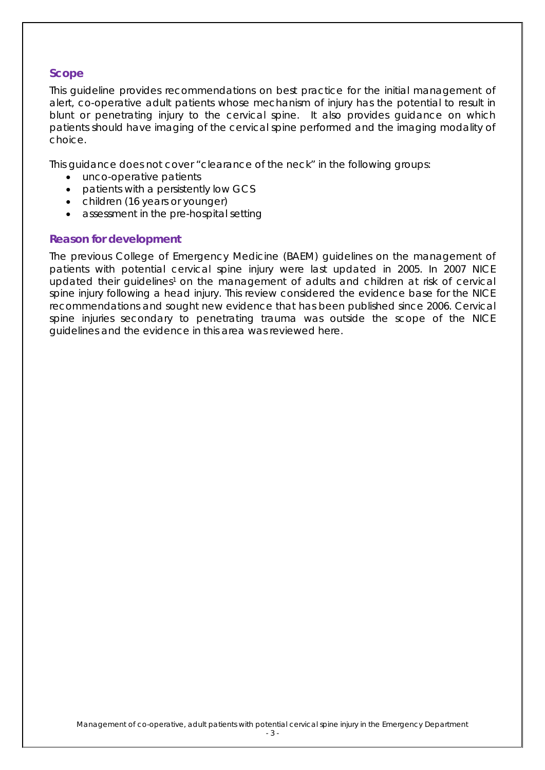### **Scope**

This guideline provides recommendations on best practice for the initial management of alert, co-operative adult patients whose mechanism of injury has the potential to result in blunt or penetrating injury to the cervical spine. It also provides guidance on which patients should have imaging of the cervical spine performed and the imaging modality of choice.

This guidance does not cover "clearance of the neck" in the following groups:

- unco-operative patients
- patients with a persistently low GCS
- children (16 years or younger)
- assessment in the pre-hospital setting

#### **Reason for development**

The previous College of Emergency Medicine (BAEM) guidelines on the management of patients with potential cervical spine injury were last updated in 2005. In 2007 NICE updated their guidelines<sup>1</sup> on the management of adults and children at risk of cervical spine injury following a head injury. This review considered the evidence base for the NICE recommendations and sought new evidence that has been published since 2006. Cervical spine injuries secondary to penetrating trauma was outside the scope of the NICE guidelines and the evidence in this area was reviewed here.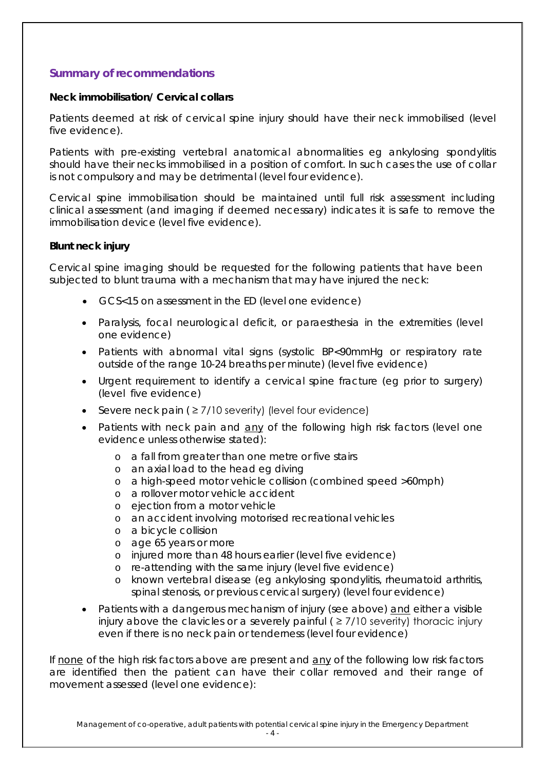### **Summary of recommendations**

#### **Neck immobilisation/ Cervical collars**

Patients deemed at risk of cervical spine injury should have their neck immobilised (level five evidence).

Patients with pre-existing vertebral anatomical abnormalities eg ankylosing spondylitis should have their necks immobilised in a position of comfort. In such cases the use of collar is not compulsory and may be detrimental (level four evidence).

Cervical spine immobilisation should be maintained until full risk assessment including clinical assessment (and imaging if deemed necessary) indicates it is safe to remove the immobilisation device (level five evidence).

### **Blunt neck injury**

Cervical spine imaging should be requested for the following patients that have been subjected to blunt trauma with a mechanism that may have injured the neck:

- GCS<15 on assessment in the ED (level one evidence)
- Paralysis, focal neurological deficit, or paraesthesia in the extremities (level one evidence)
- Patients with abnormal vital signs (systolic BP<90mmHg or respiratory rate outside of the range 10-24 breaths per minute) (level five evidence)
- Urgent requirement to identify a cervical spine fracture (eg prior to surgery) (level five evidence)
- Severe neck pain ( $\geq$  7/10 severity) (level four evidence)
- Patients with neck pain and any of the following high risk factors (level one evidence unless otherwise stated):
	- o a fall from greater than one metre or five stairs
	- o an axial load to the head eg diving
	- o a high-speed motor vehicle collision (combined speed >60mph)
	- o a rollover motor vehicle accident
	- o ejection from a motor vehicle
	- o an accident involving motorised recreational vehicles
	- o a bicycle collision
	- o age 65 years or more
	- o injured more than 48 hours earlier (level five evidence)
	- o re-attending with the same injury (level five evidence)
	- o known vertebral disease (eg ankylosing spondylitis, rheumatoid arthritis, spinal stenosis, or previous cervical surgery) (level four evidence)
- Patients with a dangerous mechanism of injury (see above) and either a visible injury above the clavicles or a severely painful  $($   $\geq$  7/10 severity) thoracic injury even if there is no neck pain or tenderness (level four evidence)

If none of the high risk factors above are present and any of the following low risk factors are identified then the patient can have their collar removed and their range of movement assessed (level one evidence):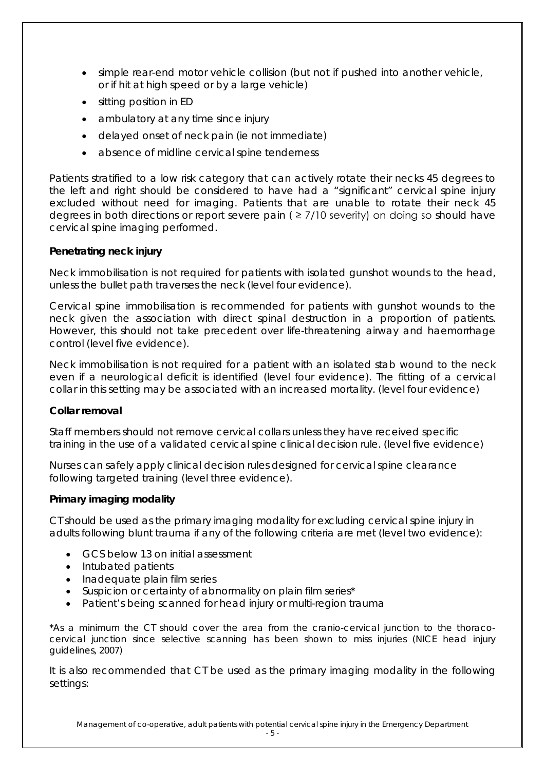- simple rear-end motor vehicle collision (but not if pushed into another vehicle, or if hit at high speed or by a large vehicle)
- sitting position in ED
- ambulatory at any time since injury
- delayed onset of neck pain (ie not immediate)
- absence of midline cervical spine tenderness

Patients stratified to a low risk category that can actively rotate their necks 45 degrees to the left and right should be considered to have had a "significant" cervical spine injury excluded without need for imaging. Patients that are unable to rotate their neck 45 degrees in both directions or report severe pain ( ≥ 7/10 severity) on doing so should have cervical spine imaging performed.

### **Penetrating neck injury**

Neck immobilisation is not required for patients with isolated gunshot wounds to the head, unless the bullet path traverses the neck (level four evidence).

Cervical spine immobilisation is recommended for patients with gunshot wounds to the neck given the association with direct spinal destruction in a proportion of patients. However, this should not take precedent over life-threatening airway and haemorrhage control (level five evidence).

Neck immobilisation is not required for a patient with an isolated stab wound to the neck even if a neurological deficit is identified (level four evidence). The fitting of a cervical collar in this setting may be associated with an increased mortality. (level four evidence)

#### **Collar removal**

Staff members should not remove cervical collars unless they have received specific training in the use of a validated cervical spine clinical decision rule. (level five evidence)

Nurses can safely apply clinical decision rules designed for cervical spine clearance following targeted training (level three evidence).

#### **Primary imaging modality**

CT should be used as the primary imaging modality for excluding cervical spine injury in adults following blunt trauma if any of the following criteria are met (level two evidence):

- GCS below 13 on initial assessment
- Intubated patients
- Inadequate plain film series
- Suspicion or certainty of abnormality on plain film series\*
- Patient's being scanned for head injury or multi-region trauma

*\*As a minimum the CT should cover the area from the cranio-cervical junction to the thoracocervical junction since selective scanning has been shown to miss injuries (NICE head injury guidelines, 2007)*

It is also recommended that CT be used as the primary imaging modality in the following settings: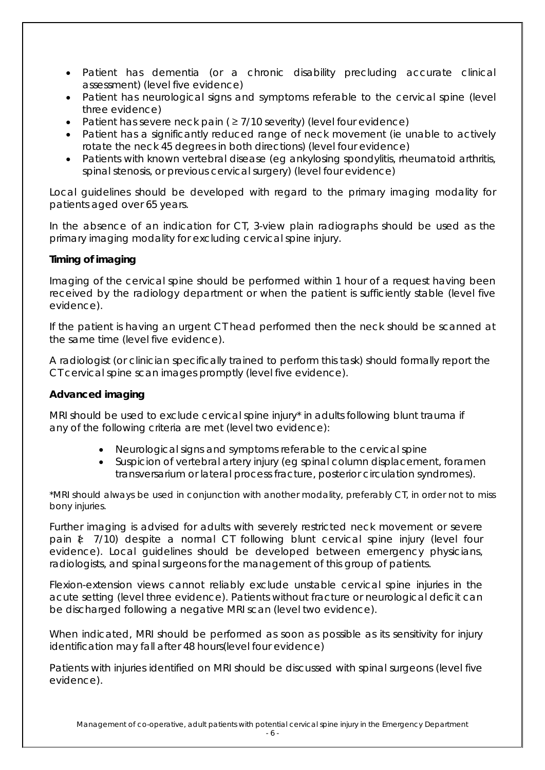- Patient has dementia (or a chronic disability precluding accurate clinical assessment) (level five evidence)
- Patient has neurological signs and symptoms referable to the cervical spine (level three evidence)
- Patient has severe neck pain ( $\geq$  7/10 severity) (level four evidence)
- Patient has a significantly reduced range of neck movement (ie unable to actively rotate the neck 45 degrees in both directions) (level four evidence)
- Patients with known vertebral disease (eg ankylosing spondylitis, rheumatoid arthritis, spinal stenosis, or previous cervical surgery) (level four evidence)

Local guidelines should be developed with regard to the primary imaging modality for patients aged over 65 years.

In the absence of an indication for CT, 3-view plain radiographs should be used as the primary imaging modality for excluding cervical spine injury.

### **Timing of imaging**

Imaging of the cervical spine should be performed within 1 hour of a request having been received by the radiology department or when the patient is sufficiently stable (level five evidence).

If the patient is having an urgent CT head performed then the neck should be scanned at the same time (level five evidence).

A radiologist (or clinician specifically trained to perform this task) should formally report the CT cervical spine scan images promptly (level five evidence).

### **Advanced imaging**

MRI should be used to exclude cervical spine injury\* in adults following blunt trauma if any of the following criteria are met (level two evidence):

- Neurological signs and symptoms referable to the cervical spine
- Suspicion of vertebral artery injury (eg spinal column displacement, foramen transversarium or lateral process fracture, posterior circulation syndromes).

*\*MRI should always be used in conjunction with another modality, preferably CT, in order not to miss bony injuries.*

Further imaging is advised for adults with severely restricted neck movement or severe pain  $\xi$  7/10) despite a normal CT following blunt cervical spine injury (level four evidence). Local guidelines should be developed between emergency physicians, radiologists, and spinal surgeons for the management of this group of patients.

Flexion-extension views cannot reliably exclude unstable cervical spine injuries in the acute setting (level three evidence). Patients without fracture or neurological deficit can be discharged following a negative MRI scan (level two evidence).

When indicated, MRI should be performed as soon as possible as its sensitivity for injury identification may fall after 48 hours(level four evidence)

Patients with injuries identified on MRI should be discussed with spinal surgeons (level five evidence).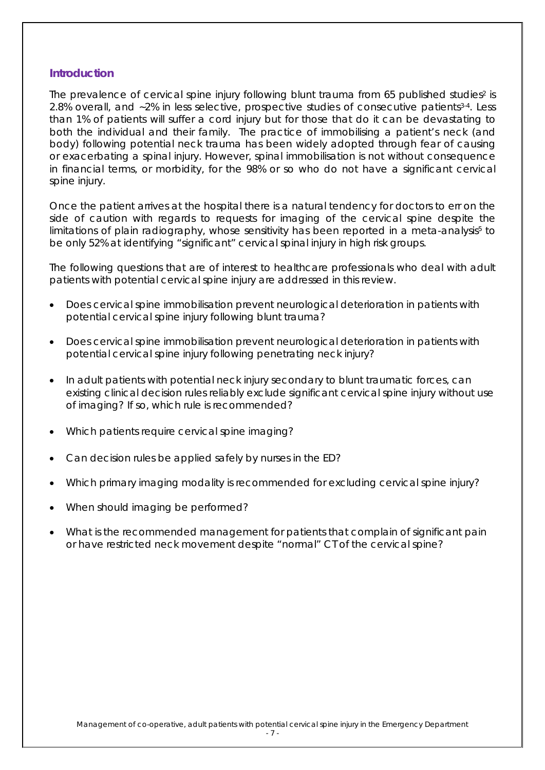#### **Introduction**

The prevalence of cervical spine injury following blunt trauma from 65 published studies<sup>2</sup> is 2.8% overall, and ~2% in less selective, prospective studies of consecutive patients<sup>3.4</sup>. Less than 1% of patients will suffer a cord injury but for those that do it can be devastating to both the individual and their family. The practice of immobilising a patient's neck (and body) following potential neck trauma has been widely adopted through fear of causing or exacerbating a spinal injury. However, spinal immobilisation is not without consequence in financial terms, or morbidity, for the 98% or so who do not have a significant cervical spine injury.

Once the patient arrives at the hospital there is a natural tendency for doctors to err on the side of caution with regards to requests for imaging of the cervical spine despite the limitations of plain radiography, whose sensitivity has been reported in a meta-analysis<sup>5</sup> to be only 52% at identifying "significant" cervical spinal injury in high risk groups.

The following questions that are of interest to healthcare professionals who deal with adult patients with potential cervical spine injury are addressed in this review.

- Does cervical spine immobilisation prevent neurological deterioration in patients with potential cervical spine injury following blunt trauma?
- Does cervical spine immobilisation prevent neurological deterioration in patients with potential cervical spine injury following penetrating neck injury?
- In adult patients with potential neck injury secondary to blunt traumatic forces, can existing clinical decision rules reliably exclude significant cervical spine injury without use of imaging? If so, which rule is recommended?
- Which patients require cervical spine imaging?
- Can decision rules be applied safely by nurses in the ED?
- Which primary imaging modality is recommended for excluding cervical spine injury?
- When should imaging be performed?
- What is the recommended management for patients that complain of significant pain or have restricted neck movement despite "normal" CT of the cervical spine?

- 7 -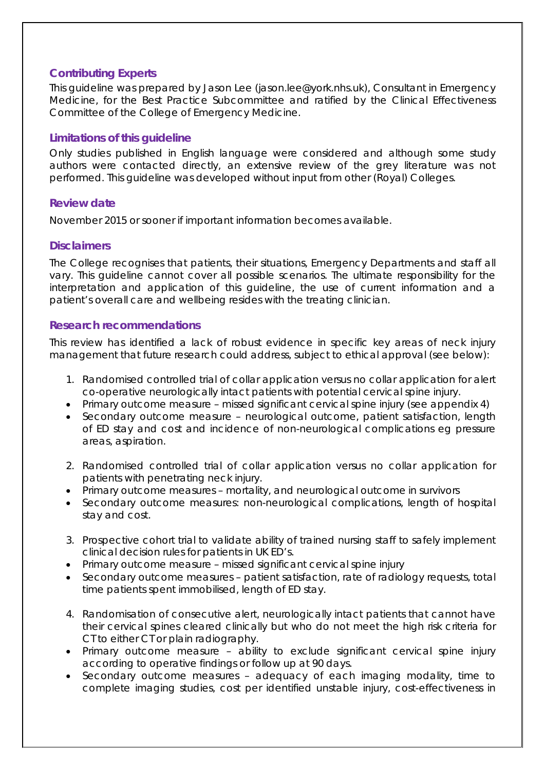### **Contributing Experts**

This guideline was prepared by Jason Lee (jason.lee@york.nhs.uk), Consultant in Emergency Medicine, for the Best Practice Subcommittee and ratified by the Clinical Effectiveness Committee of the College of Emergency Medicine.

### **Limitations of this guideline**

Only studies published in English language were considered and although some study authors were contacted directly, an extensive review of the grey literature was not performed. This guideline was developed without input from other (Royal) Colleges.

### **Review date**

November 2015 or sooner if important information becomes available.

### **Disclaimers**

The College recognises that patients, their situations, Emergency Departments and staff all vary. This guideline cannot cover all possible scenarios. The ultimate responsibility for the interpretation and application of this guideline, the use of current information and a patient's overall care and wellbeing resides with the treating clinician.

### **Research recommendations**

This review has identified a lack of robust evidence in specific key areas of neck injury management that future research could address, subject to ethical approval (see below):

- 1. Randomised controlled trial of collar application versus no collar application for alert co-operative neurologically intact patients with potential cervical spine injury.
- Primary outcome measure missed significant cervical spine injury (see appendix 4)
- Secondary outcome measure neurological outcome, patient satisfaction, length of ED stay and cost and incidence of non-neurological complications eg pressure areas, aspiration.
- 2. Randomised controlled trial of collar application versus no collar application for patients with penetrating neck injury.
- Primary outcome measures mortality, and neurological outcome in survivors
- Secondary outcome measures: non-neurological complications, length of hospital stay and cost.
- 3. Prospective cohort trial to validate ability of trained nursing staff to safely implement clinical decision rules for patients in UK ED's.
- Primary outcome measure missed significant cervical spine injury
- Secondary outcome measures patient satisfaction, rate of radiology requests, total time patients spent immobilised, length of ED stay.
- 4. Randomisation of consecutive alert, neurologically intact patients that cannot have their cervical spines cleared clinically but who do not meet the high risk criteria for CT to either CT or plain radiography.
- Primary outcome measure ability to exclude significant cervical spine injury according to operative findings or follow up at 90 days.
- Secondary outcome measures adequacy of each imaging modality, time to complete imaging studies, cost per identified unstable injury, cost-effectiveness in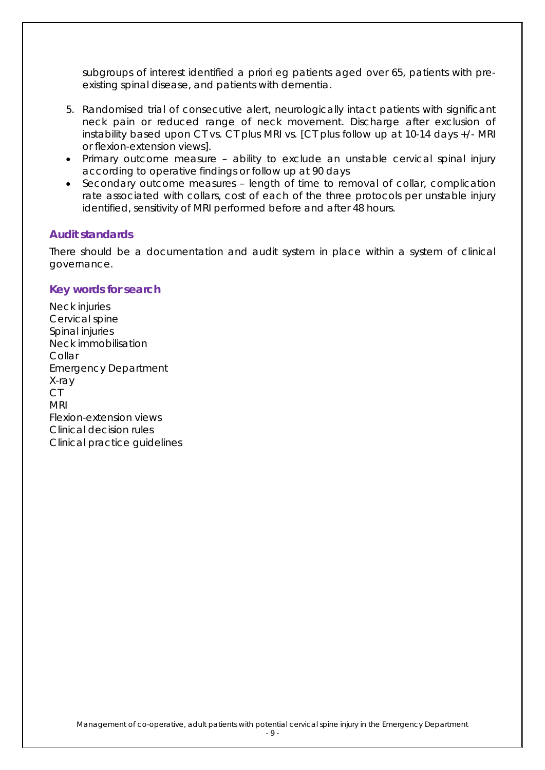subgroups of interest identified a priori eg patients aged over 65, patients with preexisting spinal disease, and patients with dementia.

- 5. Randomised trial of consecutive alert, neurologically intact patients with significant neck pain or reduced range of neck movement. Discharge after exclusion of instability based upon CT vs. CT plus MRI vs. [CT plus follow up at 10-14 days +/- MRI or flexion-extension views].
- Primary outcome measure ability to exclude an unstable cervical spinal injury according to operative findings or follow up at 90 days
- Secondary outcome measures length of time to removal of collar, complication rate associated with collars, cost of each of the three protocols per unstable injury identified, sensitivity of MRI performed before and after 48 hours.

### **Audit standards**

There should be a documentation and audit system in place within a system of clinical governance.

#### **Key words for search**

Neck injuries Cervical spine Spinal injuries Neck immobilisation **Collar** Emergency Department X-ray CT MRI Flexion-extension views Clinical decision rules Clinical practice guidelines

- 9 -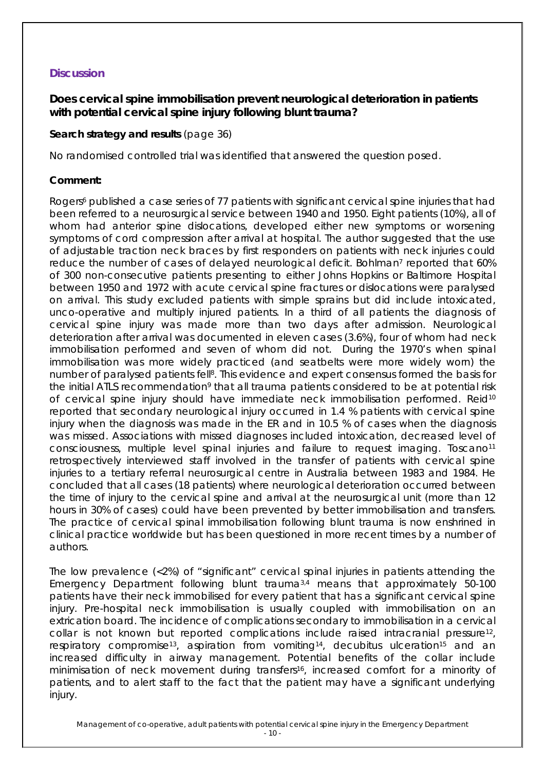### **Discussion**

### **Does cervical spine immobilisation prevent neurological deterioration in patients with potential cervical spine injury following blunt trauma?**

### **Search strategy and results** (page 36)

No randomised controlled trial was identified that answered the question posed.

#### **Comment:**

Rogers<sup>6</sup> published a case series of 77 patients with significant cervical spine injuries that had been referred to a neurosurgical service between 1940 and 1950. Eight patients (10%), all of whom had anterior spine dislocations, developed either new symptoms or worsening symptoms of cord compression after arrival at hospital. The author suggested that the use of adjustable traction neck braces by first responders on patients with neck injuries could reduce the number of cases of delayed neurological deficit. Bohlman<sup>7</sup> reported that 60% of 300 non-consecutive patients presenting to either Johns Hopkins or Baltimore Hospital between 1950 and 1972 with acute cervical spine fractures or dislocations were paralysed on arrival. This study excluded patients with simple sprains but did include intoxicated, unco-operative and multiply injured patients. In a third of all patients the diagnosis of cervical spine injury was made more than two days after admission. Neurological deterioration after arrival was documented in eleven cases (3.6%), four of whom had neck immobilisation performed and seven of whom did not. During the 1970's when spinal immobilisation was more widely practiced (and seatbelts were more widely worn) the number of paralysed patients fell<sup>8</sup>. This evidence and expert consensus formed the basis for the initial ATLS recommendation<sup>9</sup> that all trauma patients considered to be at potential risk of cervical spine injury should have immediate neck immobilisation performed. Reid10 reported that secondary neurological injury occurred in 1.4 % patients with cervical spine injury when the diagnosis was made in the ER and in 10.5 % of cases when the diagnosis was missed. Associations with missed diagnoses included intoxication, decreased level of consciousness, multiple level spinal injuries and failure to request imaging. Toscano<sup>11</sup> retrospectively interviewed staff involved in the transfer of patients with cervical spine injuries to a tertiary referral neurosurgical centre in Australia between 1983 and 1984. He concluded that all cases (18 patients) where neurological deterioration occurred between the time of injury to the cervical spine and arrival at the neurosurgical unit (more than 12 hours in 30% of cases) could have been prevented by better immobilisation and transfers. The practice of cervical spinal immobilisation following blunt trauma is now enshrined in clinical practice worldwide but has been questioned in more recent times by a number of authors.

The low prevalence (<2%) of "significant" cervical spinal injuries in patients attending the Emergency Department following blunt trauma3,4 means that approximately 50-100 patients have their neck immobilised for every patient that has a significant cervical spine injury. Pre-hospital neck immobilisation is usually coupled with immobilisation on an extrication board. The incidence of complications secondary to immobilisation in a cervical collar is not known but reported complications include raised intracranial pressure12, respiratory compromise<sup>13</sup>, aspiration from vomiting<sup>14</sup>, decubitus ulceration<sup>15</sup> and an increased difficulty in airway management. Potential benefits of the collar include minimisation of neck movement during transfers<sup>16</sup>, increased comfort for a minority of patients, and to alert staff to the fact that the patient may have a significant underlying injury.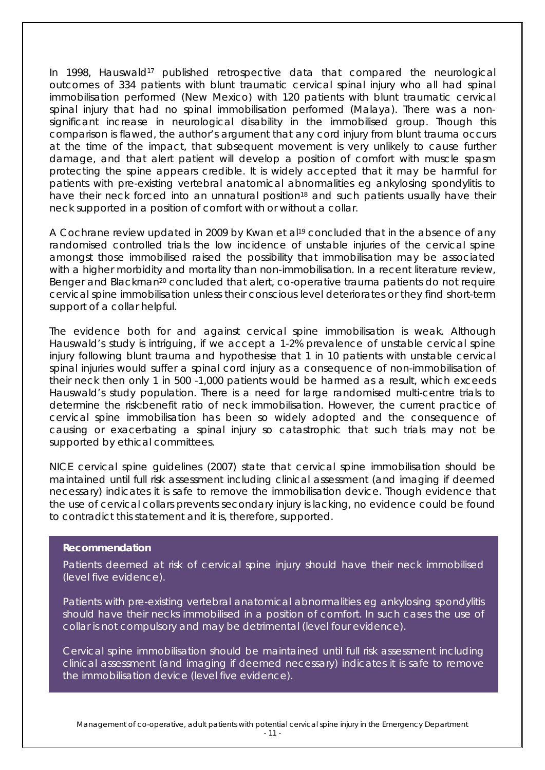In 1998, Hauswald<sup>17</sup> published retrospective data that compared the neurological outcomes of 334 patients with blunt traumatic cervical spinal injury who all had spinal immobilisation performed (New Mexico) with 120 patients with blunt traumatic cervical spinal injury that had no spinal immobilisation performed (Malaya). There was a nonsignificant increase in neurological disability in the immobilised group. Though this comparison is flawed, the author's argument that any cord injury from blunt trauma occurs at the time of the impact, that subsequent movement is very unlikely to cause further damage, and that alert patient will develop a position of comfort with muscle spasm protecting the spine appears credible. It is widely accepted that it may be harmful for patients with pre-existing vertebral anatomical abnormalities eg ankylosing spondylitis to have their neck forced into an unnatural position<sup>18</sup> and such patients usually have their neck supported in a position of comfort with or without a collar.

A Cochrane review updated in 2009 by Kwan et al<sup>19</sup> concluded that in the absence of any randomised controlled trials the low incidence of unstable injuries of the cervical spine amongst those immobilised raised the possibility that immobilisation may be associated with a higher morbidity and mortality than non-immobilisation. In a recent literature review, Benger and Blackman<sup>20</sup> concluded that alert, co-operative trauma patients do not require cervical spine immobilisation unless their conscious level deteriorates or they find short-term support of a collar helpful.

The evidence both for and against cervical spine immobilisation is weak. Although Hauswald's study is intriguing, if we accept a 1-2% prevalence of unstable cervical spine injury following blunt trauma and hypothesise that 1 in 10 patients with unstable cervical spinal injuries would suffer a spinal cord injury as a consequence of non-immobilisation of their neck then only 1 in 500 -1,000 patients would be harmed as a result, which exceeds Hauswald's study population. There is a need for large randomised multi-centre trials to determine the risk:benefit ratio of neck immobilisation. However, the current practice of cervical spine immobilisation has been so widely adopted and the consequence of causing or exacerbating a spinal injury so catastrophic that such trials may not be supported by ethical committees.

NICE cervical spine guidelines (2007) state that cervical spine immobilisation should be maintained until full risk assessment including clinical assessment (and imaging if deemed necessary) indicates it is safe to remove the immobilisation device. Though evidence that the use of cervical collars prevents secondary injury is lacking, no evidence could be found to contradict this statement and it is, therefore, supported.

#### **Recommendation**

Patients deemed at risk of cervical spine injury should have their neck immobilised (level five evidence).

Patients with pre-existing vertebral anatomical abnormalities eg ankylosing spondylitis should have their necks immobilised in a position of comfort. In such cases the use of collar is not compulsory and may be detrimental (level four evidence).

Cervical spine immobilisation should be maintained until full risk assessment including clinical assessment (and imaging if deemed necessary) indicates it is safe to remove the immobilisation device (level five evidence).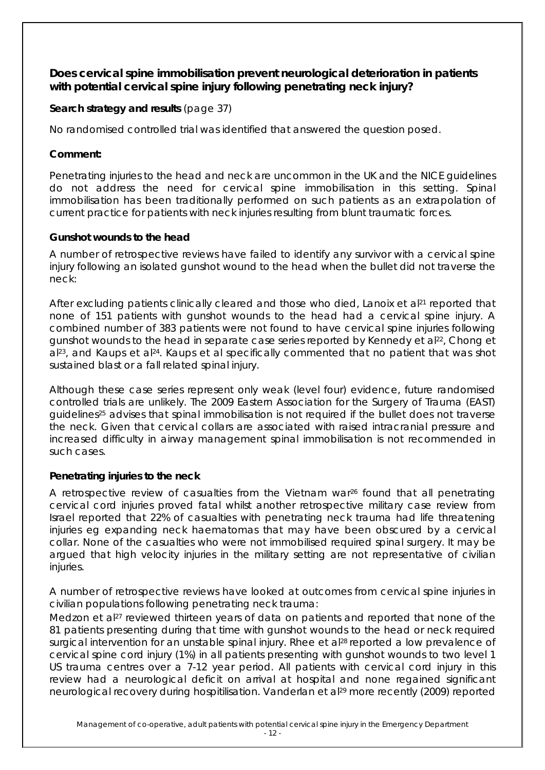### **Does cervical spine immobilisation prevent neurological deterioration in patients with potential cervical spine injury following penetrating neck injury?**

### **Search strategy and results** (page 37)

No randomised controlled trial was identified that answered the question posed.

### **Comment:**

Penetrating injuries to the head and neck are uncommon in the UK and the NICE guidelines do not address the need for cervical spine immobilisation in this setting. Spinal immobilisation has been traditionally performed on such patients as an extrapolation of current practice for patients with neck injuries resulting from blunt traumatic forces.

### **Gunshot wounds to the head**

A number of retrospective reviews have failed to identify any survivor with a cervical spine injury following an isolated gunshot wound to the head when the bullet did not traverse the neck:

After excluding patients clinically cleared and those who died, Lanoix et al<sup>21</sup> reported that none of 151 patients with gunshot wounds to the head had a cervical spine injury. A combined number of 383 patients were not found to have cervical spine injuries following gunshot wounds to the head in separate case series reported by Kennedy et al<sup>22</sup>, Chong et al<sup>23</sup>, and Kaups et al<sup>24</sup>. Kaups et al specifically commented that no patient that was shot sustained blast or a fall related spinal injury.

Although these case series represent only weak (level four) evidence, future randomised controlled trials are unlikely. The 2009 Eastern Association for the Surgery of Trauma (EAST) guidelines25 advises that spinal immobilisation is not required if the bullet does not traverse the neck. Given that cervical collars are associated with raised intracranial pressure and increased difficulty in airway management spinal immobilisation is not recommended in such cases.

### **Penetrating injuries to the neck**

A retrospective review of casualties from the Vietnam war<sup>26</sup> found that all penetrating cervical cord injuries proved fatal whilst another retrospective military case review from Israel reported that 22% of casualties with penetrating neck trauma had life threatening injuries eg expanding neck haematomas that may have been obscured by a cervical collar. None of the casualties who were not immobilised required spinal surgery. It may be argued that high velocity injuries in the military setting are not representative of civilian injuries.

A number of retrospective reviews have looked at outcomes from cervical spine injuries in civilian populations following penetrating neck trauma:

Medzon et al<sup>27</sup> reviewed thirteen years of data on patients and reported that none of the 81 patients presenting during that time with gunshot wounds to the head or neck required surgical intervention for an unstable spinal injury. Rhee et al<sup>28</sup> reported a low prevalence of cervical spine cord injury (1%) in all patients presenting with gunshot wounds to two level 1 US trauma centres over a 7-12 year period. All patients with cervical cord injury in this review had a neurological deficit on arrival at hospital and none regained significant neurological recovery during hospitilisation. Vanderlan et al<sup>29</sup> more recently (2009) reported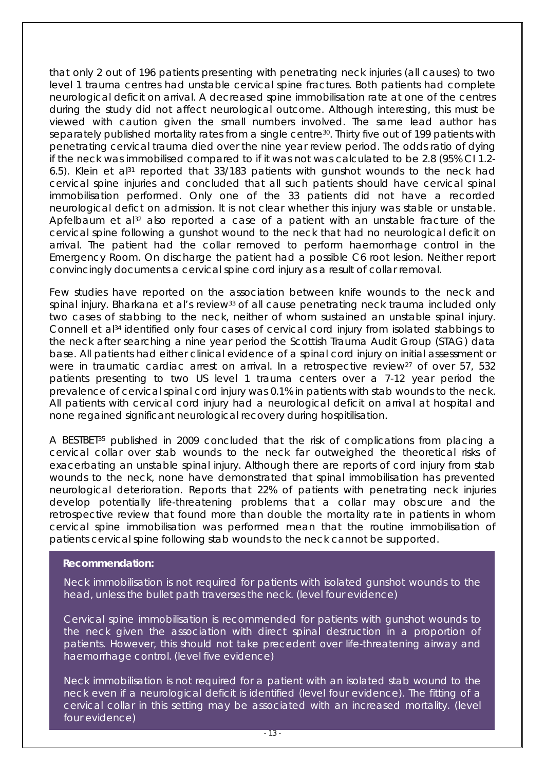that only 2 out of 196 patients presenting with penetrating neck injuries (all causes) to two level 1 trauma centres had unstable cervical spine fractures. Both patients had complete neurological deficit on arrival. A decreased spine immobilisation rate at one of the centres during the study did not affect neurological outcome. Although interesting, this must be viewed with caution given the small numbers involved. The same lead author has separately published mortality rates from a single centre<sup>30</sup>. Thirty five out of 199 patients with penetrating cervical trauma died over the nine year review period. The odds ratio of dying if the neck was immobilised compared to if it was not was calculated to be 2.8 (95% CI 1.2- 6.5). Klein et al<sup>31</sup> reported that  $33/183$  patients with gunshot wounds to the neck had cervical spine injuries and concluded that all such patients should have cervical spinal immobilisation performed. Only one of the 33 patients did not have a recorded neurological defict on admission. It is not clear whether this injury was stable or unstable. Apfelbaum et al $32$  also reported a case of a patient with an unstable fracture of the cervical spine following a gunshot wound to the neck that had no neurological deficit on arrival. The patient had the collar removed to perform haemorrhage control in the Emergency Room. On discharge the patient had a possible C6 root lesion. Neither report convincingly documents a cervical spine cord injury as a result of collar removal.

Few studies have reported on the association between knife wounds to the neck and spinal injury. Bharkana et al's review<sup>33</sup> of all cause penetrating neck trauma included only two cases of stabbing to the neck, neither of whom sustained an unstable spinal injury. Connell et al<sup>34</sup> identified only four cases of cervical cord injury from isolated stabbings to the neck after searching a nine year period the Scottish Trauma Audit Group (STAG) data base. All patients had either clinical evidence of a spinal cord injury on initial assessment or were in traumatic cardiac arrest on arrival. In a retrospective review<sup>27</sup> of over 57, 532 patients presenting to two US level 1 trauma centers over a 7-12 year period the prevalence of cervical spinal cord injury was 0.1% in patients with stab wounds to the neck. All patients with cervical cord injury had a neurological deficit on arrival at hospital and none regained significant neurological recovery during hospitilisation.

A BESTBET<sup>35</sup> published in 2009 concluded that the risk of complications from placing a cervical collar over stab wounds to the neck far outweighed the theoretical risks of exacerbating an unstable spinal injury. Although there are reports of cord injury from stab wounds to the neck, none have demonstrated that spinal immobilisation has prevented neurological deterioration. Reports that 22% of patients with penetrating neck injuries develop potentially life-threatening problems that a collar may obscure and the retrospective review that found more than double the mortality rate in patients in whom cervical spine immobilisation was performed mean that the routine immobilisation of patients cervical spine following stab wounds to the neck cannot be supported.

#### **Recommendation:**

Neck immobilisation is not required for patients with isolated gunshot wounds to the head, unless the bullet path traverses the neck. (level four evidence)

Cervical spine immobilisation is recommended for patients with gunshot wounds to the neck given the association with direct spinal destruction in a proportion of patients. However, this should not take precedent over life-threatening airway and haemorrhage control. (level five evidence)

Neck immobilisation is not required for a patient with an isolated stab wound to the neck even if a neurological deficit is identified (level four evidence). The fitting of a cervical collar in this setting may be associated with an increased mortality. (level four evidence)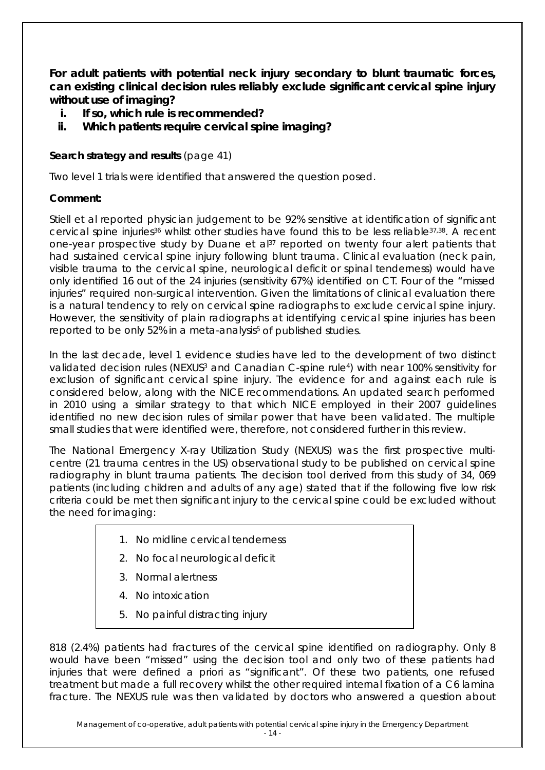**For adult patients with potential neck injury secondary to blunt traumatic forces, can existing clinical decision rules reliably exclude significant cervical spine injury without use of imaging?** 

- **i. If so, which rule is recommended?**
- **ii. Which patients require cervical spine imaging?**

### **Search strategy and results** (page 41)

Two level 1 trials were identified that answered the question posed.

### **Comment:**

Stiell et al reported physician judgement to be 92% sensitive at identification of significant cervical spine injuries<sup>36</sup> whilst other studies have found this to be less reliable<sup>37,38</sup>. A recent one-year prospective study by Duane et al<sup>37</sup> reported on twenty four alert patients that had sustained cervical spine injury following blunt trauma. Clinical evaluation (neck pain, visible trauma to the cervical spine, neurological deficit or spinal tenderness) would have only identified 16 out of the 24 injuries (sensitivity 67%) identified on CT. Four of the "missed injuries" required non-surgical intervention. Given the limitations of clinical evaluation there is a natural tendency to rely on cervical spine radiographs to exclude cervical spine injury. However, the sensitivity of plain radiographs at identifying cervical spine injuries has been reported to be only 52% in a meta-analysis<sup>5</sup> of published studies.

In the last decade, level 1 evidence studies have led to the development of two distinct validated decision rules (NEXUS3 and Canadian C-spine rule4) with near 100% sensitivity for exclusion of significant cervical spine injury. The evidence for and against each rule is considered below, along with the NICE recommendations. An updated search performed in 2010 using a similar strategy to that which NICE employed in their 2007 guidelines identified no new decision rules of similar power that have been validated. The multiple small studies that were identified were, therefore, not considered further in this review.

The National Emergency X-ray Utilization Study (NEXUS) was the first prospective multicentre (21 trauma centres in the US) observational study to be published on cervical spine radiography in blunt trauma patients. The decision tool derived from this study of 34, 069 patients (including children and adults of any age) stated that if the following five low risk criteria could be met then significant injury to the cervical spine could be excluded without the need for imaging:

- 1. No midline cervical tenderness
- 2. No focal neurological deficit
- 3. Normal alertness
- 4. No intoxication
- 5. No painful distracting injury

818 (2.4%) patients had fractures of the cervical spine identified on radiography. Only 8 would have been "missed" using the decision tool and only two of these patients had injuries that were defined a priori as "significant". Of these two patients, one refused treatment but made a full recovery whilst the other required internal fixation of a C6 lamina fracture. The NEXUS rule was then validated by doctors who answered a question about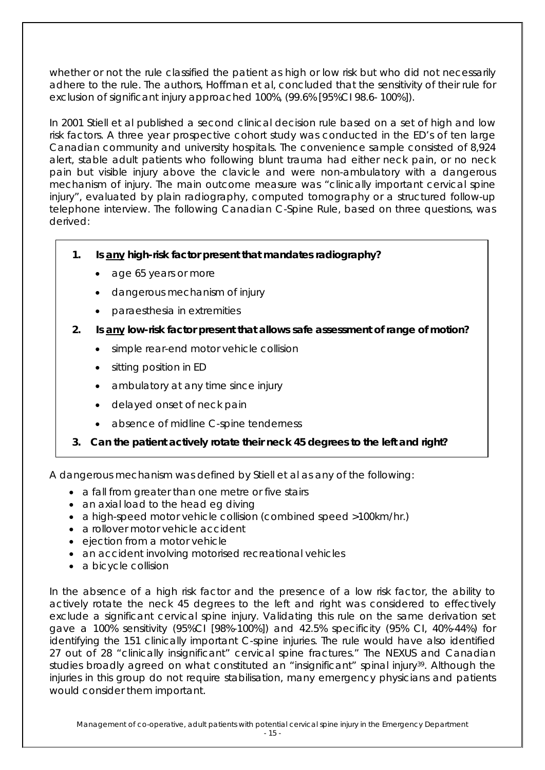whether or not the rule classified the patient as high or low risk but who did not necessarily adhere to the rule. The authors, Hoffman et al, concluded that the sensitivity of their rule for exclusion of significant injury approached 100%, (99.6% [95%CI 98.6- 100%]).

In 2001 Stiell et al published a second clinical decision rule based on a set of high and low risk factors. A three year prospective cohort study was conducted in the ED's of ten large Canadian community and university hospitals. The convenience sample consisted of 8,924 alert, stable adult patients who following blunt trauma had either neck pain, or no neck pain but visible injury above the clavicle and were non-ambulatory with a dangerous mechanism of injury. The main outcome measure was "clinically important cervical spine injury", evaluated by plain radiography, computed tomography or a structured follow-up telephone interview. The following Canadian C-Spine Rule, based on three questions, was derived:

- **1. Is any high-risk factor present that mandates radiography?**
	- age 65 years or more
	- dangerous mechanism of injury
	- paraesthesia in extremities
- **2. Is any low-risk factor present that allows safe assessment of range of motion?**
	- simple rear-end motor vehicle collision
	- sitting position in ED
	- ambulatory at any time since injury
	- delayed onset of neck pain
	- absence of midline C-spine tenderness
- **3. Can the patient actively rotate their neck 45 degrees to the left and right?**

A dangerous mechanism was defined by Stiell et al as any of the following:

- a fall from greater than one metre or five stairs
- an axial load to the head eg diving
- a high-speed motor vehicle collision (combined speed >100km/hr.)
- a rollover motor vehicle accident
- ejection from a motor vehicle
- an accident involving motorised recreational vehicles
- a bicycle collision

In the absence of a high risk factor and the presence of a low risk factor, the ability to actively rotate the neck 45 degrees to the left and right was considered to effectively exclude a significant cervical spine injury. Validating this rule on the same derivation set gave a 100% sensitivity (95%CI [98%-100%]) and 42.5% specificity (95% CI, 40%-44%) for identifying the 151 clinically important C-spine injuries. The rule would have also identified 27 out of 28 "clinically insignificant" cervical spine fractures." The NEXUS and Canadian studies broadly agreed on what constituted an "insignificant" spinal injury<sup>39</sup>. Although the injuries in this group do not require stabilisation, many emergency physicians and patients would consider them important.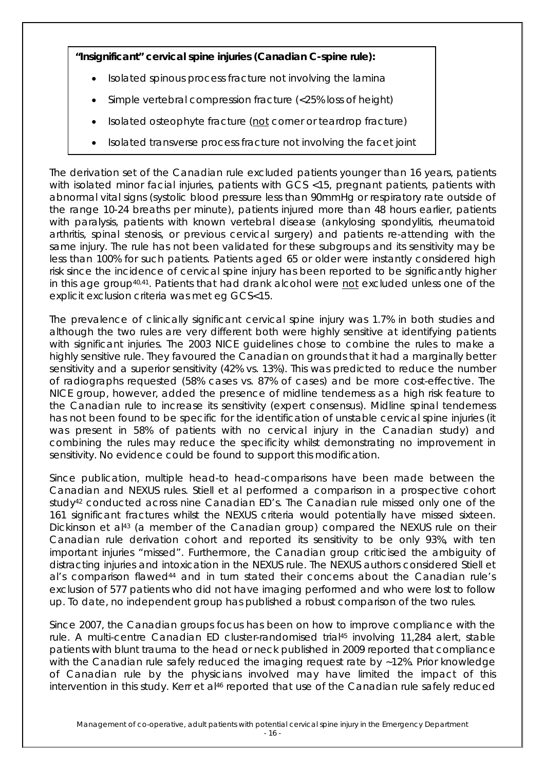### **"Insignificant" cervical spine injuries (Canadian C-spine rule):**

- Isolated spinous process fracture not involving the lamina
- Simple vertebral compression fracture (<25% loss of height)
- Isolated osteophyte fracture (not corner or teardrop fracture)
- Isolated transverse process fracture not involving the facet joint

The derivation set of the Canadian rule excluded patients younger than 16 years, patients with isolated minor facial injuries, patients with GCS <15, pregnant patients, patients with abnormal vital signs (systolic blood pressure less than 90mmHg or respiratory rate outside of the range 10-24 breaths per minute), patients injured more than 48 hours earlier, patients with paralysis, patients with known vertebral disease (ankylosing spondylitis, rheumatoid arthritis, spinal stenosis, or previous cervical surgery) and patients re-attending with the same injury. The rule has not been validated for these subgroups and its sensitivity may be less than 100% for such patients. Patients aged 65 or older were instantly considered high risk since the incidence of cervical spine injury has been reported to be significantly higher in this age group40,41. Patients that had drank alcohol were not excluded unless one of the explicit exclusion criteria was met eg GCS<15.

The prevalence of clinically significant cervical spine injury was 1.7% in both studies and although the two rules are very different both were highly sensitive at identifying patients with significant injuries. The 2003 NICE guidelines chose to combine the rules to make a highly sensitive rule. They favoured the Canadian on grounds that it had a marginally better sensitivity and a superior sensitivity (42% vs. 13%). This was predicted to reduce the number of radiographs requested (58% cases vs. 87% of cases) and be more cost-effective. The NICE group, however, added the presence of midline tenderness as a high risk feature to the Canadian rule to increase its sensitivity (expert consensus). Midline spinal tenderness has not been found to be specific for the identification of unstable cervical spine injuries (it was present in 58% of patients with no cervical injury in the Canadian study) and combining the rules may reduce the specificity whilst demonstrating no improvement in sensitivity. No evidence could be found to support this modification.

Since publication, multiple head-to head-comparisons have been made between the Canadian and NEXUS rules. Stiell et al performed a comparison in a prospective cohort study42 conducted across nine Canadian ED's. The Canadian rule missed only one of the 161 significant fractures whilst the NEXUS criteria would potentially have missed sixteen. Dickinson et al<sup>43</sup> (a member of the Canadian group) compared the NEXUS rule on their Canadian rule derivation cohort and reported its sensitivity to be only 93%, with ten important injuries "missed". Furthermore, the Canadian group criticised the ambiguity of distracting injuries and intoxication in the NEXUS rule. The NEXUS authors considered Stiell et al's comparison flawed44 and in turn stated their concerns about the Canadian rule's exclusion of 577 patients who did not have imaging performed and who were lost to follow up. To date, no independent group has published a robust comparison of the two rules.

Since 2007, the Canadian groups focus has been on how to improve compliance with the rule. A multi-centre Canadian ED cluster-randomised trial45 involving 11,284 alert, stable patients with blunt trauma to the head or neck published in 2009 reported that compliance with the Canadian rule safely reduced the imaging request rate by ~12%. Prior knowledge of Canadian rule by the physicians involved may have limited the impact of this intervention in this study. Kerr et al<sup>46</sup> reported that use of the Canadian rule safely reduced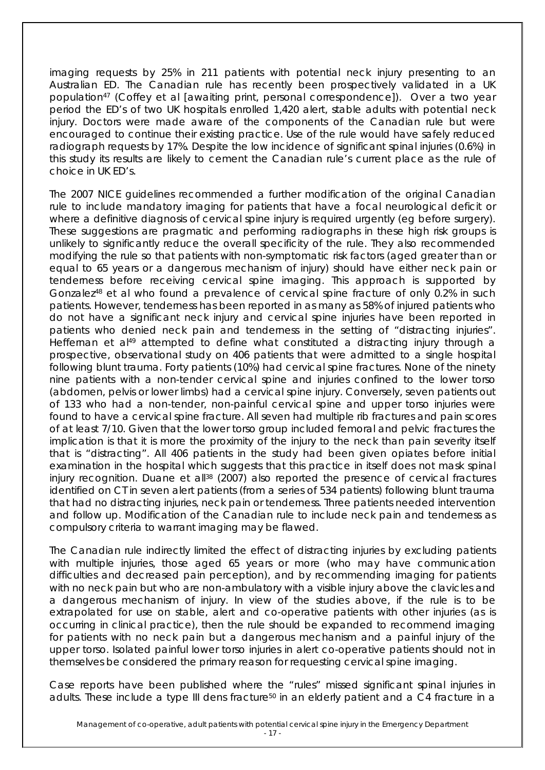imaging requests by 25% in 211 patients with potential neck injury presenting to an Australian ED. The Canadian rule has recently been prospectively validated in a UK population<sup>47</sup> (Coffey et al [awaiting print, personal correspondence]). Over a two year period the ED's of two UK hospitals enrolled 1,420 alert, stable adults with potential neck injury. Doctors were made aware of the components of the Canadian rule but were encouraged to continue their existing practice. Use of the rule would have safely reduced radiograph requests by 17%. Despite the low incidence of significant spinal injuries (0.6%) in this study its results are likely to cement the Canadian rule's current place as the rule of choice in UK ED's.

The 2007 NICE guidelines recommended a further modification of the original Canadian rule to include mandatory imaging for patients that have a focal neurological deficit or where a definitive diagnosis of cervical spine injury is required urgently (eg before surgery). These suggestions are pragmatic and performing radiographs in these high risk groups is unlikely to significantly reduce the overall specificity of the rule. They also recommended modifying the rule so that patients with non-symptomatic risk factors (aged greater than or equal to 65 years or a dangerous mechanism of injury) should have either neck pain or tenderness before receiving cervical spine imaging. This approach is supported by Gonzalez48 et al who found a prevalence of cervical spine fracture of only 0.2% in such patients. However, tenderness has been reported in as many as 58% of injured patients who do not have a significant neck injury and cervical spine injuries have been reported in patients who denied neck pain and tenderness in the setting of "distracting injuries". Heffernan et al<sup>49</sup> attempted to define what constituted a distracting injury through a prospective, observational study on 406 patients that were admitted to a single hospital following blunt trauma. Forty patients (10%) had cervical spine fractures. None of the ninety nine patients with a non-tender cervical spine and injuries confined to the lower torso (abdomen, pelvis or lower limbs) had a cervical spine injury. Conversely, seven patients out of 133 who had a non-tender, non-painful cervical spine and upper torso injuries were found to have a cervical spine fracture. All seven had multiple rib fractures and pain scores of at least 7/10. Given that the lower torso group included femoral and pelvic fractures the implication is that it is more the proximity of the injury to the neck than pain severity itself that is "distracting". All 406 patients in the study had been given opiates before initial examination in the hospital which suggests that this practice in itself does not mask spinal injury recognition. Duane et all<sup>38</sup> (2007) also reported the presence of cervical fractures identified on CT in seven alert patients (from a series of 534 patients) following blunt trauma that had no distracting injuries, neck pain or tenderness. Three patients needed intervention and follow up. Modification of the Canadian rule to include neck pain and tenderness as compulsory criteria to warrant imaging may be flawed.

The Canadian rule indirectly limited the effect of distracting injuries by excluding patients with multiple injuries, those aged 65 years or more (who may have communication difficulties and decreased pain perception), and by recommending imaging for patients with no neck pain but who are non-ambulatory with a visible injury above the clavicles and a dangerous mechanism of injury. In view of the studies above, if the rule is to be extrapolated for use on stable, alert and co-operative patients with other injuries (as is occurring in clinical practice), then the rule should be expanded to recommend imaging for patients with no neck pain but a dangerous mechanism and a painful injury of the upper torso. Isolated painful lower torso injuries in alert co-operative patients should not in themselves be considered the primary reason for requesting cervical spine imaging.

Case reports have been published where the "rules" missed significant spinal injuries in adults. These include a type III dens fracture<sup>50</sup> in an elderly patient and a C4 fracture in a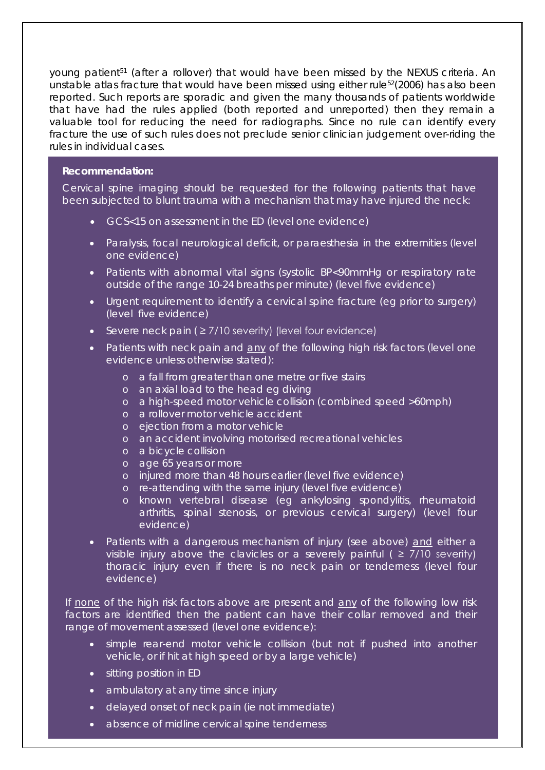young patient<sup>51</sup> (after a rollover) that would have been missed by the NEXUS criteria. An unstable atlas fracture that would have been missed using either rule<sup>52</sup>(2006) has also been reported. Such reports are sporadic and given the many thousands of patients worldwide that have had the rules applied (both reported and unreported) then they remain a valuable tool for reducing the need for radiographs. Since no rule can identify every fracture the use of such rules does not preclude senior clinician judgement over-riding the rules in individual cases.

#### **Recommendation:**

Cervical spine imaging should be requested for the following patients that have been subjected to blunt trauma with a mechanism that may have injured the neck:

- GCS<15 on assessment in the ED (level one evidence)
- Paralysis, focal neurological deficit, or paraesthesia in the extremities (level one evidence)
- Patients with abnormal vital signs (systolic BP<90mmHg or respiratory rate outside of the range 10-24 breaths per minute) (level five evidence)
- Urgent requirement to identify a cervical spine fracture (eg prior to surgery) (level five evidence)
- Severe neck pain ( ≥ 7/10 severity) (level four evidence)
- Patients with neck pain and any of the following high risk factors (level one evidence unless otherwise stated):
	- o a fall from greater than one metre or five stairs
	- o an axial load to the head eg diving
	- o a high-speed motor vehicle collision (combined speed >60mph)
	- o a rollover motor vehicle accident
	- o ejection from a motor vehicle
	- o an accident involving motorised recreational vehicles
	- o a bicycle collision
	- o age 65 years or more
	- o injured more than 48 hours earlier (level five evidence)
	- o re-attending with the same injury (level five evidence)
	- o known vertebral disease (eg ankylosing spondylitis, rheumatoid arthritis, spinal stenosis, or previous cervical surgery) (level four evidence)
- Patients with a dangerous mechanism of injury (see above) and either a visible injury above the clavicles or a severely painful ( $\geq$  7/10 severity) thoracic injury even if there is no neck pain or tenderness (level four evidence)

If none of the high risk factors above are present and any of the following low risk factors are identified then the patient can have their collar removed and their range of movement assessed (level one evidence):

- simple rear-end motor vehicle collision (but not if pushed into another vehicle, or if hit at high speed or by a large vehicle)
- sitting position in ED
- ambulatory at any time since injury
- delayed onset of neck pain (ie not immediate)
- absence of midline cervical spine tenderness **with property in the Emergency Department**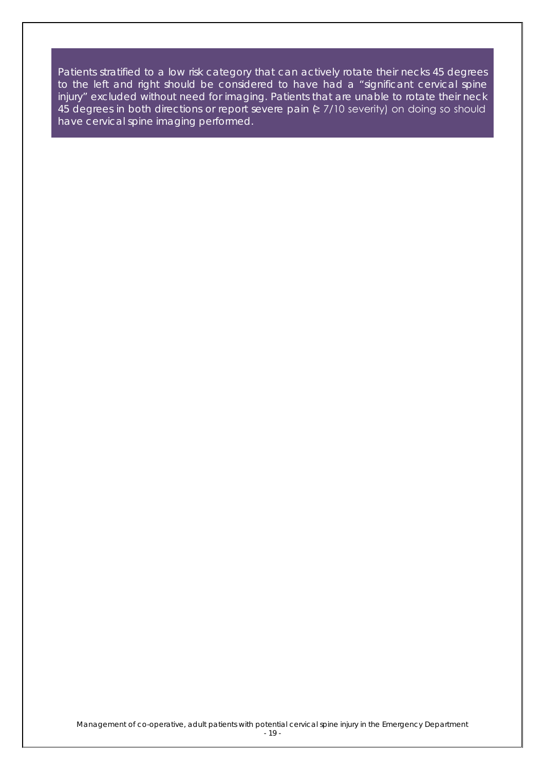Patients stratified to a low risk category that can actively rotate their necks 45 degrees to the left and right should be considered to have had a "significant cervical spine injury" excluded without need for imaging. Patients that are unable to rotate their neck 45 degrees in both directions or report severe pain  $E$  7/10 severity) on doing so should have cervical spine imaging performed.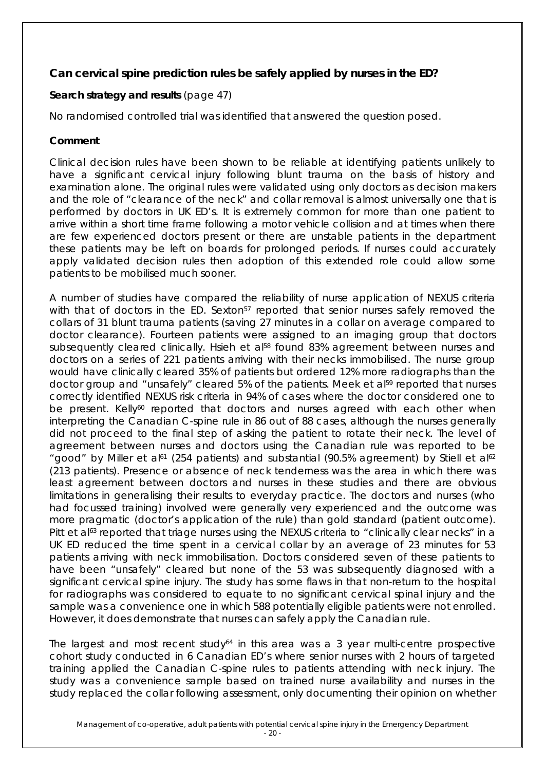### **Can cervical spine prediction rules be safely applied by nurses in the ED?**

### **Search strategy and results** (page 47)

No randomised controlled trial was identified that answered the question posed.

#### **Comment**

Clinical decision rules have been shown to be reliable at identifying patients unlikely to have a significant cervical injury following blunt trauma on the basis of history and examination alone. The original rules were validated using only doctors as decision makers and the role of "clearance of the neck" and collar removal is almost universally one that is performed by doctors in UK ED's. It is extremely common for more than one patient to arrive within a short time frame following a motor vehicle collision and at times when there are few experienced doctors present or there are unstable patients in the department these patients may be left on boards for prolonged periods. If nurses could accurately apply validated decision rules then adoption of this extended role could allow some patients to be mobilised much sooner.

A number of studies have compared the reliability of nurse application of NEXUS criteria with that of doctors in the ED. Sexton<sup>57</sup> reported that senior nurses safely removed the collars of 31 blunt trauma patients (saving 27 minutes in a collar on average compared to doctor clearance). Fourteen patients were assigned to an imaging group that doctors subsequently cleared clinically. Hsieh et al<sup>58</sup> found 83% agreement between nurses and doctors on a series of 221 patients arriving with their necks immobilised. The nurse group would have clinically cleared 35% of patients but ordered 12% more radiographs than the doctor group and "unsafely" cleared 5% of the patients. Meek et al<sup>59</sup> reported that nurses correctly identified NEXUS risk criteria in 94% of cases where the doctor considered one to be present. Kelly<sup>60</sup> reported that doctors and nurses agreed with each other when interpreting the Canadian C-spine rule in 86 out of 88 cases, although the nurses generally did not proceed to the final step of asking the patient to rotate their neck. The level of agreement between nurses and doctors using the Canadian rule was reported to be "good" by Miller et al<sup>61</sup> (254 patients) and substantial (90.5% agreement) by Stiell et al<sup>62</sup> (213 patients). Presence or absence of neck tenderness was the area in which there was least agreement between doctors and nurses in these studies and there are obvious limitations in generalising their results to everyday practice. The doctors and nurses (who had focussed training) involved were generally very experienced and the outcome was more pragmatic (doctor's application of the rule) than gold standard (patient outcome). Pitt et al<sup>63</sup> reported that triage nurses using the NEXUS criteria to "clinically clear necks" in a UK ED reduced the time spent in a cervical collar by an average of 23 minutes for 53 patients arriving with neck immobilisation. Doctors considered seven of these patients to have been "unsafely" cleared but none of the 53 was subsequently diagnosed with a significant cervical spine injury. The study has some flaws in that non-return to the hospital for radiographs was considered to equate to no significant cervical spinal injury and the sample was a convenience one in which 588 potentially eligible patients were not enrolled. However, it does demonstrate that nurses can safely apply the Canadian rule.

The largest and most recent study<sup> $64$ </sup> in this area was a 3 year multi-centre prospective cohort study conducted in 6 Canadian ED's where senior nurses with 2 hours of targeted training applied the Canadian C-spine rules to patients attending with neck injury. The study was a convenience sample based on trained nurse availability and nurses in the study replaced the collar following assessment, only documenting their opinion on whether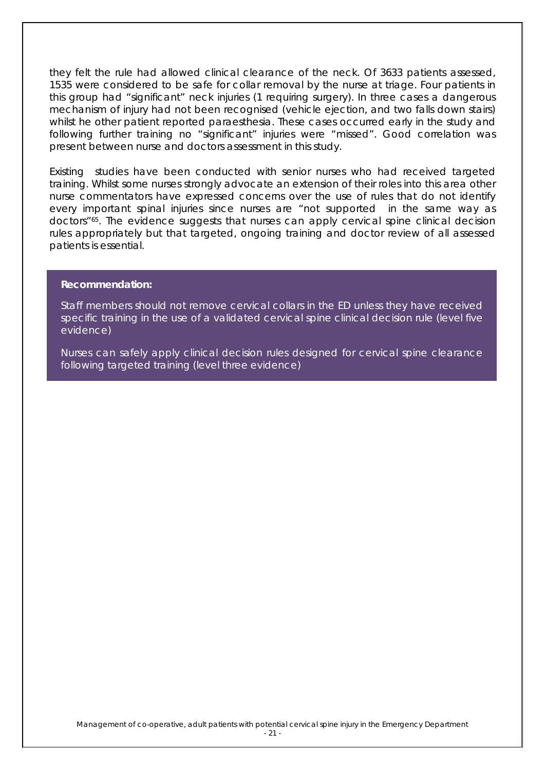they felt the rule had allowed clinical clearance of the neck. Of 3633 patients assessed, 1535 were considered to be safe for collar removal by the nurse at triage. Four patients in this group had "significant" neck injuries (1 requiring surgery). In three cases a dangerous mechanism of injury had not been recognised (vehicle ejection, and two falls down stairs) whilst he other patient reported paraesthesia. These cases occurred early in the study and following further training no "significant" injuries were "missed". Good correlation was present between nurse and doctors assessment in this study.

Existing studies have been conducted with senior nurses who had received targeted training. Whilst some nurses strongly advocate an extension of their roles into this area other nurse commentators have expressed concerns over the use of rules that do not identify every important spinal injuries since nurses are "not supported in the same way as doctors"65. The evidence suggests that nurses can apply cervical spine clinical decision rules appropriately but that targeted, ongoing training and doctor review of all assessed patients is essential.

#### **Recommendation:**

Staff members should not remove cervical collars in the ED unless they have received specific training in the use of a validated cervical spine clinical decision rule (level five evidence)

Nurses can safely apply clinical decision rules designed for cervical spine clearance following targeted training (level three evidence)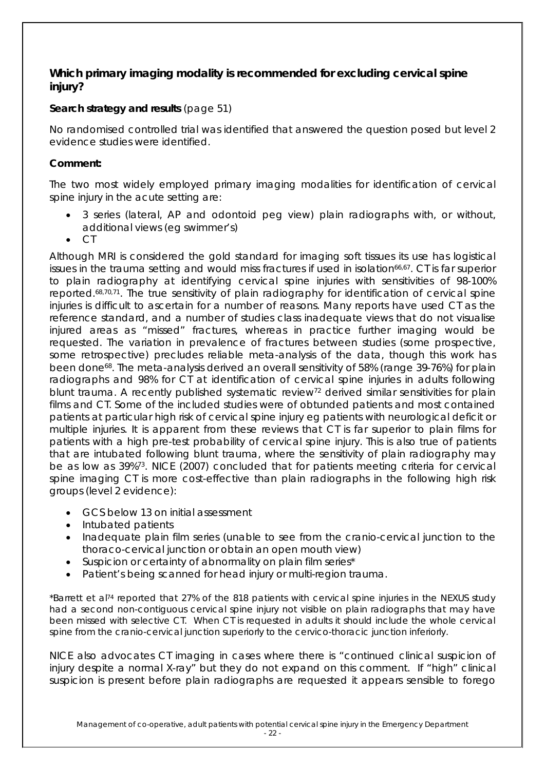### **Which primary imaging modality is recommended for excluding cervical spine injury?**

### **Search strategy and results** (page 51)

No randomised controlled trial was identified that answered the question posed but level 2 evidence studies were identified.

### **Comment:**

The two most widely employed primary imaging modalities for identification of cervical spine injury in the acute setting are:

- 3 series (lateral, AP and odontoid peg view) plain radiographs with, or without, additional views (eg swimmer's)
- CT

Although MRI is considered the gold standard for imaging soft tissues its use has logistical issues in the trauma setting and would miss fractures if used in isolation<sup>66,67</sup>. CT is far superior to plain radiography at identifying cervical spine injuries with sensitivities of 98-100% reported.68,70,71. The true sensitivity of plain radiography for identification of cervical spine injuries is difficult to ascertain for a number of reasons. Many reports have used CT as the reference standard, and a number of studies class inadequate views that do not visualise injured areas as "missed" fractures, whereas in practice further imaging would be requested. The variation in prevalence of fractures between studies (some prospective, some retrospective) precludes reliable meta-analysis of the data, though this work has been done68. The meta-analysis derived an overall sensitivity of 58% (range 39-76%) for plain radiographs and 98% for CT at identification of cervical spine injuries in adults following blunt trauma. A recently published systematic review<sup>72</sup> derived similar sensitivities for plain films and CT. Some of the included studies were of obtunded patients and most contained patients at particular high risk of cervical spine injury eg patients with neurological deficit or multiple injuries. It is apparent from these reviews that CT is far superior to plain films for patients with a high pre-test probability of cervical spine injury. This is also true of patients that are intubated following blunt trauma, where the sensitivity of plain radiography may be as low as 39%73. NICE (2007) concluded that for patients meeting criteria for cervical spine imaging CT is more cost-effective than plain radiographs in the following high risk groups (level 2 evidence):

- GCS below 13 on initial assessment
- Intubated patients
- Inadequate plain film series (unable to see from the cranio-cervical junction to the thoraco-cervical junction or obtain an open mouth view)
- Suspicion or certainty of abnormality on plain film series\*
- Patient's being scanned for head injury or multi-region trauma.

*\*Barrett et al74 reported that 27% of the 818 patients with cervical spine injuries in the NEXUS study had a second non-contiguous cervical spine injury not visible on plain radiographs that may have*  been missed with selective CT. When CT is requested in adults it should include the whole cervical *spine from the cranio-cervical junction superiorly to the cervico-thoracic junction inferiorly.* 

NICE also advocates CT imaging in cases where there is "continued clinical suspicion of injury despite a normal X-ray" but they do not expand on this comment. If "high" clinical suspicion is present before plain radiographs are requested it appears sensible to forego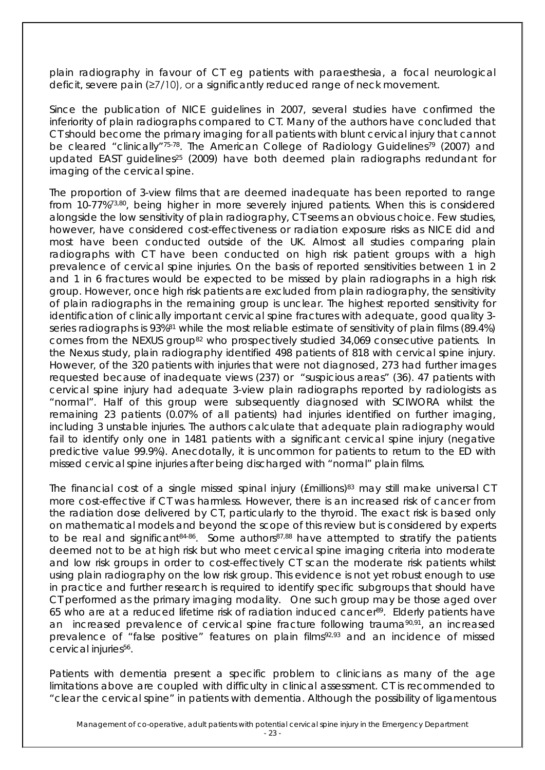plain radiography in favour of CT eg patients with paraesthesia, a focal neurological deficit, severe pain (≥7/10), or a significantly reduced range of neck movement.

Since the publication of NICE guidelines in 2007, several studies have confirmed the inferiority of plain radiographs compared to CT. Many of the authors have concluded that CT should become the primary imaging for all patients with blunt cervical injury that cannot be cleared "clinically"<sup>75-78</sup>. The American College of Radiology Guidelines<sup>79</sup> (2007) and updated EAST quidelines<sup>25</sup> (2009) have both deemed plain radiographs redundant for imaging of the cervical spine.

The proportion of 3-view films that are deemed inadequate has been reported to range from 10-77%73,80, being higher in more severely injured patients. When this is considered alongside the low sensitivity of plain radiography, CT seems an obvious choice. Few studies, however, have considered cost-effectiveness or radiation exposure risks as NICE did and most have been conducted outside of the UK. Almost all studies comparing plain radiographs with CT have been conducted on high risk patient groups with a high prevalence of cervical spine injuries. On the basis of reported sensitivities between 1 in 2 and 1 in 6 fractures would be expected to be missed by plain radiographs in a high risk group. However, once high risk patients are excluded from plain radiography, the sensitivity of plain radiographs in the remaining group is unclear. The highest reported sensitivity for identification of clinically important cervical spine fractures with adequate, good quality 3 series radiographs is 93%<sup>81</sup> while the most reliable estimate of sensitivity of plain films (89.4%) comes from the NEXUS group<sup>82</sup> who prospectively studied 34,069 consecutive patients. In the Nexus study, plain radiography identified 498 patients of 818 with cervical spine injury. However, of the 320 patients with injuries that were not diagnosed, 273 had further images requested because of inadequate views (237) or "suspicious areas" (36). 47 patients with cervical spine injury had adequate 3-view plain radiographs reported by radiologists as "normal". Half of this group were subsequently diagnosed with SCIWORA whilst the remaining 23 patients (0.07% of all patients) had injuries identified on further imaging, including 3 unstable injuries. The authors calculate that adequate plain radiography would fail to identify only one in 1481 patients with a significant cervical spine injury (negative predictive value 99.9%). Anecdotally, it is uncommon for patients to return to the ED with missed cervical spine injuries after being discharged with "normal" plain films.

The financial cost of a single missed spinal injury ( $Emillions$ )<sup>83</sup> may still make universal CT more cost-effective if CT was harmless. However, there is an increased risk of cancer from the radiation dose delivered by CT, particularly to the thyroid. The exact risk is based only on mathematical models and beyond the scope of this review but is considered by experts to be real and significant<sup>84-86</sup>. Some authors<sup>87,88</sup> have attempted to stratify the patients deemed not to be at high risk but who meet cervical spine imaging criteria into moderate and low risk groups in order to cost-effectively CT scan the moderate risk patients whilst using plain radiography on the low risk group. This evidence is not yet robust enough to use in practice and further research is required to identify specific subgroups that should have CT performed as the primary imaging modality. One such group may be those aged over 65 who are at a reduced lifetime risk of radiation induced cancer<sup>89</sup>. Elderly patients have an increased prevalence of cervical spine fracture following trauma<sup>90,91</sup>, an increased prevalence of "false positive" features on plain films<sup>92,93</sup> and an incidence of missed cervical injuries<sup>56</sup>.

Patients with dementia present a specific problem to clinicians as many of the age limitations above are coupled with difficulty in clinical assessment. CT is recommended to "clear the cervical spine" in patients with dementia. Although the possibility of ligamentous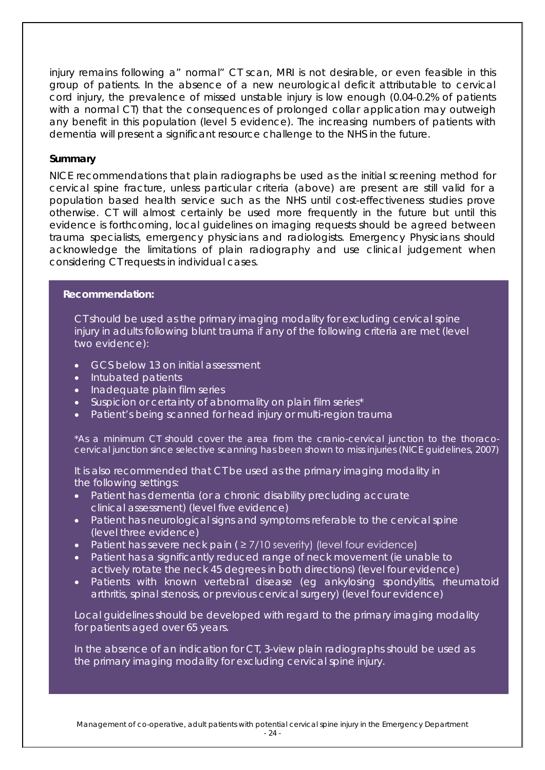injury remains following a" normal" CT scan, MRI is not desirable, or even feasible in this group of patients. In the absence of a new neurological deficit attributable to cervical cord injury, the prevalence of missed unstable injury is low enough (0.04-0.2% of patients with a normal CT) that the consequences of prolonged collar application may outweigh any benefit in this population (level 5 evidence). The increasing numbers of patients with dementia will present a significant resource challenge to the NHS in the future.

#### **Summary**

NICE recommendations that plain radiographs be used as the initial screening method for cervical spine fracture, unless particular criteria (above) are present are still valid for a population based health service such as the NHS until cost-effectiveness studies prove otherwise. CT will almost certainly be used more frequently in the future but until this evidence is forthcoming, local guidelines on imaging requests should be agreed between trauma specialists, emergency physicians and radiologists. Emergency Physicians should acknowledge the limitations of plain radiography and use clinical judgement when considering CT requests in individual cases.

#### **Recommendation:**

CT should be used as the primary imaging modality for excluding cervical spine injury in adults following blunt trauma if any of the following criteria are met (level two evidence):

- GCS below 13 on initial assessment
- Intubated patients
- Inadequate plain film series
- Suspicion or certainty of abnormality on plain film series\*
- Patient's being scanned for head injury or multi-region trauma

*\*As a minimum CT should cover the area from the cranio-cervical junction to the thoracocervical junction since selective scanning has been shown to miss injuries (NICE guidelines, 2007)*

It is also recommended that CT be used as the primary imaging modality in the following settings:

- Patient has dementia (or a chronic disability precluding accurate clinical assessment) (level five evidence)
- Patient has neurological signs and symptoms referable to the cervical spine (level three evidence)
- Patient has severe neck pain ( ≥ 7/10 severity) (level four evidence)
- Patient has a significantly reduced range of neck movement (ie unable to actively rotate the neck 45 degrees in both directions) (level four evidence)
- Patients with known vertebral disease (eg ankylosing spondylitis, rheumatoid arthritis, spinal stenosis, or previous cervical surgery) (level four evidence)

Local guidelines should be developed with regard to the primary imaging modality for patients aged over 65 years.

In the absence of an indication for CT, 3-view plain radiographs should be used as the primary imaging modality for excluding cervical spine injury.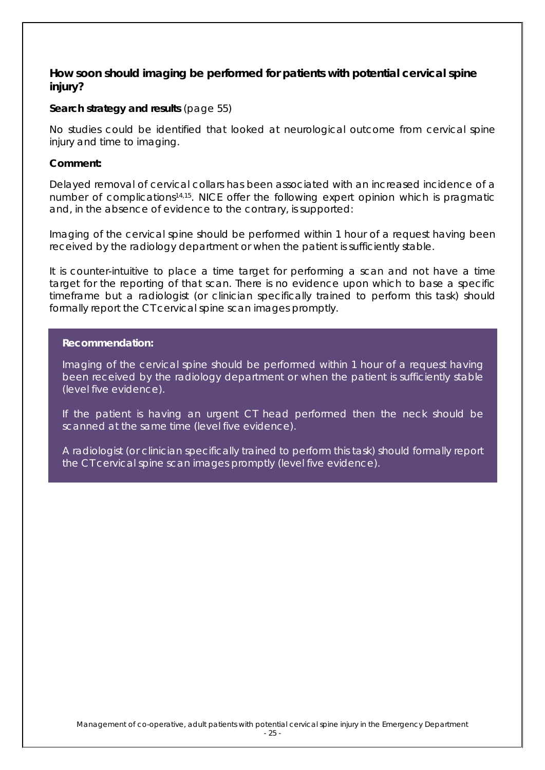### **How soon should imaging be performed for patients with potential cervical spine injury?**

#### **Search strategy and results** (page 55)

No studies could be identified that looked at neurological outcome from cervical spine injury and time to imaging.

#### **Comment:**

Delayed removal of cervical collars has been associated with an increased incidence of a number of complications14,15. NICE offer the following expert opinion which is pragmatic and, in the absence of evidence to the contrary, is supported:

Imaging of the cervical spine should be performed within 1 hour of a request having been received by the radiology department or when the patient is sufficiently stable.

It is counter-intuitive to place a time target for performing a scan and not have a time target for the reporting of that scan. There is no evidence upon which to base a specific timeframe but a radiologist (or clinician specifically trained to perform this task) should formally report the CT cervical spine scan images promptly.

#### **Recommendation:**

Imaging of the cervical spine should be performed within 1 hour of a request having been received by the radiology department or when the patient is sufficiently stable (level five evidence).

If the patient is having an urgent CT head performed then the neck should be scanned at the same time (level five evidence).

A radiologist (or clinician specifically trained to perform this task) should formally report the CT cervical spine scan images promptly (level five evidence).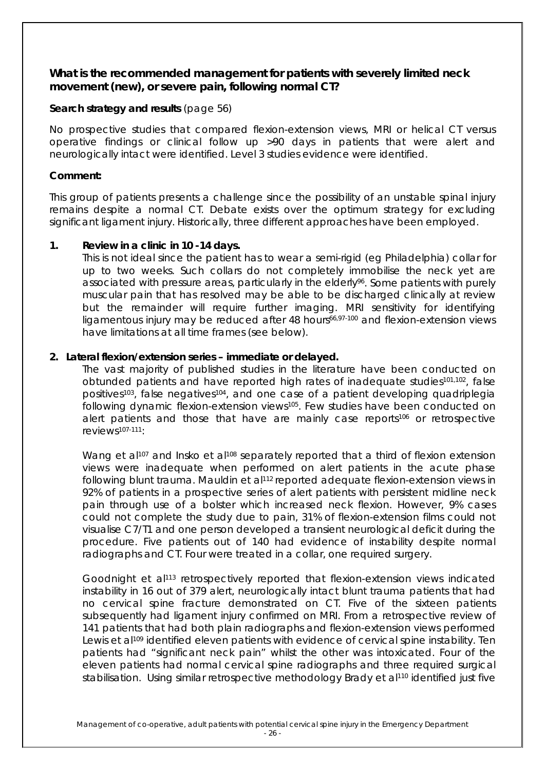### **What is the recommended management for patients with severely limited neck movement (new), or severe pain, following normal CT?**

#### **Search strategy and results** (page 56)

No prospective studies that compared flexion-extension views, MRI or helical CT versus operative findings or clinical follow up >90 days in patients that were alert and neurologically intact were identified. Level 3 studies evidence were identified.

#### **Comment:**

This group of patients presents a challenge since the possibility of an unstable spinal injury remains despite a normal CT. Debate exists over the optimum strategy for excluding significant ligament injury. Historically, three different approaches have been employed.

### **1. Review in a clinic in 10 -14 days.**

This is not ideal since the patient has to wear a semi-rigid (eg Philadelphia) collar for up to two weeks. Such collars do not completely immobilise the neck yet are associated with pressure areas, particularly in the elderly<sup>96</sup>. Some patients with purely muscular pain that has resolved may be able to be discharged clinically at review but the remainder will require further imaging. MRI sensitivity for identifying ligamentous injury may be reduced after 48 hours<sup>66,97-100</sup> and flexion-extension views have limitations at all time frames (see below).

### **2. Lateral flexion/extension series – immediate or delayed.**

The vast majority of published studies in the literature have been conducted on obtunded patients and have reported high rates of inadequate studies<sup>101,102</sup>, false positives<sup>103</sup>, false negatives<sup>104</sup>, and one case of a patient developing quadriplegia following dynamic flexion-extension views105. Few studies have been conducted on alert patients and those that have are mainly case reports<sup>106</sup> or retrospective reviews107-111:

Wang et al<sup>107</sup> and Insko et al<sup>108</sup> separately reported that a third of flexion extension views were inadequate when performed on alert patients in the acute phase following blunt trauma. Mauldin et al<sup>112</sup> reported adequate flexion-extension views in 92% of patients in a prospective series of alert patients with persistent midline neck pain through use of a bolster which increased neck flexion. However, 9% cases could not complete the study due to pain, 31% of flexion-extension films could not visualise C7/T1 and one person developed a transient neurological deficit during the procedure. Five patients out of 140 had evidence of instability despite normal radiographs and CT. Four were treated in a collar, one required surgery.

Goodnight et al<sup>113</sup> retrospectively reported that flexion-extension views indicated instability in 16 out of 379 alert, neurologically intact blunt trauma patients that had no cervical spine fracture demonstrated on CT. Five of the sixteen patients subsequently had ligament injury confirmed on MRI. From a retrospective review of 141 patients that had both plain radiographs and flexion-extension views performed Lewis et al<sup>109</sup> identified eleven patients with evidence of cervical spine instability. Ten patients had "significant neck pain" whilst the other was intoxicated. Four of the eleven patients had normal cervical spine radiographs and three required surgical stabilisation. Using similar retrospective methodology Brady et al110 identified just five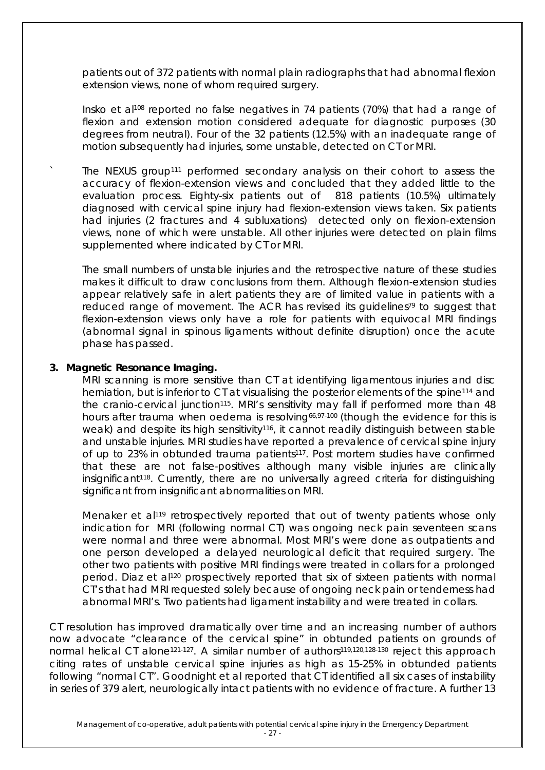patients out of 372 patients with normal plain radiographs that had abnormal flexion extension views, none of whom required surgery.

Insko et al <sup>108</sup> reported no false negatives in 74 patients (70%) that had a range of flexion and extension motion considered adequate for diagnostic purposes (30 degrees from neutral). Four of the 32 patients (12.5%) with an inadequate range of motion subsequently had injuries, some unstable, detected on CT or MRI.

The NEXUS group<sup>111</sup> performed secondary analysis on their cohort to assess the accuracy of flexion-extension views and concluded that they added little to the evaluation process. Eighty-six patients out of 818 patients (10.5%) ultimately diagnosed with cervical spine injury had flexion-extension views taken. Six patients had injuries (2 fractures and 4 subluxations) detected only on flexion-extension views, none of which were unstable. All other injuries were detected on plain films supplemented where indicated by CT or MRI.

The small numbers of unstable injuries and the retrospective nature of these studies makes it difficult to draw conclusions from them. Although flexion-extension studies appear relatively safe in alert patients they are of limited value in patients with a reduced range of movement. The ACR has revised its guidelines<sup>79</sup> to suggest that flexion-extension views only have a role for patients with equivocal MRI findings (abnormal signal in spinous ligaments without definite disruption) once the acute phase has passed.

#### **3. Magnetic Resonance Imaging.**

MRI scanning is more sensitive than CT at identifying ligamentous injuries and disc herniation, but is inferior to CT at visualising the posterior elements of the spine<sup>114</sup> and the cranio-cervical junction<sup>115</sup>. MRI's sensitivity may fall if performed more than 48 hours after trauma when oedema is resolving<sup>66,97-100</sup> (though the evidence for this is weak) and despite its high sensitivity<sup>116</sup>, it cannot readily distinguish between stable and unstable injuries. MRI studies have reported a prevalence of cervical spine injury of up to 23% in obtunded trauma patients<sup>117</sup>. Post mortem studies have confirmed that these are not false-positives although many visible injuries are clinically insignificant<sup>118</sup>. Currently, there are no universally agreed criteria for distinguishing significant from insignificant abnormalities on MRI.

Menaker et al119 retrospectively reported that out of twenty patients whose only indication for MRI (following normal CT) was ongoing neck pain seventeen scans were normal and three were abnormal. Most MRI's were done as outpatients and one person developed a delayed neurological deficit that required surgery. The other two patients with positive MRI findings were treated in collars for a prolonged period. Diaz et al120 prospectively reported that six of sixteen patients with normal CT's that had MRI requested solely because of ongoing neck pain or tenderness had abnormal MRI's. Two patients had ligament instability and were treated in collars.

CT resolution has improved dramatically over time and an increasing number of authors now advocate "clearance of the cervical spine" in obtunded patients on grounds of normal helical CT alone<sup>121-127</sup>. A similar number of authors<sup>119,120,128-130</sup> reject this approach citing rates of unstable cervical spine injuries as high as 15-25% in obtunded patients following "normal CT". Goodnight et al reported that CT identified all six cases of instability in series of 379 alert, neurologically intact patients with no evidence of fracture. A further 13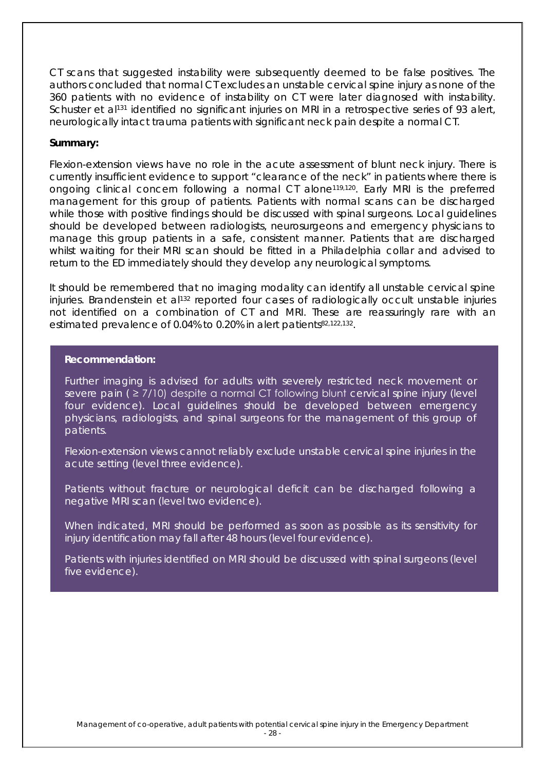CT scans that suggested instability were subsequently deemed to be false positives. The authors concluded that normal CT excludes an unstable cervical spine injury as none of the 360 patients with no evidence of instability on CT were later diagnosed with instability. Schuster et al<sup>131</sup> identified no significant injuries on MRI in a retrospective series of 93 alert, neurologically intact trauma patients with significant neck pain despite a normal CT.

#### **Summary:**

Flexion-extension views have no role in the acute assessment of blunt neck injury. There is currently insufficient evidence to support "clearance of the neck" in patients where there is ongoing clinical concern following a normal CT alone119,120. Early MRI is the preferred management for this group of patients. Patients with normal scans can be discharged while those with positive findings should be discussed with spinal surgeons. Local guidelines should be developed between radiologists, neurosurgeons and emergency physicians to manage this group patients in a safe, consistent manner. Patients that are discharged whilst waiting for their MRI scan should be fitted in a Philadelphia collar and advised to return to the ED immediately should they develop any neurological symptoms.

It should be remembered that no imaging modality can identify all unstable cervical spine injuries. Brandenstein et al<sup>132</sup> reported four cases of radiologically occult unstable injuries not identified on a combination of CT and MRI. These are reassuringly rare with an estimated prevalence of 0.04% to 0.20% in alert patients<sup>82,122,132</sup>.

#### **Recommendation:**

Further imaging is advised for adults with severely restricted neck movement or severe pain ( ≥ 7/10) despite a normal CT following blunt cervical spine injury (level four evidence). Local guidelines should be developed between emergency physicians, radiologists, and spinal surgeons for the management of this group of patients.

Flexion-extension views cannot reliably exclude unstable cervical spine injuries in the acute setting (level three evidence).

Patients without fracture or neurological deficit can be discharged following a negative MRI scan (level two evidence).

When indicated, MRI should be performed as soon as possible as its sensitivity for injury identification may fall after 48 hours (level four evidence).

Patients with injuries identified on MRI should be discussed with spinal surgeons (level five evidence).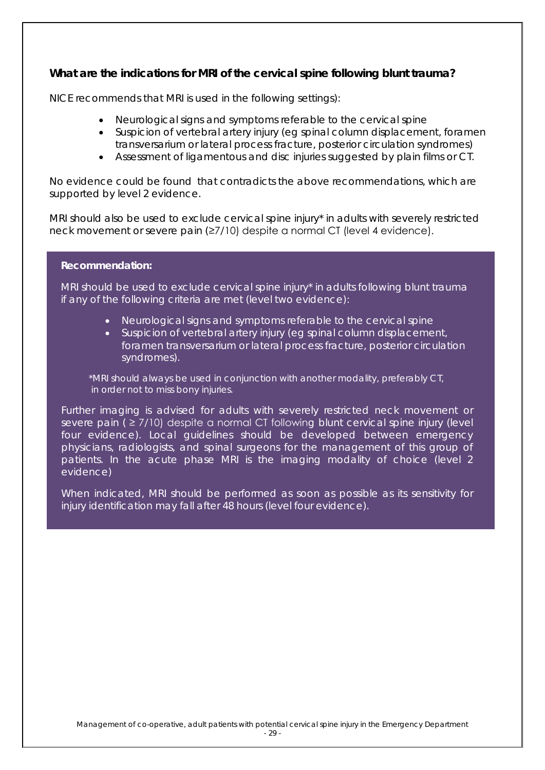### **What are the indications for MRI of the cervical spine following blunt trauma?**

NICE recommends that MRI is used in the following settings):

- Neurological signs and symptoms referable to the cervical spine
- Suspicion of vertebral artery injury (eg spinal column displacement, foramen transversarium or lateral process fracture, posterior circulation syndromes)
- Assessment of ligamentous and disc injuries suggested by plain films or CT.

No evidence could be found that contradicts the above recommendations, which are supported by level 2 evidence.

MRI should also be used to exclude cervical spine injury\* in adults with severely restricted neck movement or severe pain (≥7/10) despite a normal CT (level 4 evidence).

#### **Recommendation:**

MRI should be used to exclude cervical spine injury\* in adults following blunt trauma if any of the following criteria are met (level two evidence):

- Neurological signs and symptoms referable to the cervical spine
- Suspicion of vertebral artery injury (eg spinal column displacement, foramen transversarium or lateral process fracture, posterior circulation syndromes).

*\*MRI should always be used in conjunction with another modality, preferably CT, in order not to miss bony injuries.*

Further imaging is advised for adults with severely restricted neck movement or severe pain ( ≥ 7/10) despite a normal CT following blunt cervical spine injury (level four evidence). Local guidelines should be developed between emergency physicians, radiologists, and spinal surgeons for the management of this group of patients. In the acute phase MRI is the imaging modality of choice (level 2 evidence)

When indicated, MRI should be performed as soon as possible as its sensitivity for injury identification may fall after 48 hours (level four evidence).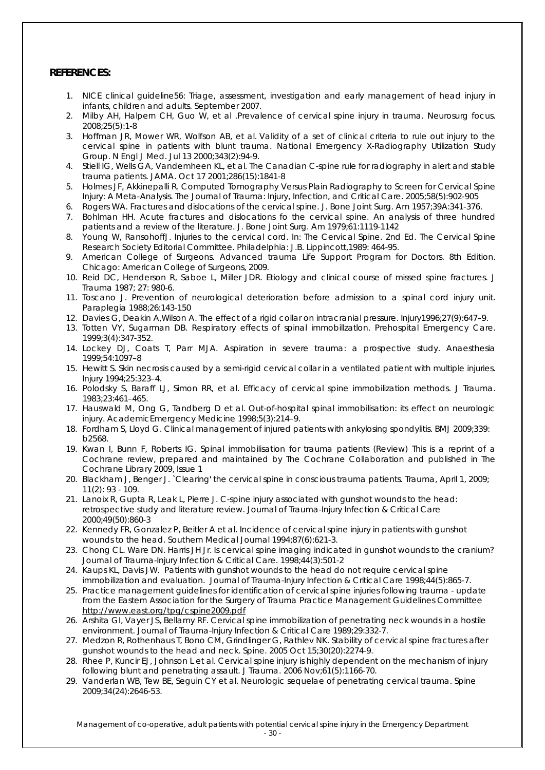#### **REFERENCES:**

- 1. NICE clinical guideline56: Triage, assessment, investigation and early management of head injury in infants, children and adults. September 2007.
- 2. Milby AH, Halpern CH, Guo W, et al .Prevalence of cervical spine injury in trauma. *Neurosurg focus.*  2008;25(5):1-8
- 3. Hoffman JR, Mower WR, Wolfson AB, et al. Validity of a set of clinical criteria to rule out injury to the cervical spine in patients with blunt trauma. National Emergency X-Radiography Utilization Study Group. *N Engl J Med*. Jul 13 2000;343(2):94-9.
- 4. Stiell IG, Wells GA, Vandemheen KL, et al. The Canadian C-spine rule for radiography in alert and stable trauma patients. *JAMA*. Oct 17 2001;286(15):1841-8
- 5. Holmes JF, Akkinepalli R. Computed Tomography Versus Plain Radiography to Screen for Cervical Spine Injury: A Meta-Analysis. T*he Journal of Trauma: Injury, Infection, and Critical Care*. 2005;58(5):902-905
- 6. Rogers WA. Fractures and dislocations of the cervical spine. *J. Bone Joint Surg. Am* 1957;39A:341-376.
- 7. Bohlman HH. Acute fractures and dislocations fo the cervical spine. An analysis of three hundred patients and a review of the literature. *J. Bone Joint Surg. Am* 1979;61:1119-1142
- 8. Young W, RansohoffJ. Injuries to the cervical cord. In: The Cervical Spine. 2nd Ed. The Cervical Spine Research Society Editorial Committee. Philadelphia: J.B. Lippincott,1989: 464-95.
- 9. American College of Surgeons. Advanced trauma Life Support Program for Doctors. 8th Edition. Chicago: American College of Surgeons, 2009.
- 10. Reid DC, Henderson R, Saboe L, Miller JDR. Etiology and clinical course of missed spine fractures. *J Trauma* 1987; 27: 980-6.
- 11. Toscano J. Prevention of neurological deterioration before admission to a spinal cord injury unit. *Paraplegia* 1988;26:143-150
- 12. Davies G, Deakin A,Wilson A. The effect of a rigid collar on intracranial pressure. *Injury*1996;27(9):647–9.
- 13. Totten VY, Sugarman DB. Respiratory effects of spinal immobillzatlon. *Prehospital Emergency Care*. 1999;3(4):347-352.
- 14. Lockey DJ, Coats T, Parr MJA. Aspiration in severe trauma: a prospective study. *Anaesthesia* 1999;54:1097–8
- 15. Hewitt S. Skin necrosis caused by a semi-rigid cervical collar in a ventilated patient with multiple injuries. *Injury* 1994;25:323–4.
- 16. Polodsky S, Baraff LJ, Simon RR, et al. Efficacy of cervical spine immobilization methods. *J Trauma.*  1983;23:461–465.
- 17. Hauswald M, Ong G, Tandberg D et al. Out-of-hospital spinal immobilisation: its effect on neurologic injury. *AcademicEmergency Medicine* 1998;5(3):214–9.
- 18. Fordham S, Lloyd G. Clinical management of injured patients with ankylosing spondylitis. *BMJ* 2009;339: b2568.
- 19. Kwan I, Bunn F, Roberts IG. Spinal immobilisation for trauma patients (Review) This is a reprint of a Cochrane review, prepared and maintained by The Cochrane Collaboration and published in The *Cochrane Library* 2009, Issue 1
- 20. Blackham J, Benger J. `Clearing' the cervical spine in conscious trauma patients. *Trauma*, April 1, 2009; 11(2): 93 - 109.
- 21. Lanoix R, Gupta R, Leak L, Pierre J. C-spine injury associated with gunshot wounds to the head: retrospective study and literature review. *Journal of Trauma-Injury Infection & Critical Care*  2000;49(50):860-3
- 22. Kennedy FR, Gonzalez P, Beitler A et al. Incidence of cervical spine injury in patients with gunshot wounds to the head. *Southern Medical Journal* 1994;87(6):621-3.
- 23. Chong CL. Ware DN. Harris JH Jr. Is cervical spine imaging indicated in gunshot wounds to the cranium? *Journal of Trauma-Injury Infection & Critical Care.* 1998;44(3):501-2
- 24. Kaups KL, Davis JW. Patients with gunshot wounds to the head do not require cervical spine immobilization and evaluation. *Journal of Trauma-Injury Infection & Critical Care* 1998;44(5):865-7.
- 25. Practice management guidelines for identification of cervical spine injuries following trauma update from the Eastern Association for the Surgery of Trauma Practice Management Guidelines Committee <http://www.east.org/tpg/cspine2009.pdf>
- 26. Arshita GI, Vayer JS, Bellamy RF. Cervical spine immobilization of penetrating neck wounds in a hostile environment. *Journal of Trauma-Injury Infection & Critical Care* 1989;29:332-7.
- 27. Medzon R, Rothenhaus T, Bono CM, Grindlinger G, Rathlev NK. Stability of cervical spine fractures after gunshot wounds to the head and neck. *Spine.* 2005 Oct 15;30(20):2274-9.
- 28. Rhee P, Kuncir EJ, Johnson L et al. Cervical spine injury is highly dependent on the mechanism of injury following blunt and penetrating assault. *J Trauma.* 2006 Nov;61(5):1166-70.
- 29. Vanderlan WB, Tew BE, Seguin CY et al. Neurologic sequelae of penetrating cervical trauma. *Spine* 2009;34(24):2646-53.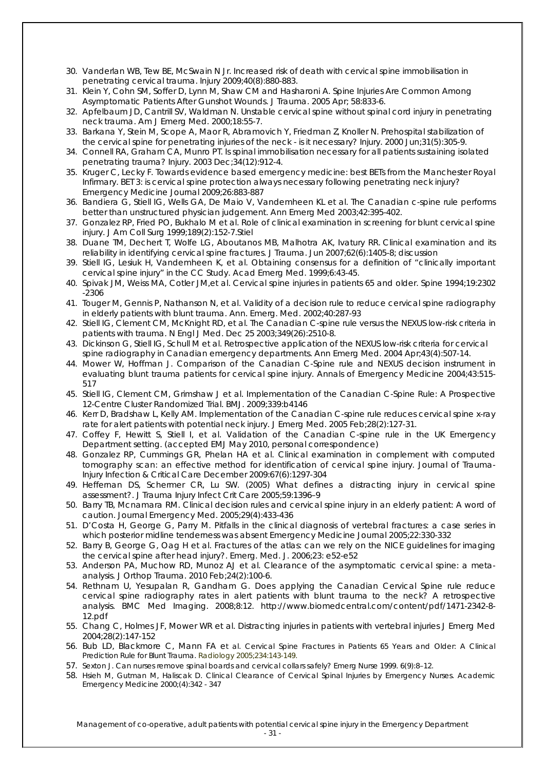- 30. Vanderlan WB, Tew BE, McSwain N Jr. Increased risk of death with cervical spine immobilisation in penetrating cervical trauma. *Injury* 2009;40(8):880-883.
- 31. Klein Y, Cohn SM, Soffer D, Lynn M, Shaw CM and Hasharoni A. Spine Injuries Are Common Among Asymptomatic Patients After Gunshot Wounds. *J Trauma.* 2005 Apr; 58:833-6.
- 32. Apfelbaum JD, Cantrill SV, Waldman N. Unstable cervical spine without spinal cord injury in penetrating neck trauma. *Am J Emerg Med.* 2000;18:55-7.
- 33. Barkana Y, Stein M, Scope A, Maor R, Abramovich Y, Friedman Z, Knoller N. Prehospital stabilization of the cervical spine for penetrating injuries of the neck - is it necessary? *Injury.* 2000 Jun;31(5):305-9.
- 34. Connell RA, Graham CA, Munro PT. Is spinal immobilisation necessary for all patients sustaining isolated penetrating trauma? *Injury.* 2003 Dec;34(12):912-4.
- 35. Kruger C, Lecky F. Towards evidence based emergency medicine: best BETs from the Manchester Royal Infirmary. BET 3: is cervical spine protection always necessary following penetrating neck injury? *Emergency Medicine Journal* 2009;26:883-887
- 36. Bandiera G, Stiell IG, Wells GA, De Maio V, Vandemheen KL et al. The Canadian c-spine rule performs better than unstructured physician judgement. *Ann Emerg Med* 2003;42:395-402.
- 37. Gonzalez RP, Fried PO, Bukhalo M et al. Role of clinical examination in screening for blunt cervical spine injury. *J Am Coll Surg* 1999;189(2):152-7.Stiel
- 38. Duane TM, Dechert T, Wolfe LG, Aboutanos MB, Malhotra AK, Ivatury RR. Clinical examination and its reliability in identifying cervical spine fractures. *J Trauma*. Jun 2007;62(6):1405-8; discussion
- 39. Stiell IG, Lesiuk H, Vandemheen K, et al. Obtaining consensus for a definition of "clinically important cervical spine injury" in the CC Study. *Acad Emerg Med*. 1999;6:43-45.
- 40. Spivak JM, Weiss MA, Cotler JM,et al. Cervical spine injuries in patients 65 and older. *Spine* 1994;19:2302 -2306
- 41. Touger M, Gennis P, Nathanson N, et al. Validity of a decision rule to reduce cervical spine radiography in elderly patients with blunt trauma. Ann. Emerg. Med. 2002;40:287-93
- 42. Stiell IG, Clement CM, McKnight RD, et al. The Canadian C-spine rule versus the NEXUS low-risk criteria in patients with trauma. *N Engl J Med*. Dec 25 2003;349(26):2510-8.
- 43. Dickinson G, Stiell IG, Schull M et al. Retrospective application of the NEXUS low-risk criteria for cervical spine radiography in Canadian emergency departments. *Ann Emerg Med .* 2004 Apr;43(4):507-14.
- 44. Mower W, Hoffman J. Comparison of the Canadian C-Spine rule and NEXUS decision instrument in evaluating blunt trauma patients for cervical spine injury. *Annals of Emergency Medicine* 2004;43:515- 517
- 45. Stiell IG, Clement CM, Grimshaw J et al. [Implementation of the Canadian C-Spine Rule: A Prospective](http://www.ncbi.nlm.nih.gov/pubmed/19875425)  [12-Centre Cluster Randomized Trial.](http://www.ncbi.nlm.nih.gov/pubmed/19875425) *BMJ*. 2009;339:b4146
- 46. Kerr D, Bradshaw L, Kelly AM. Implementation of the Canadian C-spine rule reduces cervical spine x-ray rate for alert patients with potential neck injury. *J Emerg Med.* 2005 Feb;28(2):127-31.
- 47. Coffey F, Hewitt S, Stiell I, et al. Validation of the Canadian C-spine rule in the UK Emergency Department setting. (*accepted EMJ May 2010,* personal correspondence)
- 48. Gonzalez RP, Cummings GR, Phelan HA et al. Clinical examination in complement with computed tomography scan: an effective method for identification of cervical spine injury. *Journal of Trauma-Injury Infection & Critical Care* December 2009:67(6):1297-304
- 49. Heffernan DS, Schermer CR, Lu SW. (2005) What defines a distracting injury in cervical spine assessment?. *J Trauma Injury Infect Crit Care* 2005;59:1396–9
- 50. Barry TB, Mcnamara RM. Clinical decision rules and cervical spine injury in an elderly patient: A word of caution. *Journal Emergency Med.* 2005;29(4):433-436
- 51. D'Costa H, George G, Parry M. Pitfalls in the clinical diagnosis of vertebral fractures: a case series in which posterior midline tenderness was absent *Emergency Medicine Journal* 2005;22:330-332
- 52. Barry B, George G, Oag H et al. Fractures of the atlas: can we rely on the NICE guidelines for imaging the cervical spine after head injury?. *Emerg. Med. J.* 2006;23: e52-e52
- 53. Anderson PA, Muchow RD, Munoz AJ et al. Clearance of the asymptomatic cervical spine: a metaanalysis. *J Orthop Trauma*. 2010 Feb;24(2):100-6.
- 54. Rethnam U, Yesupalan R, Gandham G. Does applying the Canadian Cervical Spine rule reduce cervical spine radiography rates in alert patients with blunt trauma to the neck? A retrospective analysis. *BMC Med Imaging*. 2008;8:12. http://www.biomedcentral.com/content/pdf/1471-2342-8- 12.pdf
- 55. Chang C, Holmes JF, Mower WR et al. Distracting injuries in patients with vertebral injuries *J Emerg Med* 2004;28(2):147-152
- 56. Bub LD, Blackmore C, Mann FA et al. Cervical Spine Fractures in Patients 65 Years and Older: A Clinical Prediction Rule for Blunt Trauma. *Radiology* 2005;234:143-149.
- 57. Sexton J. Can nurses remove spinal boards and cervical collars safely? *Emerg Nurse* 1999. 6(9):8–12.
- 58. Hsieh M, Gutman M, Haliscak D. Clinical Clearance of Cervical Spinal Injuries by Emergency Nurses. *Academic Emergency Medicine* 2000;(4):342 - 347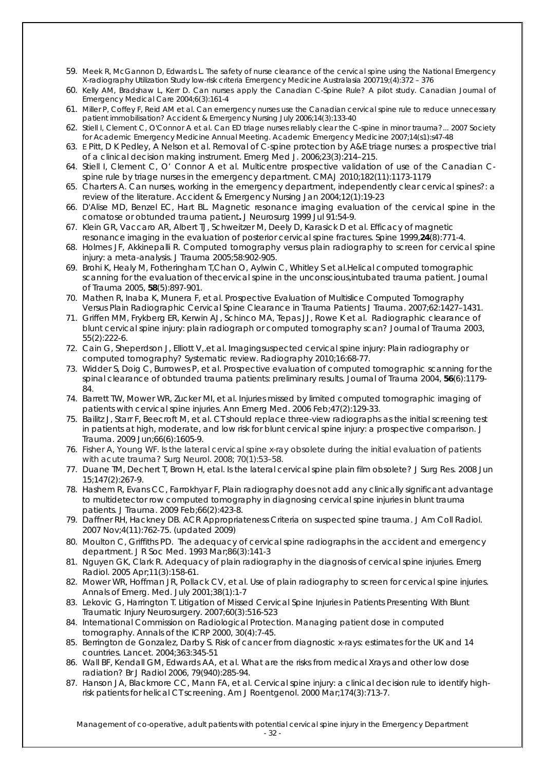- 59. Meek R, McGannon D, Edwards L. The safety of nurse clearance of the cervical spine using the National Emergency X-radiography Utilization Study low-risk criteria *Emergency Medicine Australasia* 200719;(4):372 – 376
- 60. Kelly AM, Bradshaw L, Kerr D. Can nurses apply the Canadian C-Spine Rule? A pilot study. *Canadian Journal of Emergency Medical Care* 2004;6(3):161-4
- 61. Miller P, Coffey F, Reid AM et al. Can emergency nurses use the Canadian cervical spine rule to reduce unnecessary patient immobilisation? *Accident & Emergency Nursing* July 2006;14(3):133-40
- 62. Stiell I, Clement C, O'Connor A et al. Can ED triage nurses reliably clear the C-spine in minor trauma?... 2007 Society for Academic Emergency Medicine Annual Meeting. *Academic Emergency Medicine* 2007;14(s1):s47-48
- 63. E Pitt, D K Pedley, A Nelson et al. Removal of C‐spine protection by A&E triage nurses: a prospective trial of a clinical decision making instrument. *Emerg Med J*. 2006;23(3):214–215.
- 64. Stiell I, Clement C, O' Connor A et al. Multicentre prospective validation of use of the Canadian Cspine rule by triage nurses in the emergency department. *CMAJ* 2010;182(11):1173-1179
- 65. Charters A. Can nurses, working in the emergency department, independently clear cervical spines?: a review of the literature. *Accident & Emergency Nursing* Jan 2004;12(1):19-23
- 66. D'Alise MD, Benzel EC, Hart BL. Magnetic resonance imaging evaluation of the cervical spine in the comatose or obtunded trauma patient**.** *J Neurosurg* 1999 Jul 91:54-9.
- 67. Klein GR, Vaccaro AR, Albert TJ, Schweitzer M, Deely D, Karasick D *et al*. Efficacy of magnetic resonance imaging in the evaluation of posterior cervical spine fractures. *Spine* 1999,**24**(8):771-4.
- 68. Holmes JF, Akkinepalli R. Computed tomography versus plain radiography to screen for cervical spine injury: a meta-analysis. *J Trauma* 2005;58:902-905.
- 69. Brohi K, Healy M, Fotheringham T,Chan O, Aylwin C, Whitley S *et al*.Helical computed tomographic scanning for the evaluation of thecervical spine in the unconscious,intubated trauma patient. *Journal of Trauma* 2005, **58**(5):897-901.
- 70. Mathen R, Inaba K, Munera F, et al. Prospective Evaluation of Multislice Computed Tomography Versus Plain Radiographic Cervical Spine Clearance in Trauma Patients *J Trauma.* 2007;62:1427–1431.
- 71. Griffen MM, Frykberg ER, Kerwin AJ, Schinco MA, Tepas JJ, Rowe K *et al*. Radiographic clearance of blunt cervical spine injury: plain radiograph or computed tomography scan? *Journal of Trauma* 2003, 55(2):222-6.
- 72. Cain G, Sheperdson J, Elliott V,.et al. Imagingsuspected cervical spine injury: Plain radiography or computed tomography? Systematic review. *Radiography* 2010;16:68-77.
- 73. Widder S, Doig C, Burrowes P, et al. Prospective evaluation of computed tomographic scanning for the spinal clearance of obtunded trauma patients: preliminary results. *Journal of Trauma* 2004, **56**(6):1179- 84.
- 74. Barrett TW, Mower WR, Zucker MI, et al. Injuries missed by limited computed tomographic imaging of patients with cervical spine injuries. *Ann Emerg Med*. 2006 Feb;47(2):129-33.
- 75. Bailitz J, Starr F, Beecroft M, et al. CT should replace three-view radiographs as the initial screening test in patients at high, moderate, and low risk for blunt cervical spine injury: a prospective comparison. *J Trauma* . 2009 Jun;66(6):1605-9.
- 76. Fisher A, Young WF. *Is the lateral cervical spine x-ray obsolete during the initial evaluation of patients with acute trauma? Surg Neurol. 2008; 70(1):53–58.*
- 77. Duane TM, Dechert T, Brown H, etal. Is the lateral cervical spine plain film obsolete? *J Surg Res.* 2008 Jun 15;147(2):267-9.
- 78. Hashem R, Evans CC, Farrokhyar F, Plain radiography does not add any clinically significant advantage to multidetector row computed tomography in diagnosing cervical spine injuries in blunt trauma patients. *[J Trauma.](javascript:AL_get(this,%20)* 2009 Feb;66(2):423-8.
- 79. Daffner RH, Hackney DB. ACR Appropriateness Criteria on suspected spine trauma. *J Am Coll Radiol* . 2007 Nov;4(11):762-75. (updated 2009)
- 80. Moulton C, Griffiths PD. The adequacy of cervical spine radiographs in the accident and emergency department. *J R Soc Med* . 1993 Mar;86(3):141-3
- 81. Nguyen GK, Clark R. Adequacy of plain radiography in the diagnosis of cervical spine injuries. *Emerg Radiol .* 2005 Apr;11(3):158-61.
- 82. Mower WR, Hoffman JR, Pollack CV, et al. Use of plain radiography to screen for cervical spine injuries. *Annals of Emerg. Med.* July 2001;38(1):1-7
- 83. Lekovic G, Harrington T. Litigation of Missed Cervical Spine Injuries in Patients Presenting With Blunt Traumatic Injury Neurosurgery. 2007;60(3):516-523
- 84. International Commission on Radiological Protection. Managing patient dose in computed tomography. *Annals of the ICRP* 2000, 30(4):7-45.
- 85. Berrington de Gonzalez, Darby S. Risk of cancer from diagnostic x-rays: estimates for the UK and 14 countries. *Lancet.* 2004;363:345-51
- 86. Wall BF, Kendall GM, Edwards AA, et al. What are the risks from medical Xrays and other low dose radiation? *Br J Radiol* 2006, 79(940):285-94.
- 87. Hanson JA, Blackmore CC, Mann FA, et al. Cervical spine injury: a clinical decision rule to identify highrisk patients for helical CT screening. *Am J Roentgenol*. 2000 Mar;174(3):713-7.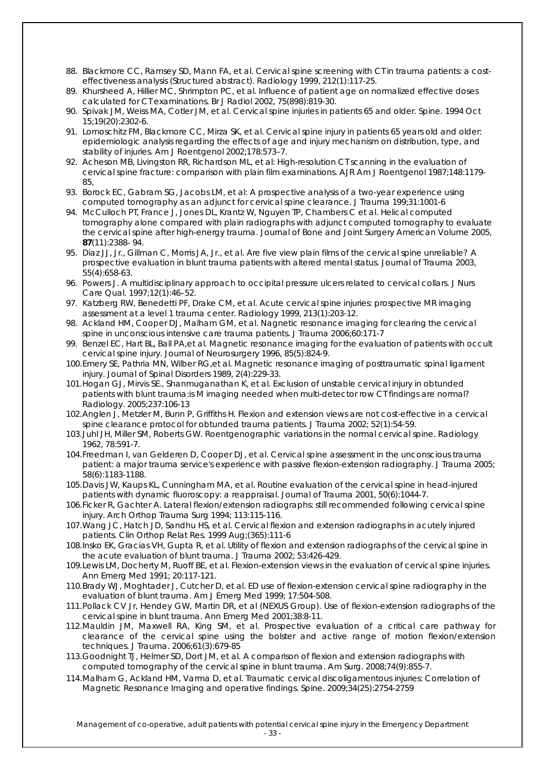- 88. Blackmore CC, Ramsey SD, Mann FA, et al. Cervical spine screening with CT in trauma patients: a costeffectiveness analysis (Structured abstract). *Radiology* 1999, 212(1):117-25.
- 89. Khursheed A, Hillier MC, Shrimpton PC, et al. Influence of patient age on normalized effective doses calculated for CT examinations. *Br J Radiol* 2002, 75(898):819-30.
- 90. Spivak JM, Weiss MA, Cotler JM, et al. Cervical spine injuries in patients 65 and older. *Spine.* 1994 Oct 15;19(20):2302-6.
- 91. Lomoschitz FM, Blackmore CC, Mirza SK, et al. Cervical spine injury in patients 65 years old and older: epidemiologic analysis regarding the effects of age and injury mechanism on distribution, type, and stability of injuries. *Am J Roentgenol* 2002;178:573–7.
- 92. Acheson MB, Livingston RR, Richardson ML, et al: High-resolution CT scanning in the evaluation of cervical spine fracture: comparison with plain film examinations. *AJR Am J Roentgenol* 1987;148:1179- 85,
- 93. Borock EC, Gabram SG, Jacobs LM, et al: A prospective analysis of a two-year experience using computed tomography as an adjunct for cervical spine clearance. *J Trauma* 199;31:1001-6
- 94. McCulloch PT, France J, Jones DL, Krantz W, Nguyen TP, Chambers C *et al*. Helical computed tomography alone compared with plain radiographs with adjunct computed tomography to evaluate the cervical spine after high-energy trauma. *Journal of Bone and Joint Surgery American Volume* 2005, **87**(11):2388- 94.
- 95. Diaz JJ, Jr., Gillman C, Morris JA, Jr., et al. Are five view plain films of the cervical spine unreliable? A prospective evaluation in blunt trauma patients with altered mental status. *Journal of Trauma* 2003, 55(4):658-63.
- 96. Powers J. A multidisciplinary approach to occipital pressure ulcers related to cervical collars. *J Nurs Care Qual.* 1997;12(1):46–52.
- 97. Katzberg RW, Benedetti PF, Drake CM, *et al*. Acute cervical spine injuries: prospective MR imaging assessment at a level 1 trauma center. *Radiology* 1999, 213(1):203-12.
- 98. Ackland HM, Cooper DJ, Malham GM, et al. Nagnetic resonance imaging for clearing the cervical spine in unconscious intensive care trauma patients. *J Trauma* 2006;60:171-7
- 99. Benzel EC, Hart BL, Ball PA,et al. Magnetic resonance imaging for the evaluation of patients with occult cervical spine injury. *Journal of Neurosurgery* 1996, 85(5):824-9.
- 100.Emery SE, Pathria MN, Wilber RG,et al. Magnetic resonance imaging of posttraumatic spinal ligament injury. *Journal of Spinal Disorders* 1989, 2(4):229-33.
- 101.Hogan GJ, Mirvis SE., Shanmuganathan K, et al. Exclusion of unstable cervical injury in obtunded patients with blunt trauma:is M imaging needed when multi-detector row CT findings are normal? *Radiology*. 2005;237:106-13
- 102.Anglen J, Metzler M, Bunn P, Griffiths H. Flexion and extension views are not cost-effective in a cervical spine clearance protocol for obtunded trauma patients. *J Trauma* 2002; 52(1):54-59.
- 103.Juhl JH, Miller SM, Roberts GW. Roentgenographic variations in the normal cervical spine. *Radiology* 1962, 78:591-7.
- 104.Freedman I, van Gelderen D, Cooper DJ, et al. Cervical spine assessment in the unconscious trauma patient: a major trauma service's experience with passive flexion-extension radiography. *J Trauma* 2005; 58(6):1183-1188.
- 105.Davis JW, Kaups KL, Cunningham MA, *et al*. Routine evaluation of the cervical spine in head-injured patients with dynamic fluoroscopy: a reappraisal. *Journal of Trauma* 2001, 50(6):1044-7.
- 106.Ficker R, Gachter A. Lateral flexion/extension radiographs: still recommended following cervical spine injury. *Arch Orthop Trauma Surg* 1994; 113:115-116.
- 107.Wang JC, Hatch JD, Sandhu HS, et al. Cervical flexion and extension radiographs in acutely injured patients. *Clin Orthop Relat Res*. 1999 Aug;(365):111-6
- 108.Insko EK, Gracias VH, Gupta R, et al. Utility of flexion and extension radiographs of the cervical spine in the acute evaluation of blunt trauma. *J Trauma* 2002; 53:426-429.
- 109.Lewis LM, Docherty M, Ruoff BE, et al. Flexion-extension views in the evaluation of cervical spine injuries. *Ann Emerg Med* 1991; 20:117-121.
- 110.Brady WJ, Moghtader J, Cutcher D, et al. ED use of flexion-extension cervical spine radiography in the evaluation of blunt trauma. *Am J Emerg Med* 1999; 17:504-508.
- 111.Pollack CV Jr, Hendey GW, Martin DR, et al (NEXUS Group). Use of flexion-extension radiographs of the cervical spine in blunt trauma. *Ann Emerg Med* 2001;38:8-11.
- 112.Mauldin JM, Maxwell RA, King SM, et al. Prospective evaluation of a critical care pathway for clearance of the cervical spine using the bolster and active range of motion flexion/extension techniques. *J Trauma*. 2006;61(3):679-85
- 113.Goodnight TJ, Helmer SD, Dort JM, et al. A comparison of flexion and extension radiographs with computed tomography of the cervical spine in blunt trauma. *Am Surg*. 2008;74(9):855-7.
- 114.Malham G, Ackland HM, Varma D, et al. Traumatic cervical discoligamentous injuries: Correlation of Magnetic Resonance Imaging and operative findings. *Spine*. 2009;34(25):2754-2759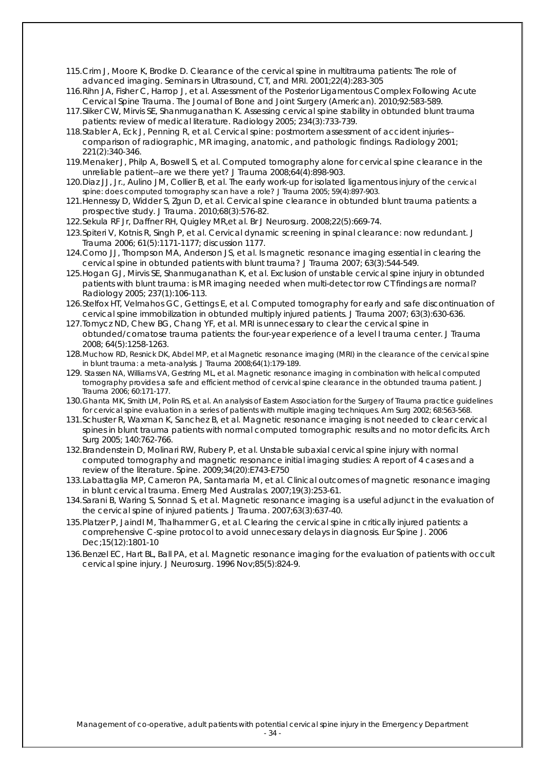- 115.Crim J, Moore K, Brodke D. Clearance of the cervical spine in multitrauma patients: The role of advanced imaging. *Seminars in Ultrasound, CT, and MRI*. 2001;22(4):283-305
- 116.Rihn JA, Fisher C, Harrop J, et al. Assessment of the Posterior Ligamentous Complex Following Acute Cervical Spine Trauma. *The Journal of Bone and Joint Surgery (American)*. 2010;92:583-589.
- 117.Sliker CW, Mirvis SE, Shanmuganathan K. Assessing cervical spine stability in obtunded blunt trauma patients: review of medical literature. *Radiology* 2005; 234(3):733-739.
- 118.Stabler A, Eck J, Penning R, et al. Cervical spine: postmortem assessment of accident injuries- comparison of radiographic, MR imaging, anatomic, and pathologic findings. *Radiology* 2001; 221(2):340-346.
- 119.Menaker J, Philp A, Boswell S, et al. Computed tomography alone for cervical spine clearance in the unreliable patient--are we there yet*? J Trauma* 2008;64(4):898-903.
- 120.Diaz JJ, Jr., Aulino JM, Collier B, et al. The early work-up for isolated ligamentous injury of the cervical spine: does computed tomography scan have a role? *J Trauma* 2005; 59(4):897-903.
- 121.Hennessy D, Widder S, Zgun D, et al. Cervical spine clearance in obtunded blunt trauma patients: a prospective study. *J Trauma.* 2010;68(3):576-82.
- 122.Sekula RF Jr, Daffner RH, Quigley MR,et al. *Br J Neurosurg* . 2008;22(5):669-74.
- 123.Spiteri V, Kotnis R, Singh P, et al. Cervical dynamic screening in spinal clearance: now redundant. *J Trauma* 2006; 61(5):1171-1177; discussion 1177.
- 124.Como JJ, Thompson MA, Anderson JS, et al. Is magnetic resonance imaging essential in clearing the cervical spine in obtunded patients with blunt trauma? *J Trauma* 2007; 63(3):544-549.
- 125.Hogan GJ, Mirvis SE, Shanmuganathan K, et al. Exclusion of unstable cervical spine injury in obtunded patients with blunt trauma: is MR imaging needed when multi-detector row CT findings are normal? *Radiology* 2005; 237(1):106-113.
- 126.Stelfox HT, Velmahos GC, Gettings E, et al. Computed tomography for early and safe discontinuation of cervical spine immobilization in obtunded multiply injured patients. *J Trauma* 2007; 63(3):630-636.
- 127.Tomycz ND, Chew BG, Chang YF, et al. MRI is unnecessary to clear the cervical spine in obtunded/comatose trauma patients: the four-year experience of a level I trauma center. *J Trauma*  2008; 64(5):1258-1263.
- 128.Muchow RD, Resnick DK, Abdel MP, et al Magnetic resonance imaging (MRI) in the clearance of the cervical spine in blunt trauma: a meta-analysis*. J Trauma* 2008;64(1):179-189.
- 129. Stassen NA, Williams VA, Gestring ML, et al. Magnetic resonance imaging in combination with helical computed tomography provides a safe and efficient method of cervical spine clearance in the obtunded trauma patient. *J Trauma* 2006; 60:171-177.
- 130.Ghanta MK, Smith LM, Polin RS, et al. An analysis of Eastern Association for the Surgery of Trauma practice guidelines for cervical spine evaluation in a series of patients with multiple imaging techniques. *Am Surg* 2002; 68:563-568.
- 131.Schuster R, Waxman K, Sanchez B, et al. Magnetic resonance imaging is not needed to clear cervical spines in blunt trauma patients with normal computed tomographic results and no motor deficits. *Arch Surg* 2005; 140:762-766.
- 132.Brandenstein D, Molinari RW, Rubery P, et al. Unstable subaxial cervical spine injury with normal computed tomography and magnetic resonance initial imaging studies: A report of 4 cases and a review of the literature. *Spine*. 2009;34(20):E743-E750
- 133.Labattaglia MP, Cameron PA, Santamaria M, et al. Clinical outcomes of magnetic resonance imaging in blunt cervical trauma. E*merg Med Australas*. 2007;19(3):253-61.
- 134.Sarani B, Waring S, Sonnad S, et al. Magnetic resonance imaging is a useful adjunct in the evaluation of the cervical spine of injured patients. *J Trauma*. 2007;63(3):637-40.
- 135.Platzer P, Jaindl M, Thalhammer G, et al. Clearing the cervical spine in critically injured patients: a comprehensive C-spine protocol to avoid unnecessary delays in diagnosis. *Eur Spine J* . 2006 Dec;15(12):1801-10
- 136.Benzel EC, Hart BL, Ball PA, et al. Magnetic resonance imaging for the evaluation of patients with occult cervical spine injury. *J Neurosurg.* 1996 Nov;85(5):824-9.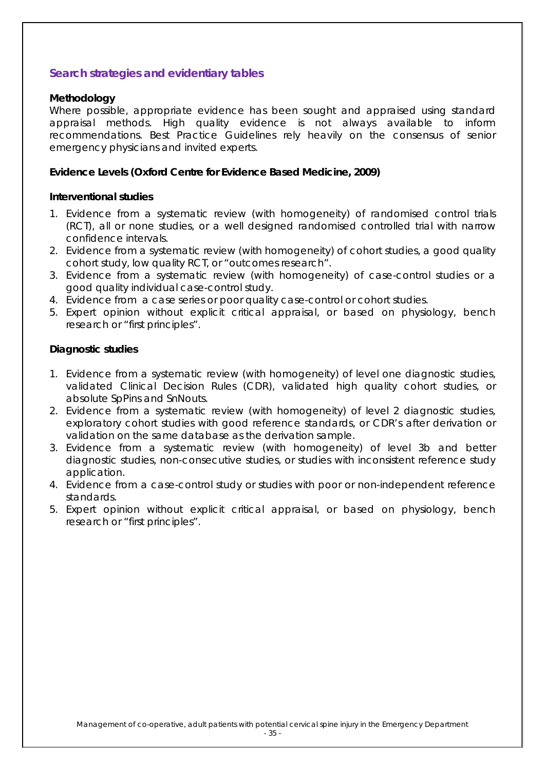### **Search strategies and evidentiary tables**

#### **Methodology**

Where possible, appropriate evidence has been sought and appraised using standard appraisal methods. High quality evidence is not always available to inform recommendations. Best Practice Guidelines rely heavily on the consensus of senior emergency physicians and invited experts.

### **Evidence Levels (Oxford Centre for Evidence Based Medicine, 2009)**

#### **Interventional studies**

- 1. Evidence from a systematic review (with homogeneity) of randomised control trials (RCT), all or none studies, or a well designed randomised controlled trial with narrow confidence intervals.
- 2. Evidence from a systematic review (with homogeneity) of cohort studies, a good quality cohort study, low quality RCT, or "outcomes research".
- 3. Evidence from a systematic review (with homogeneity) of case-control studies or a good quality individual case-control study.
- 4. Evidence from a case series or poor quality case-control or cohort studies.
- 5. Expert opinion without explicit critical appraisal, or based on physiology, bench research or "first principles".

### **Diagnostic studies**

- 1. Evidence from a systematic review (with homogeneity) of level one diagnostic studies, validated Clinical Decision Rules (CDR), validated high quality cohort studies, or absolute SpPins and SnNouts.
- 2. Evidence from a systematic review (with homogeneity) of level 2 diagnostic studies, exploratory cohort studies with good reference standards, or CDR's after derivation or validation on the same database as the derivation sample.
- 3. Evidence from a systematic review (with homogeneity) of level 3b and better diagnostic studies, non-consecutive studies, or studies with inconsistent reference study application.
- 4. Evidence from a case-control study or studies with poor or non-independent reference standards.
- 5. Expert opinion without explicit critical appraisal, or based on physiology, bench research or "first principles".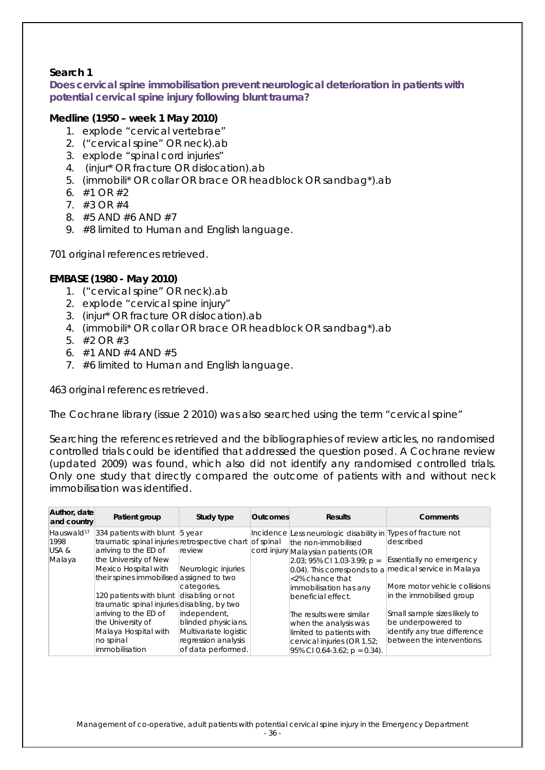### **Search 1**

**Does cervical spine immobilisation prevent neurological deterioration in patients with potential cervical spine injury following blunt trauma?**

#### *Medline (1950 – week 1 May 2010)*

- 1. explode "cervical vertebrae"
- 2. ("cervical spine" OR neck).ab
- 3. explode "spinal cord injuries"
- 4. (injur\* OR fracture OR dislocation).ab
- 5. (immobili\* OR collar OR brace OR headblock OR sandbag\*).ab
- 6.  $\#1$  OR  $\#2$
- 7. #3 OR #4
- 8. #5 AND #6 AND #7
- 9. #8 limited to Human and English language.

701 original references retrieved.

### *EMBASE (1980 - May 2010)*

- 1. ("cervical spine" OR neck).ab
- 2. explode "cervical spine injury"
- 3. (injur\* OR fracture OR dislocation).ab
- 4. (immobili\* OR collar OR brace OR headblock OR sandbag\*).ab
- 5. #2 OR #3
- 6. #1 AND #4 AND #5
- 7. #6 limited to Human and English language.

463 original references retrieved.

The Cochrane library (issue 2 2010) was also searched using the term "cervical spine"

Searching the references retrieved and the bibliographies of review articles, no randomised controlled trials could be identified that addressed the question posed. A Cochrane review (updated 2009) was found, which also did not identify any randomised controlled trials. Only one study that directly compared the outcome of patients with and without neck immobilisation was identified.

| Author, date<br>and country | Patient group                                           | Study type            | <b>Outcomes</b> | <b>Results</b>                                                | Comments                        |
|-----------------------------|---------------------------------------------------------|-----------------------|-----------------|---------------------------------------------------------------|---------------------------------|
| Hauswald <sup>17</sup>      | 334 patients with blunt $\vert$ 5 year                  |                       |                 | Incidence Less neurologic disability in Types of fracture not |                                 |
| 1998                        | traumatic spinal injuries retrospective chart of spinal |                       |                 | the non-immobilised                                           | described                       |
| USA&                        | arriving to the ED of                                   | review                |                 | cord injury Malaysian patients (OR                            |                                 |
| Malaya                      | the University of New                                   |                       |                 | $ 2.03; 95\% \text{ Cl } 1.03-3.99; \text{p} =$               | <b>Essentially no emergency</b> |
|                             | Mexico Hospital with                                    | Neurologic injuries   |                 | $ 0.04$ ). This corresponds to a medical service in Malaya    |                                 |
|                             | their spines immobilised assigned to two                |                       |                 | <2% chance that                                               |                                 |
|                             |                                                         | categories,           |                 | immobilisation has any                                        | More motor vehicle collisions   |
|                             | 120 patients with blunt                                 | disabling or not      |                 | beneficial effect.                                            | in the immobilised group        |
|                             | traumatic spinal injuries disabling, by two             |                       |                 |                                                               |                                 |
|                             | arriving to the ED of                                   | independent,          |                 | The results were similar                                      | Small sample sizes likely to    |
|                             | the University of                                       | blinded physicians.   |                 | when the analysis was                                         | be underpowered to              |
|                             | Malaya Hospital with                                    | Multivariate logistic |                 | limited to patients with                                      | identify any true difference    |
|                             | no spinal                                               | regression analysis   |                 | cervical injuries (OR 1.52;                                   | between the interventions.      |
|                             | <i>immobilisation</i>                                   | of data performed.    |                 | 95% CI 0.64-3.62; $p = 0.34$ ).                               |                                 |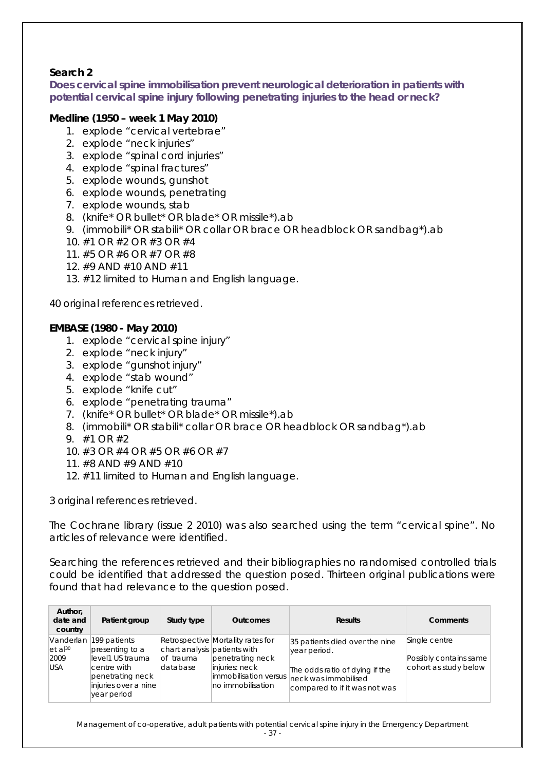### **Search 2**

**Does cervical spine immobilisation prevent neurological deterioration in patients with potential cervical spine injury following penetrating injuries to the head or neck?**

### *Medline (1950 – week 1 May 2010)*

- 1. explode "cervical vertebrae"
- 2. explode "neck injuries"
- 3. explode "spinal cord injuries"
- 4. explode "spinal fractures"
- 5. explode wounds, gunshot
- 6. explode wounds, penetrating
- 7. explode wounds, stab
- 8. (knife\* OR bullet\* OR blade\* OR missile\*).ab
- 9. (immobili\* OR stabili\* OR collar OR brace OR headblock OR sandbag\*).ab
- 10. #1 OR #2 OR #3 OR #4
- 11. #5 OR #6 OR #7 OR #8
- 12. #9 AND #10 AND #11
- 13. #12 limited to Human and English language.

40 original references retrieved.

### *EMBASE (1980 - May 2010)*

- 1. explode "cervical spine injury"
- 2. explode "neck injury"
- 3. explode "gunshot injury"
- 4. explode "stab wound"
- 5. explode "knife cut"
- 6. explode "penetrating trauma"
- 7. (knife\* OR bullet\* OR blade\* OR missile\*).ab
- 8. (immobili\* OR stabili\* collar OR brace OR headblock OR sandbag\*).ab
- 9. #1 OR #2
- 10. #3 OR #4 OR #5 OR #6 OR #7
- 11. #8 AND #9 AND #10
- 12. #11 limited to Human and English language.

3 original references retrieved.

The Cochrane library (issue 2 2010) was also searched using the term "cervical spine". No articles of relevance were identified.

Searching the references retrieved and their bibliographies no randomised controlled trials could be identified that addressed the question posed. Thirteen original publications were found that had relevance to the question posed.

| Author,<br>date and<br>country                           | Patient group                                                                                                                 | Study type                                             | <b>Outcomes</b>                                                                                                       | <b>Results</b>                                                                                                                            | Comments                                                         |
|----------------------------------------------------------|-------------------------------------------------------------------------------------------------------------------------------|--------------------------------------------------------|-----------------------------------------------------------------------------------------------------------------------|-------------------------------------------------------------------------------------------------------------------------------------------|------------------------------------------------------------------|
| Vanderlan<br>$et$ al <sup>30</sup><br>2009<br><b>USA</b> | 199 patients<br>presenting to a<br>level1 US trauma<br>centre with<br>penetrating neck<br>injuries over a nine<br>year period | chart analysis patients with<br>lof trauma<br>database | Retrospective Mortality rates for<br>penetrating neck<br>injuries: neck<br>immobilisation versus<br>no immobilisation | 35 patients died over the nine<br>year period.<br>The odds ratio of dying if the<br>neck was immobilised<br>compared to if it was not was | Single centre<br>Possibly contains same<br>cohort as study below |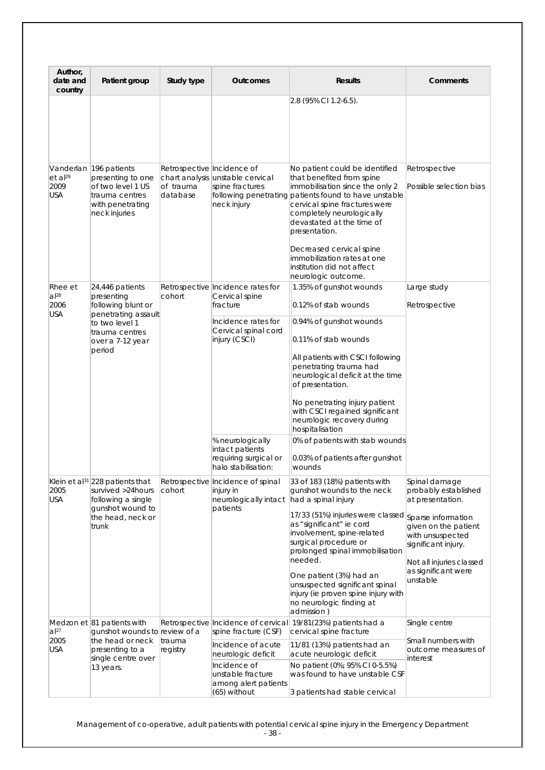| Author,<br>date and<br>country                     | Patient group                                                                                                                                | Study type                                          | <b>Outcomes</b>                                                                                                                                                                                 | <b>Results</b>                                                                                                                                                                                                                                                                                                                                                                                                                            | Comments                                                                                                                                                                                                          |
|----------------------------------------------------|----------------------------------------------------------------------------------------------------------------------------------------------|-----------------------------------------------------|-------------------------------------------------------------------------------------------------------------------------------------------------------------------------------------------------|-------------------------------------------------------------------------------------------------------------------------------------------------------------------------------------------------------------------------------------------------------------------------------------------------------------------------------------------------------------------------------------------------------------------------------------------|-------------------------------------------------------------------------------------------------------------------------------------------------------------------------------------------------------------------|
|                                                    |                                                                                                                                              |                                                     |                                                                                                                                                                                                 | 2.8 (95% CI 1.2-6.5).                                                                                                                                                                                                                                                                                                                                                                                                                     |                                                                                                                                                                                                                   |
| $et$ al <sup>29</sup><br>2009<br>USA               | Vanderlan 196 patients<br>presenting to one<br>of two level 1 US<br>trauma centres<br>with penetrating<br>neck injuries                      | Retrospective Incidence of<br>of trauma<br>database | chart analysis unstable cervical<br>spine fractures<br>neck injury                                                                                                                              | No patient could be identified<br>that benefited from spine<br>immobilisation since the only 2<br>following penetrating patients found to have unstable<br>cervical spine fractures were<br>completely neurologically<br>devastated at the time of<br>presentation.<br>Decreased cervical spine<br>immobilization rates at one<br>institution did not affect                                                                              | Retrospective<br>Possible selection bias                                                                                                                                                                          |
| Rhee et<br>$a$ <sup>28</sup><br>2006<br><b>USA</b> | 24,446 patients<br>presenting<br>following blunt or<br>penetrating assault<br>to two level 1<br>trauma centres<br>over a 7-12 year<br>period | cohort                                              | Retrospective Incidence rates for<br>Cervical spine<br>fracture<br>Incidence rates for<br>Cervical spinal cord<br>injury (CSCI)<br>% neurologically<br>intact patients<br>requiring surgical or | neurologic outcome.<br>1.35% of gunshot wounds<br>0.12% of stab wounds<br>0.94% of gunshot wounds<br>0.11% of stab wounds<br>All patients with CSCI following<br>penetrating trauma had<br>neurological deficit at the time<br>of presentation.<br>No penetrating injury patient<br>with CSCI regained significant<br>neurologic recovery during<br>hospitalisation<br>0% of patients with stab wounds<br>0.03% of patients after gunshot | Large study<br>Retrospective                                                                                                                                                                                      |
| 2005<br><b>USA</b>                                 | Klein et al <sup>31</sup> /228 patients that<br>survived >24 hours<br>following a single<br>qunshot wound to<br>the head, neck or<br>trunk   | cohort                                              | halo stabilisation:<br>Retrospective Incidence of spinal<br>injury in<br>neurologically intact<br>patients                                                                                      | wounds<br>33 of 183 (18%) patients with<br>gunshot wounds to the neck<br>had a spinal injury<br>17/33 (51%) injuries were classed<br>as "significant" ie cord<br>involvement, spine-related<br>surgical procedure or<br>prolonged spinal immobilisation<br>needed.<br>One patient (3%) had an<br>unsuspected significant spinal<br>injury (ie proven spine injury with<br>no neurologic finding at<br>admission)                          | Spinal damage<br>probably established<br>at presentation.<br>Sparse information<br>given on the patient<br>with unsuspected<br>significant injury.<br>Not all injuries classed<br>as significant were<br>unstable |
| al <sup>27</sup><br>2005<br>USA                    | Medzon et 81 patients with<br>qunshot wounds to review of a<br>the head or neck<br>presenting to a<br>single centre over<br>13 years.        | trauma<br>registry                                  | spine fracture (CSF)<br>Incidence of acute<br>neurologic deficit<br>Incidence of<br>unstable fracture<br>among alert patients<br>(65) without                                                   | Retrospective Incidence of cervical 19/81(23%) patients had a<br>cervical spine fracture<br>11/81 (13%) patients had an<br>acute neurologic deficit<br>No patient (0%; 95% CI 0-5.5%)<br>was found to have unstable CSF<br>3 patients had stable cervical                                                                                                                                                                                 | Single centre<br>Small numbers with<br>outcome measures of<br>interest                                                                                                                                            |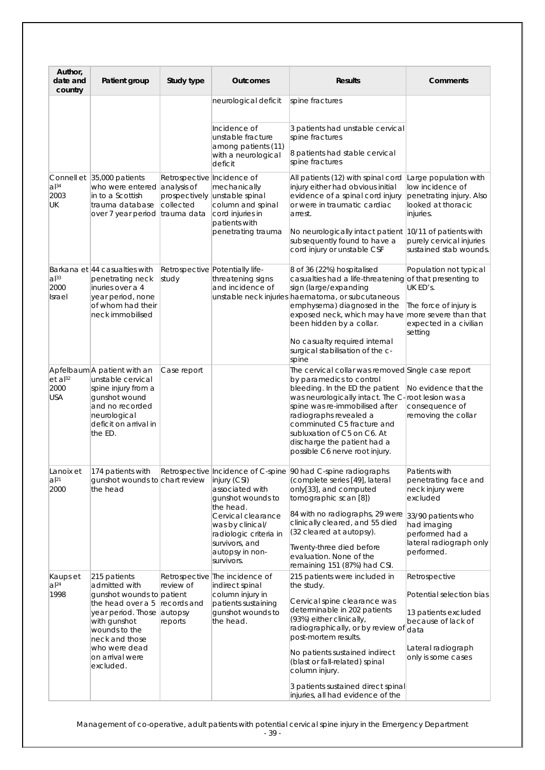| Author,<br>date and<br>country              | Patient group                                                                                                                                                                                                     | Study type                                               | Outcomes                                                                                                                                                                                 | <b>Results</b>                                                                                                                                                                                                                                                                                                                                                             | Comments                                                                                                                                                               |
|---------------------------------------------|-------------------------------------------------------------------------------------------------------------------------------------------------------------------------------------------------------------------|----------------------------------------------------------|------------------------------------------------------------------------------------------------------------------------------------------------------------------------------------------|----------------------------------------------------------------------------------------------------------------------------------------------------------------------------------------------------------------------------------------------------------------------------------------------------------------------------------------------------------------------------|------------------------------------------------------------------------------------------------------------------------------------------------------------------------|
|                                             |                                                                                                                                                                                                                   |                                                          | neurological deficit                                                                                                                                                                     | spine fractures                                                                                                                                                                                                                                                                                                                                                            |                                                                                                                                                                        |
|                                             |                                                                                                                                                                                                                   |                                                          | Incidence of<br>unstable fracture<br>among patients (11)<br>with a neurological<br>deficit                                                                                               | 3 patients had unstable cervical<br>spine fractures<br>8 patients had stable cervical<br>spine fractures                                                                                                                                                                                                                                                                   |                                                                                                                                                                        |
| a <sup>34</sup><br>2003<br>UK               | Connell et 35,000 patients<br>who were entered analysis of<br>in to a Scottish<br>trauma database<br>over 7 year period trauma data                                                                               | Retrospective Incidence of<br>prospectively<br>collected | mechanically<br>unstable spinal<br>column and spinal<br>cord injuries in<br>patients with<br>penetrating trauma                                                                          | All patients (12) with spinal cord<br>injury either had obvious initial<br>evidence of a spinal cord injury<br>or were in traumatic cardiac<br>arrest.<br>No neurologically intact patient 10/11 of patients with<br>subsequently found to have a<br>cord injury or unstable CSF                                                                                           | Large population with<br>low incidence of<br>penetrating injury. Also<br>looked at thoracic<br>injuries.<br>purely cervical injuries<br>sustained stab wounds.         |
| $ a ^{33}$<br>2000<br>Israel                | Barkana et 44 casualties with<br>penetrating neck<br>inuries over a 4<br>year period, none<br>of whom had their<br>neck immobilised                                                                               | study                                                    | Retrospective Potentially life-<br>threatening signs<br>and incidence of                                                                                                                 | 8 of 36 (22%) hospitalised<br>casualties had a life-threatening of that presenting to<br>sign (large/expanding<br>unstable neck injuries haematoma, or subcutaneous<br>emphysema) diagnosed in the<br>exposed neck, which may have more severe than that<br>been hidden by a collar.<br>No casualty required internal<br>surgical stabilisation of the c-<br>spine         | Population not typical<br>UK ED's.<br>The force of injury is<br>expected in a civilian<br>setting                                                                      |
| $et$ al <sup>32</sup><br>2000<br><b>USA</b> | Apfelbaum A patient with an<br>unstable cervical<br>spine injury from a<br>gunshot wound<br>and no recorded<br>neurological<br>deficit on arrival in<br>the ED.                                                   | Case report                                              |                                                                                                                                                                                          | The cervical collar was removed Single case report<br>by paramedics to control<br>bleeding. In the ED the patient<br>was neurologically intact. The C-root lesion was a<br>spine was re-immobilised after<br>radiographs revealed a<br>comminuted C5 fracture and<br>subluxation of C5 on C6. At<br>discharge the patient had a<br>possible C6 nerve root injury.          | No evidence that the<br>consequence of<br>removing the collar                                                                                                          |
| Lanoix et<br>al <sup>21</sup><br>2000       | qunshot wounds to chart review<br>the head                                                                                                                                                                        |                                                          | injury (CSI)<br>associated with<br>gunshot wounds to<br>the head.<br>Cervical clearance<br>was by clinical/<br>radiologic criteria in<br>survivors, and<br>autopsy in non-<br>survivors. | 174 patients with Retrospective Incidence of C-spine 90 had C-spine radiographs<br>(complete series [49], lateral<br>only[33], and computed<br>tomographic scan [8])<br>84 with no radiographs, 29 were<br>clinically cleared, and 55 died<br>(32 cleared at autopsy).<br>Twenty-three died before<br>evaluation. None of the<br>remaining 151 (87%) had CSI.              | Patients with<br>penetrating face and<br>neck injury were<br>excluded<br>33/90 patients who<br>had imaging<br>performed had a<br>lateral radiograph only<br>performed. |
| Kaups et<br>$a$  24<br>1998                 | 215 patients<br>admitted with<br>gunshot wounds to patient<br>the head over a 5<br>year period. Those autopsy<br>with gunshot<br>wounds to the<br>neck and those<br>who were dead<br>on arrival were<br>excluded. | review of<br>records and<br>reports                      | Retrospective The incidence of<br>indirect spinal<br>column injury in<br>patients sustaining<br>gunshot wounds to<br>the head.                                                           | 215 patients were included in<br>the study.<br>Cervical spine clearance was<br>determinable in 202 patients<br>(93%) either clinically,<br>radiographically, or by review of data<br>post-mortem results.<br>No patients sustained indirect<br>(blast or fall-related) spinal<br>column injury.<br>3 patients sustained direct spinal<br>injuries, all had evidence of the | Retrospective<br>Potential selection bias<br>13 patients excluded<br>because of lack of<br>Lateral radiograph<br>only is some cases                                    |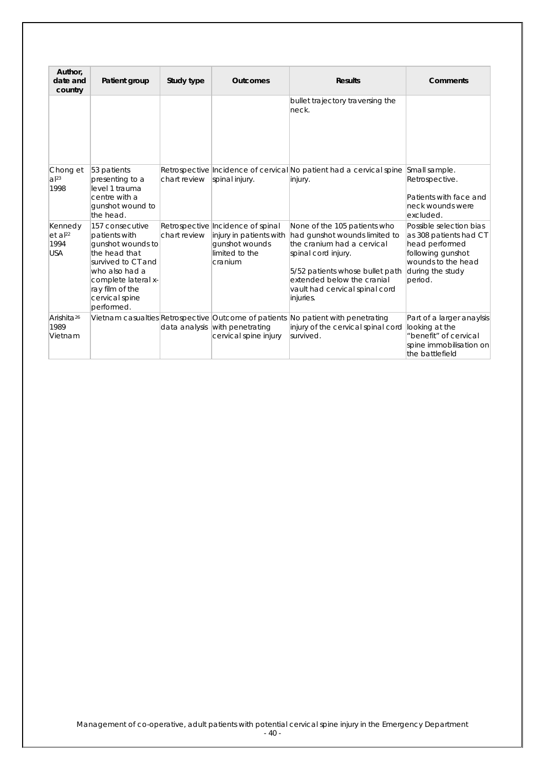| Author,<br>date and<br>country                       | Patient group                                                                                                                                                                            | Study type   | <b>Outcomes</b>                                                                                             | <b>Results</b>                                                                                                                                                                                                                     | Comments                                                                                                                                      |
|------------------------------------------------------|------------------------------------------------------------------------------------------------------------------------------------------------------------------------------------------|--------------|-------------------------------------------------------------------------------------------------------------|------------------------------------------------------------------------------------------------------------------------------------------------------------------------------------------------------------------------------------|-----------------------------------------------------------------------------------------------------------------------------------------------|
|                                                      |                                                                                                                                                                                          |              |                                                                                                             | bullet trajectory traversing the<br>neck.                                                                                                                                                                                          |                                                                                                                                               |
| Chong et<br>$a^{23}$<br>1998                         | 53 patients<br>presenting to a<br>level 1 trauma<br>centre with a<br>gunshot wound to<br>the head.                                                                                       | chart review | spinal injury.                                                                                              | Retrospective Incidence of cervical No patient had a cervical spine<br>injury.                                                                                                                                                     | Small sample.<br>Retrospective.<br>Patients with face and<br>neck wounds were<br>excluded.                                                    |
| Kennedy<br>et al <sup>22</sup><br>1994<br><b>USA</b> | 157 consecutive<br>patients with<br>gunshot wounds to<br>the head that<br>survived to CT and<br>who also had a<br>complete lateral x-<br>ray film of the<br>cervical spine<br>performed. | chart review | Retrospective Incidence of spinal<br>injury in patients with<br>qunshot wounds<br>limited to the<br>cranium | None of the 105 patients who<br>had gunshot wounds limited to<br>the cranium had a cervical<br>spinal cord injury.<br>5/52 patients whose bullet path<br>extended below the cranial<br>vault had cervical spinal cord<br>injuries. | Possible selection bias<br>as 308 patients had CT<br>head performed<br>following gunshot<br>wounds to the head<br>during the study<br>period. |
| Arishita <sup>26</sup><br>1989<br>Vietnam            |                                                                                                                                                                                          |              | data analysis with penetrating<br>cervical spine injury                                                     | Vietnam casualties Retrospective Outcome of patients No patient with penetrating<br>injury of the cervical spinal cord<br>survived.                                                                                                | Part of a larger anaylsis<br>looking at the<br>"benefit" of cervical<br>spine immobilisation on<br>the battlefield                            |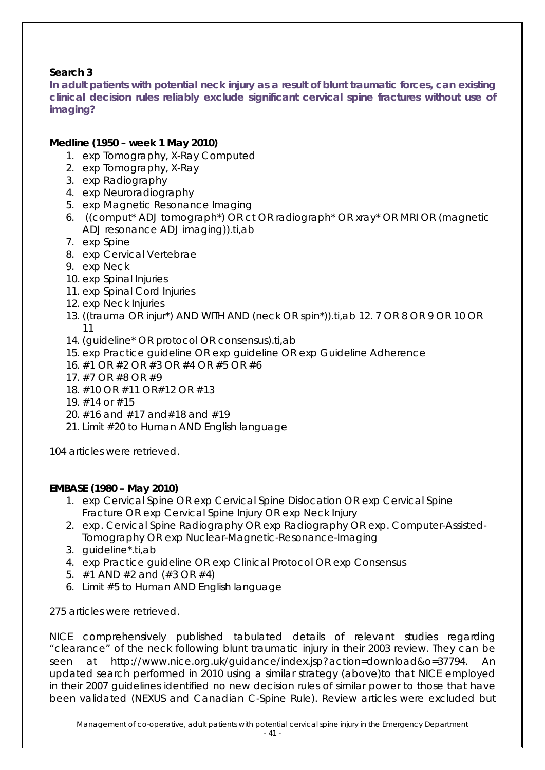### **Search 3**

**In adult patients with potential neck injury as a result of blunt traumatic forces, can existing clinical decision rules reliably exclude significant cervical spine fractures without use of imaging?** 

### *Medline (1950 – week 1 May 2010)*

- 1. exp Tomography, X-Ray Computed
- 2. exp Tomography, X-Ray
- 3. exp Radiography
- 4. exp Neuroradiography
- 5. exp Magnetic Resonance Imaging
- 6. ((comput\* ADJ tomograph\*) OR ct OR radiograph\* OR xray\* OR MRI OR (magnetic ADJ resonance ADJ imaging)).ti,ab
- 7. exp Spine
- 8. exp Cervical Vertebrae
- 9. exp Neck
- 10. exp Spinal Injuries
- 11. exp Spinal Cord Injuries
- 12. exp Neck Injuries
- 13. ((trauma OR injur\*) AND WITH AND (neck OR spin\*)).ti,ab 12. 7 OR 8 OR 9 OR 10 OR 11
- 14. (guideline\* OR protocol OR consensus).ti,ab
- 15. exp Practice guideline OR exp guideline OR exp Guideline Adherence
- 16. #1 OR #2 OR #3 OR #4 OR #5 OR #6
- 17. #7 OR #8 OR #9
- 18. #10 OR #11 OR#12 OR #13
- 19. #14 or #15
- 20. #16 and #17 and#18 and #19
- 21. Limit #20 to Human AND English language

104 articles were retrieved.

### *EMBASE (1980 – May 2010)*

- 1. exp Cervical Spine OR exp Cervical Spine Dislocation OR exp Cervical Spine Fracture OR exp Cervical Spine Injury OR exp Neck Injury
- 2. exp. Cervical Spine Radiography OR exp Radiography OR exp. Computer-Assisted-Tomography OR exp Nuclear-Magnetic-Resonance-Imaging
- 3. guideline\*.ti,ab
- 4. exp Practice guideline OR exp Clinical Protocol OR exp Consensus
- 5.  $\#1$  AND  $\#2$  and  $(\#3 \text{ OR } \#4)$
- 6. Limit #5 to Human AND English language

275 articles were retrieved.

NICE comprehensively published tabulated details of relevant studies regarding "clearance" of the neck following blunt traumatic injury in their 2003 review. They can be seen at [http://www.nice.org.uk/guidance/index.jsp?action=download&o=37794.](http://www.nice.org.uk/guidance/index.jsp?action=download&o=37794) An updated search performed in 2010 using a similar strategy (above)to that NICE employed in their 2007 guidelines identified no new decision rules of similar power to those that have been validated (NEXUS and Canadian C-Spine Rule). Review articles were excluded but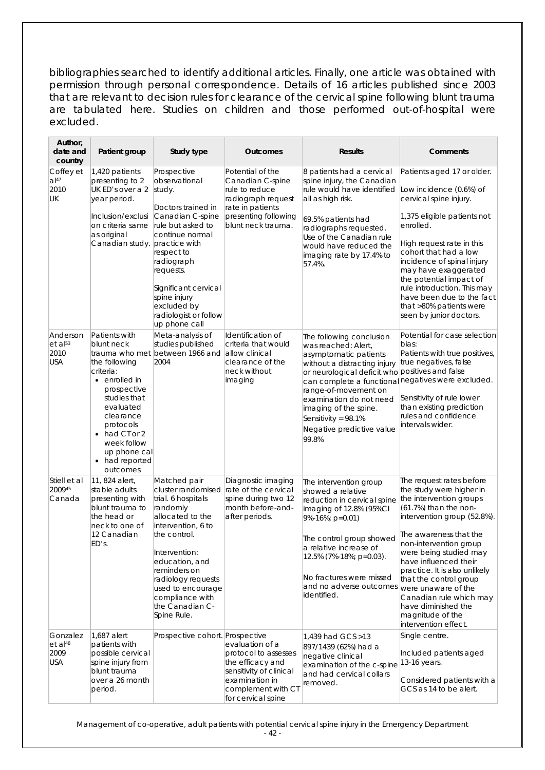bibliographies searched to identify additional articles. Finally, one article was obtained with permission through personal correspondence. Details of 16 articles published since 2003 that are relevant to decision rules for clearance of the cervical spine following blunt trauma are tabulated here. Studies on children and those performed out-of-hospital were excluded.

| Author,<br>date and<br>country                          | Patient group                                                                                                                                                                                                                                  | Study type                                                                                                                                                                                                                                                                        | <b>Outcomes</b>                                                                                                                                      | <b>Results</b>                                                                                                                                                                                                                                                                                                                                                | Comments                                                                                                                                                                                                                                                                                                                                                                                                                       |
|---------------------------------------------------------|------------------------------------------------------------------------------------------------------------------------------------------------------------------------------------------------------------------------------------------------|-----------------------------------------------------------------------------------------------------------------------------------------------------------------------------------------------------------------------------------------------------------------------------------|------------------------------------------------------------------------------------------------------------------------------------------------------|---------------------------------------------------------------------------------------------------------------------------------------------------------------------------------------------------------------------------------------------------------------------------------------------------------------------------------------------------------------|--------------------------------------------------------------------------------------------------------------------------------------------------------------------------------------------------------------------------------------------------------------------------------------------------------------------------------------------------------------------------------------------------------------------------------|
| Coffey et<br>$al^{47}$<br>2010<br>UK                    | 1,420 patients<br>presenting to 2<br>UK ED's over a 2<br>year period.<br>Inclusion/exclusi<br>on criteria same<br>as original<br>Canadian study. practice with                                                                                 | Prospective<br>observational<br>study.<br>Doctors trained in<br>Canadian C-spine<br>rule but asked to<br>continue normal<br>respect to<br>radiograph<br>requests.<br>Significant cervical<br>spine injury<br>excluded by<br>radiologist or follow<br>up phone call                | Potential of the<br>Canadian C-spine<br>rule to reduce<br>radiograph request<br>rate in patients<br>presenting following<br>blunt neck trauma.       | 8 patients had a cervical<br>spine injury, the Canadian<br>rule would have identified<br>all as high risk.<br>69.5% patients had<br>radiographs requested.<br>Use of the Canadian rule<br>would have reduced the<br>imaging rate by 17.4% to<br>57.4%.                                                                                                        | Patients aged 17 or older.<br>Low incidence (0.6%) of<br>cervical spine injury.<br>1,375 eligible patients not<br>enrolled.<br>High request rate in this<br>cohort that had a low<br>incidence of spinal injury<br>may have exaggerated<br>the potential impact of<br>rule introduction. This may<br>have been due to the fact<br>that >80% patients were<br>seen by junior doctors.                                           |
| Anderson<br>$et$ al <sup>53</sup><br>2010<br><b>USA</b> | Patients with<br>blunt neck<br>the following<br>criteria:<br>$\bullet$ enrolled in<br>prospective<br>studies that<br>evaluated<br>clearance<br>protocols<br>$\bullet$ had CT or 2<br>week follow<br>up phone cal<br>• had reported<br>outcomes | Meta-analysis of<br>studies published<br>trauma who met between 1966 and<br>2004                                                                                                                                                                                                  | Identification of<br>criteria that would<br>allow clinical<br>clearance of the<br>neck without<br>imaging                                            | The following conclusion<br>was reached: Alert.<br>asymptomatic patients<br>without a distracting injury<br>or neurological deficit who positives and false<br>can complete a functional negatives were excluded.<br>range-of-movement on<br>examination do not need<br>imaging of the spine.<br>Sensitivity = $98.1\%$<br>Negative predictive value<br>99.8% | Potential for case selection<br>bias:<br>Patients with true positives,<br>true negatives, false<br>Sensitivity of rule lower<br>than existing prediction<br>rules and confidence<br>intervals wider.                                                                                                                                                                                                                           |
| Stiell et al<br>200945<br>Canada                        | 11, 824 alert,<br>stable adults<br>presenting with<br>blunt trauma to<br>the head or<br>neck to one of<br>12 Canadian<br>ED's.                                                                                                                 | Matched pair<br>cluster randomised<br>trial. 6 hospitals<br>randomly<br>allocated to the<br>intervention, 6 to<br>the control.<br>Intervention:<br>education, and<br>reminders on<br>radiology requests<br>used to encourage<br>compliance with<br>the Canadian C-<br>Spine Rule. | Diagnostic imaging<br>rate of the cervical<br>spine during two 12<br>month before-and-<br>after periods.                                             | The intervention group<br>showed a relative<br>reduction in cervical spine<br>imaging of 12.8% (95%CI<br>9%-16%; p=0.01)<br>The control group showed<br>a relative increase of<br>12.5% (7%-18%; p=0.03).<br>No fractures were missed<br>and no adverse outcomes<br>identified.                                                                               | The request rates before<br>the study were higher in<br>the intervention groups<br>(61.7%) than the non-<br>intervention group (52.8%).<br>The awareness that the<br>non-intervention group<br>were being studied may<br>have influenced their<br>practice. It is also unlikely<br>that the control group<br>were unaware of the<br>Canadian rule which may<br>have diminished the<br>magnitude of the<br>intervention effect. |
| Gonzalez<br>$et$ al <sup>48</sup><br>2009<br><b>USA</b> | 1,687 alert<br>patients with<br>possible cervical<br>spine injury from<br>blunt trauma<br>over a 26 month<br>period.                                                                                                                           | Prospective cohort. Prospective                                                                                                                                                                                                                                                   | evaluation of a<br>protocol to assesses<br>the efficacy and<br>sensitivity of clinical<br>examination in<br>complement with CT<br>for cervical spine | 1,439 had GCS > 13<br>897/1439 (62%) had a<br>negative clinical<br>examination of the c-spine<br>and had cervical collars<br>removed.                                                                                                                                                                                                                         | Single centre.<br>Included patients aged<br>13-16 years.<br>Considered patients with a<br>GCS as 14 to be alert.                                                                                                                                                                                                                                                                                                               |

<sup>-</sup> 42 -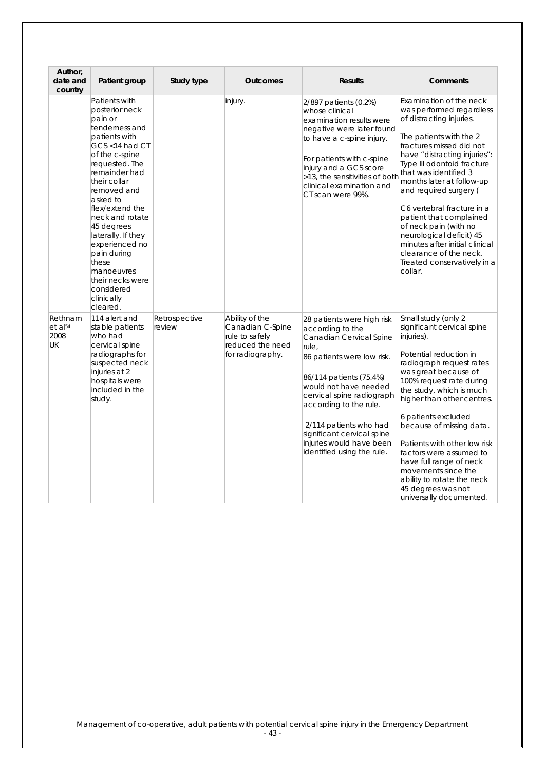| Author,<br>date and<br>country               | Patient group                                                                                                                                                                                                                                                                                                                                                                                 | Study type              | <b>Outcomes</b>                                                                              | <b>Results</b>                                                                                                                                                                                                                                                                                                                                | <b>Comments</b>                                                                                                                                                                                                                                                                                                                                                                                                                                                                                          |
|----------------------------------------------|-----------------------------------------------------------------------------------------------------------------------------------------------------------------------------------------------------------------------------------------------------------------------------------------------------------------------------------------------------------------------------------------------|-------------------------|----------------------------------------------------------------------------------------------|-----------------------------------------------------------------------------------------------------------------------------------------------------------------------------------------------------------------------------------------------------------------------------------------------------------------------------------------------|----------------------------------------------------------------------------------------------------------------------------------------------------------------------------------------------------------------------------------------------------------------------------------------------------------------------------------------------------------------------------------------------------------------------------------------------------------------------------------------------------------|
|                                              | Patients with<br>posterior neck<br>pain or<br>tenderness and<br>patients with<br>GCS <14 had CT<br>of the c-spine<br>requested. The<br>remainder had<br>their collar<br>removed and<br>asked to<br>flex/extend the<br>neck and rotate<br>45 degrees<br>laterally. If they<br>experienced no<br>pain during<br>these<br>manoeuvres<br>their necks were<br>considered<br>clinically<br>cleared. |                         | injury.                                                                                      | 2/897 patients (0.2%)<br>whose clinical<br>examination results were<br>negative were later found<br>to have a c-spine injury.<br>For patients with c-spine<br>injury and a GCS score<br>>13, the sensitivities of both<br>clinical examination and<br>CT scan were 99%.                                                                       | Examination of the neck<br>was performed regardless<br>of distracting injuries.<br>The patients with the 2<br>fractures missed did not<br>have "distracting injuries":<br>Type III odontoid fracture<br>that was identified 3<br>months later at follow-up<br>and required surgery (<br>C6 vertebral fracture in a<br>patient that complained<br>of neck pain (with no<br>neurological deficit) 45<br>minutes after initial clinical<br>clearance of the neck.<br>Treated conservatively in a<br>collar. |
| Rethnam<br>et al <sup>54</sup><br>2008<br>UK | 114 alert and<br>stable patients<br>who had<br>cervical spine<br>radiographs for<br>suspected neck<br>injuries at 2<br>hospitals were<br>included in the<br>study.                                                                                                                                                                                                                            | Retrospective<br>review | Ability of the<br>Canadian C-Spine<br>rule to safely<br>reduced the need<br>for radiography. | 28 patients were high risk<br>according to the<br>Canadian Cervical Spine<br>rule,<br>86 patients were low risk.<br>86/114 patients (75.4%)<br>would not have needed<br>cervical spine radiograph<br>according to the rule.<br>2/114 patients who had<br>significant cervical spine<br>injuries would have been<br>identified using the rule. | Small study (only 2<br>significant cervical spine<br>injuries).<br>Potential reduction in<br>radiograph request rates<br>was great because of<br>100% request rate during<br>the study, which is much<br>higher than other centres.<br>6 patients excluded<br>because of missing data.<br>Patients with other low risk<br>factors were assumed to<br>have full range of neck<br>movements since the<br>ability to rotate the neck<br>45 degrees was not<br>universally documented.                       |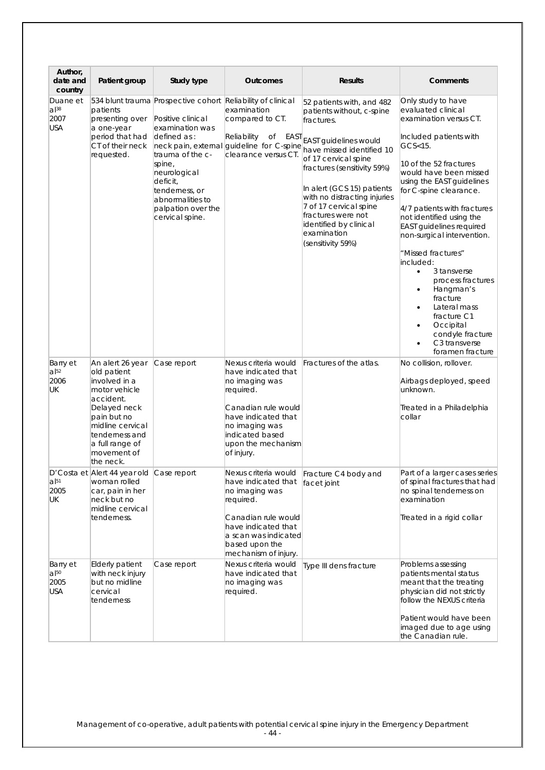| Author,<br>date and                                  | Patient group                                                                                                                                                                                      | Study type                                                                                                                                                                                                                          | <b>Outcomes</b>                                                                                                                                                                                   | <b>Results</b>                                                                                                                                                                                                                                                                                                                                                | Comments                                                                                                                                                                                                                                                                                                                                                                                                                                                                                                                                                                             |
|------------------------------------------------------|----------------------------------------------------------------------------------------------------------------------------------------------------------------------------------------------------|-------------------------------------------------------------------------------------------------------------------------------------------------------------------------------------------------------------------------------------|---------------------------------------------------------------------------------------------------------------------------------------------------------------------------------------------------|---------------------------------------------------------------------------------------------------------------------------------------------------------------------------------------------------------------------------------------------------------------------------------------------------------------------------------------------------------------|--------------------------------------------------------------------------------------------------------------------------------------------------------------------------------------------------------------------------------------------------------------------------------------------------------------------------------------------------------------------------------------------------------------------------------------------------------------------------------------------------------------------------------------------------------------------------------------|
| country<br>Duane et<br>$a$  38<br>2007<br><b>USA</b> | patients<br>presenting over<br>a one-year<br>period that had<br>CT of their neck<br>requested.                                                                                                     | 534 blunt trauma Prospective cohort<br>Positive clinical<br>examination was<br>defined as:<br>trauma of the c-<br>spine,<br>neurological<br>deficit,<br>tenderness, or<br>abnormalities to<br>palpation over the<br>cervical spine. | Reliability of clinical<br>examination<br>compared to CT.<br>Reliability<br>of EAST<br>neck pain, external guideline for C-spine<br>clearance versus CT.                                          | 52 patients with, and 482<br>patients without, c-spine<br>fractures.<br>EAST guidelines would<br>have missed identified 10<br>of 17 cervical spine<br>fractures (sensitivity 59%)<br>In alert (GCS 15) patients<br>with no distracting injuries<br>7 of 17 cervical spine<br>fractures were not<br>identified by clinical<br>examination<br>(sensitivity 59%) | Only study to have<br>evaluated clinical<br>examination versus CT.<br>Included patients with<br>$GCS15$ .<br>10 of the 52 fractures<br>would have been missed<br>using the EAST guidelines<br>for C-spine clearance.<br>4/7 patients with fractures<br>not identified using the<br><b>EAST</b> guidelines required<br>non-surgical intervention.<br>"Missed fractures"<br>included:<br>3 tansverse<br>$\bullet$<br>process fractures<br>Hangman's<br>٠<br>fracture<br>Lateral mass<br>fracture C1<br>Occipital<br>$\bullet$<br>condyle fracture<br>C3 transverse<br>foramen fracture |
| Barry et<br>$a$ <sup>52</sup><br>2006<br>UK          | An alert 26 year<br>old patient<br>involved in a<br>motor vehicle<br>accident.<br>Delayed neck<br>pain but no<br>midline cervical<br>tenderness and<br>a full range of<br>movement of<br>the neck. | Case report                                                                                                                                                                                                                         | Nexus criteria would<br>have indicated that<br>no imaging was<br>required.<br>Canadian rule would<br>have indicated that<br>no imaging was<br>indicated based<br>upon the mechanism<br>of injury. | Fractures of the atlas.                                                                                                                                                                                                                                                                                                                                       | No collision, rollover.<br>Airbags deployed, speed<br>unknown.<br>Treated in a Philadelphia<br>collar                                                                                                                                                                                                                                                                                                                                                                                                                                                                                |
| $a$ <sup>[51</sup> ]<br>2005<br>UK                   | D'Costa et Alert 44 year old Case report<br>woman rolled<br>car, pain in her<br>neck but no<br>midline cervical<br>tenderness.                                                                     |                                                                                                                                                                                                                                     | Nexus criteria would<br>have indicated that<br>no imaging was<br>required.<br>Canadian rule would<br>have indicated that<br>a scan was indicated<br>based upon the<br>mechanism of injury.        | Fracture C4 body and<br>facet joint                                                                                                                                                                                                                                                                                                                           | Part of a larger cases series<br>of spinal fractures that had<br>no spinal tenderness on<br>examination<br>Treated in a rigid collar                                                                                                                                                                                                                                                                                                                                                                                                                                                 |
| Barry et<br>$a$ <sup>50</sup><br>2005<br><b>USA</b>  | Elderly patient<br>with neck injury<br>but no midline<br>cervical<br>tenderness                                                                                                                    | Case report                                                                                                                                                                                                                         | Nexus criteria would<br>have indicated that<br>no imaging was<br>required.                                                                                                                        | Type III dens fracture                                                                                                                                                                                                                                                                                                                                        | Problems assessing<br>patients mental status<br>meant that the treating<br>physician did not strictly<br>follow the NEXUS criteria<br>Patient would have been<br>imaged due to age using<br>the Canadian rule.                                                                                                                                                                                                                                                                                                                                                                       |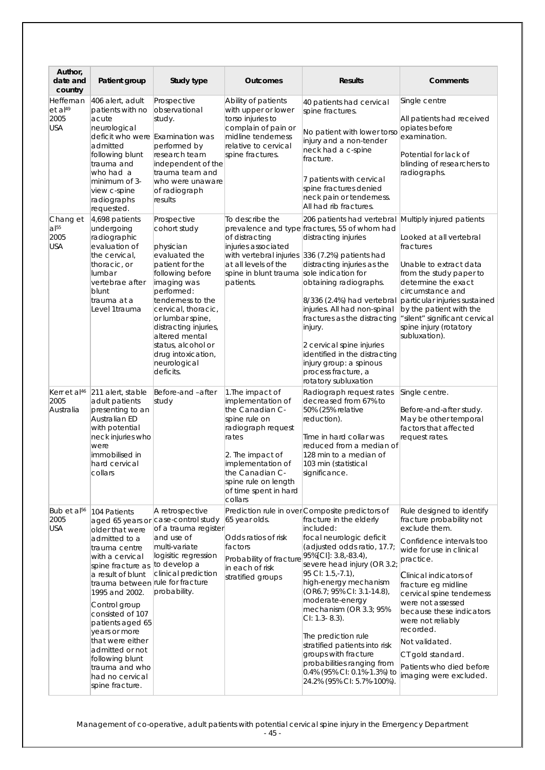| Author,<br>date and<br>country                         | Patient group                                                                                                                                                                                                                                                                                                                                                                                 | Study type                                                                                                                                                                                                                                                                                                        | <b>Outcomes</b>                                                                                                                                                                                                                  | <b>Results</b>                                                                                                                                                                                                                                                                                                                                                                                                                                                                                                                      | Comments                                                                                                                                                                                                                                                                                                                                                                                                         |
|--------------------------------------------------------|-----------------------------------------------------------------------------------------------------------------------------------------------------------------------------------------------------------------------------------------------------------------------------------------------------------------------------------------------------------------------------------------------|-------------------------------------------------------------------------------------------------------------------------------------------------------------------------------------------------------------------------------------------------------------------------------------------------------------------|----------------------------------------------------------------------------------------------------------------------------------------------------------------------------------------------------------------------------------|-------------------------------------------------------------------------------------------------------------------------------------------------------------------------------------------------------------------------------------------------------------------------------------------------------------------------------------------------------------------------------------------------------------------------------------------------------------------------------------------------------------------------------------|------------------------------------------------------------------------------------------------------------------------------------------------------------------------------------------------------------------------------------------------------------------------------------------------------------------------------------------------------------------------------------------------------------------|
| Heffernan<br>et al <sup>49</sup><br>2005<br><b>USA</b> | 406 alert, adult<br>patients with no<br>acute<br>neurological<br>admitted<br>following blunt<br>trauma and<br>who had a<br>minimum of 3-<br>view c-spine<br>radiographs<br>requested.                                                                                                                                                                                                         | Prospective<br>observational<br>study.<br>deficit who were Examination was<br>performed by<br>research team<br>independent of the<br>trauma team and<br>who were unaware<br>of radiograph<br>results                                                                                                              | Ability of patients<br>with upper or lower<br>torso injuries to<br>complain of pain or<br>midline tenderness<br>relative to cervical<br>spine fractures.                                                                         | 40 patients had cervical<br>spine fractures.<br>No patient with lower torso<br>injury and a non-tender<br>neck had a c-spine<br>fracture.<br>7 patients with cervical<br>spine fractures denied<br>neck pain or tenderness.<br>All had rib fractures.                                                                                                                                                                                                                                                                               | Single centre<br>All patients had received<br>opiates before<br>examination.<br>Potential for lack of<br>blinding of researchers to<br>radiographs.                                                                                                                                                                                                                                                              |
| Chang et<br>$a$ <sup>[55]</sup><br>2005<br><b>USA</b>  | 4,698 patients<br>undergoing<br>radiographic<br>evaluation of<br>the cervical,<br>thoracic, or<br>lumbar<br>vertebrae after<br>blunt<br>trauma at a<br>Level 1trauma                                                                                                                                                                                                                          | Prospective<br>cohort study<br>physician<br>evaluated the<br>patient for the<br>following before<br>imaging was<br>performed:<br>tenderness to the<br>cervical, thoracic,<br>or lumbar spine,<br>distracting injuries,<br>altered mental<br>status, alcohol or<br>drug intoxication,<br>neurological<br>deficits. | To describe the<br>of distracting<br>injuries associated<br>with vertebral injuries<br>at all levels of the<br>spine in blunt trauma sole indication for<br>patients.                                                            | 206 patients had vertebral Multiply injured patients<br>prevalence and type fractures, 55 of whom had<br>distracting injuries<br>$336$ (7.2%) patients had<br>distracting injuries as the<br>obtaining radiographs.<br>8/336 (2.4%) had vertebral<br>injuries. All had non-spinal<br>fractures as the distracting<br>injury.<br>2 cervical spine injuries<br>identified in the distracting<br>injury group: a spinous<br>process fracture, a<br>rotatory subluxation                                                                | Looked at all vertebral<br>fractures<br>Unable to extract data<br>from the study paper to<br>determine the exact<br>circumstance and<br>particular injuries sustained<br>by the patient with the<br>"silent" significant cervical<br>spine injury (rotatory<br>subluxation).                                                                                                                                     |
| Kerr et al <sup>46</sup><br>2005<br>Australia          | 211 alert, stable<br>adult patients<br>presenting to an<br>Australian ED<br>with potential<br>neck injuries who<br>were<br>immobilised in<br>hard cervical<br>collars                                                                                                                                                                                                                         | Before-and -after<br>study                                                                                                                                                                                                                                                                                        | 1. The impact of<br>implementation of<br>the Canadian C-<br>spine rule on<br>radiograph request<br>rates<br>2. The impact of<br>implementation of<br>the Canadian C-<br>spine rule on length<br>of time spent in hard<br>collars | Radiograph request rates<br>decreased from 67% to<br>50% (25% relative<br>reduction).<br>Time in hard collar was<br>reduced from a median of<br>128 min to a median of<br>103 min (statistical<br>significance.                                                                                                                                                                                                                                                                                                                     | Single centre.<br>Before-and-after study.<br>May be other temporal<br>factors that affected<br>request rates.                                                                                                                                                                                                                                                                                                    |
| Bub et al <sup>56</sup><br>2005<br>USA                 | 104 Patients<br>older that were<br>admitted to a<br>trauma centre<br>with a cervical<br>spine fracture as to develop a<br>a result of blunt<br>trauma between rule for fracture<br>1995 and 2002.<br>Control group<br>consisted of 107<br>patients aged 65<br>years or more<br>that were either<br>admitted or not<br>following blunt<br>trauma and who<br>had no cervical<br>spine fracture. | A retrospective<br>aged 65 years or case-control study<br>of a trauma register<br>and use of<br>multi-variate<br>logisitic regression<br>clinical prediction<br>probability.                                                                                                                                      | 65 year olds.<br>Odds ratios of risk<br>factors<br>Probability of fracture<br>in each of risk<br>stratified groups                                                                                                               | Prediction rule in over Composite predictors of<br>fracture in the elderly<br>included:<br>focal neurologic deficit<br>(adjusted odds ratio, 17.7;<br>95%[CI]: 3.8,-83.4),<br>severe head injury (OR 3.2;<br>95 CI: 1.5,-7.1),<br>high-energy mechanism<br>(OR6.7; 95% CI: 3.1-14.8),<br>moderate-energy<br>mechanism (OR 3.3; 95%<br>$Cl: 1.3 - 8.3$ ).<br>The prediction rule<br>stratified patients into risk<br>groups with fracture<br>probabilities ranging from<br>0.4% (95% CI: 0.1%-1.3%) to<br>24.2% (95% CI: 5.7%-100%). | Rule designed to identify<br>fracture probability not<br>exclude them.<br>Confidence intervals too<br>wide for use in clinical<br>practice.<br><b>Clinical indicators of</b><br>fracture eg midline<br>cervical spine tenderness<br>were not assessed<br>because these indicators<br>were not reliably<br>recorded.<br>Not validated.<br>CT gold standard.<br>Patients who died before<br>imaging were excluded. |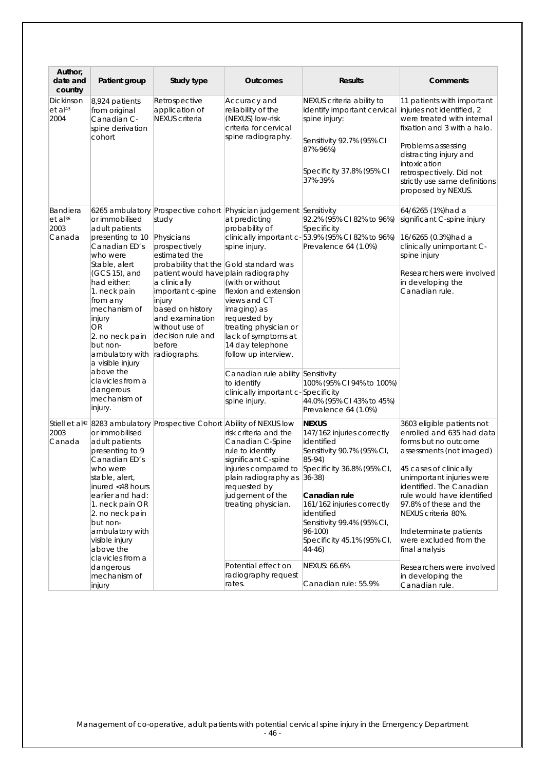| Author,<br>date and<br>country                    | Patient group                                                                                                                                                                                                                                                                                                                      | Study type                                                                                                                                                                                                                                           | <b>Outcomes</b>                                                                                                                                                                                                                                                                                                                                                                                                                                                     | <b>Results</b>                                                                                                                                                                                                                                                                                                          | Comments                                                                                                                                                                                                                                                                                                                                                                         |
|---------------------------------------------------|------------------------------------------------------------------------------------------------------------------------------------------------------------------------------------------------------------------------------------------------------------------------------------------------------------------------------------|------------------------------------------------------------------------------------------------------------------------------------------------------------------------------------------------------------------------------------------------------|---------------------------------------------------------------------------------------------------------------------------------------------------------------------------------------------------------------------------------------------------------------------------------------------------------------------------------------------------------------------------------------------------------------------------------------------------------------------|-------------------------------------------------------------------------------------------------------------------------------------------------------------------------------------------------------------------------------------------------------------------------------------------------------------------------|----------------------------------------------------------------------------------------------------------------------------------------------------------------------------------------------------------------------------------------------------------------------------------------------------------------------------------------------------------------------------------|
| Dickinson<br>$et$ al <sup>43</sup><br>2004        | 8,924 patients<br>from original<br>Canadian C-<br>spine derivation<br>cohort                                                                                                                                                                                                                                                       | Retrospective<br>application of<br><b>NEXUS</b> criteria                                                                                                                                                                                             | Accuracy and<br>reliability of the<br>(NEXUS) low-risk<br>criteria for cervical<br>spine radiography.                                                                                                                                                                                                                                                                                                                                                               | NEXUS criteria ability to<br>identify important cervical<br>spine injury:<br>Sensitivity 92.7% (95% CI<br>87%-96%)<br>Specificity 37.8% (95% CI<br>37%-39%                                                                                                                                                              | 11 patients with important<br>injuries not identified, 2<br>were treated with internal<br>fixation and 3 with a halo.<br>Problems assessing<br>distracting injury and<br>intoxication<br>retrospectively. Did not<br>strictly use same definitions<br>proposed by NEXUS.                                                                                                         |
| Bandiera<br>et al <sup>36</sup><br>2003<br>Canada | or immobilised<br>adult patients<br>presenting to 10<br>Canadian ED's<br>who were<br>Stable, alert<br>(GCS 15), and<br>had either:<br>1. neck pain<br>from any<br>mechanism of<br>injury<br>OR<br>2. no neck pain<br>but non-<br>ambulatory with<br>a visible injury<br>above the<br>clavicles from a<br>dangerous<br>mechanism of | study<br>Physicians<br>prospectively<br>estimated the<br>patient would have plain radiography<br>a clinically<br>important c-spine<br>injury<br>based on history<br>and examination<br>without use of<br>decision rule and<br>before<br>radiographs. | 6265 ambulatory Prospective cohort Physician judgement Sensitivity<br>at predicting<br>probability of<br>spine injury.<br>probability that the Gold standard was<br>(with or without<br>flexion and extension<br>views and CT<br>imaging) as<br>requested by<br>treating physician or<br>lack of symptoms at<br>14 day telephone<br>follow up interview.<br>Canadian rule ability Sensitivity<br>to identify<br>clinically important c-Specificity<br>spine injury. | 92.2% (95% CI 82% to 96%)<br>Specificity<br>clinically important c- 53.9% (95% CI 82% to 96%)<br>Prevalence 64 (1.0%)<br>100% (95% CI 94% to 100%)<br>44.0% (95% CI 43% to 45%)                                                                                                                                         | 64/6265 (1%)had a<br>significant C-spine injury<br>16/6265 (0.3%)had a<br>clinically unimportant C-<br>spine injury<br>Researchers were involved<br>in developing the<br>Canadian rule.                                                                                                                                                                                          |
| 2003<br>Canada                                    | injury.<br>or immobilised<br>adult patients<br>presenting to 9<br>Canadian ED's<br>who were<br>stable, alert,<br>inured <48 hours<br>earlier and had:<br>1. neck pain OR<br>2. no neck pain<br>but non-<br>ambulatory with<br>visible injury<br>above the<br>clavicles from a<br>dangerous                                         | Stiell et al <sup>42</sup> 8283 ambulatory Prospective Cohort Ability of NEXUS low                                                                                                                                                                   | risk criteria and the<br>Canadian C-Spine<br>rule to identify<br>significant C-spine<br>injuries compared to<br>plain radiography as 36-38)<br>requested by<br>judgement of the<br>treating physician.<br>Potential effect on                                                                                                                                                                                                                                       | Prevalence 64 (1.0%)<br><b>NEXUS</b><br>147/162 injuries correctly<br>identified<br>Sensitivity 90.7% (95% CI,<br>85-94)<br>Specificity 36.8% (95% CI,<br>Canadian rule<br>161/162 injuries correctly<br>identified<br>Sensitivity 99.4% (95% CI,<br>96-100)<br>Specificity 45.1% (95% CI,<br>$(44-46)$<br>NEXUS: 66.6% | 3603 eligible patients not<br>enrolled and 635 had data<br>forms but no outcome<br>assessments (not imaged)<br>45 cases of clinically<br>unimportant injuries were<br>identified. The Canadian<br>rule would have identified<br>97.8% of these and the<br>NEXUS criteria 80%.<br>Indeterminate patients<br>were excluded from the<br>final analysis<br>Researchers were involved |
|                                                   | mechanism of<br>injury                                                                                                                                                                                                                                                                                                             |                                                                                                                                                                                                                                                      | radiography request<br>rates.                                                                                                                                                                                                                                                                                                                                                                                                                                       | Canadian rule: 55.9%                                                                                                                                                                                                                                                                                                    | in developing the<br>Canadian rule.                                                                                                                                                                                                                                                                                                                                              |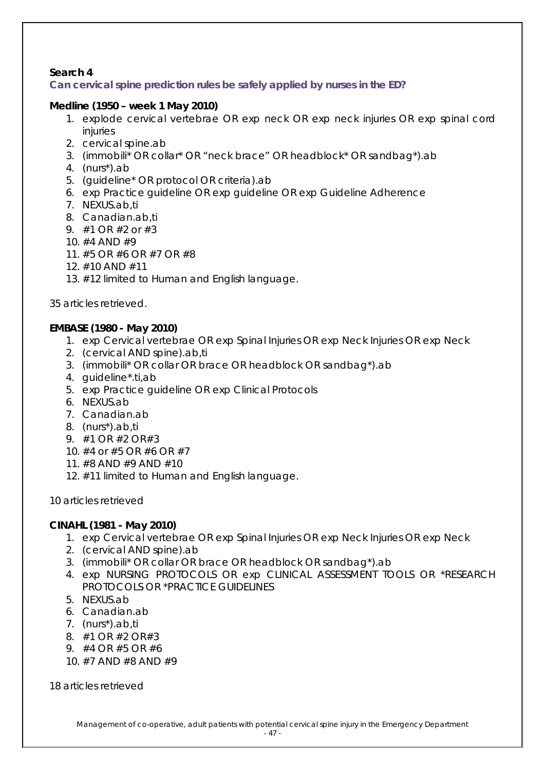### **Search 4**

**Can cervical spine prediction rules be safely applied by nurses in the ED?**

### *Medline (1950 – week 1 May 2010)*

- 1. explode cervical vertebrae OR exp neck OR exp neck injuries OR exp spinal cord injuries
- 2. cervical spine.ab
- 3. (immobili\* OR collar\* OR "neck brace" OR headblock\* OR sandbag\*).ab
- 4. (nurs\*).ab
- 5. (guideline\* OR protocol OR criteria).ab
- 6. exp Practice guideline OR exp guideline OR exp Guideline Adherence
- 7. NEXUS.ab,ti
- 8. Canadian.ab,ti
- 9. #1 OR #2 or #3
- 10. #4 AND #9
- 11. #5 OR #6 OR #7 OR #8
- 12. #10 AND #11
- 13. #12 limited to Human and English language.

35 articles retrieved.

### *EMBASE (1980 - May 2010)*

- 1. exp Cervical vertebrae OR exp Spinal Injuries OR exp Neck Injuries OR exp Neck
- 2. (cervical AND spine).ab,ti
- 3. (immobili\* OR collar OR brace OR headblock OR sandbag\*).ab
- 4. guideline\*.ti,ab
- 5. exp Practice guideline OR exp Clinical Protocols
- 6. NEXUS.ab
- 7. Canadian.ab
- 8. (nurs\*).ab,ti
- 9. #1 OR #2 OR#3
- 10. #4 or #5 OR #6 OR #7
- 11. #8 AND #9 AND #10
- 12. #11 limited to Human and English language.

10 articles retrieved

#### **CINAHL** *(1981 - May 2010)*

- 1. exp Cervical vertebrae OR exp Spinal Injuries OR exp Neck Injuries OR exp Neck
- 2. (cervical AND spine).ab
- 3. (immobili\* OR collar OR brace OR headblock OR sandbag\*).ab
- 4. exp NURSING PROTOCOLS OR exp CLINICAL ASSESSMENT TOOLS OR \*RESEARCH PROTOCOLS OR \*PRACTICE GUIDELINES
- 5. NEXUS.ab
- 6. Canadian.ab
- 7. (nurs\*).ab,ti
- 8. #1 OR #2 OR#3
- 9. #4 OR #5 OR #6
- 10. #7 AND #8 AND #9

18 articles retrieved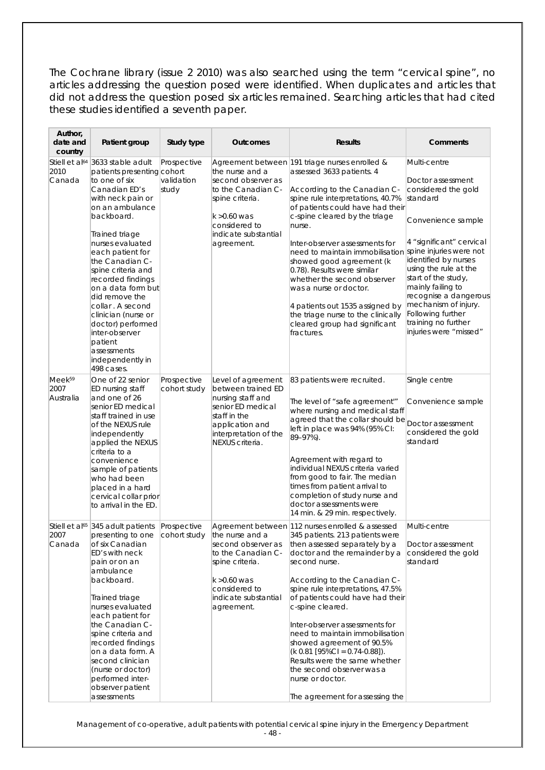The Cochrane library (issue 2 2010) was also searched using the term "cervical spine", no articles addressing the question posed were identified. When duplicates and articles that did not address the question posed six articles remained. Searching articles that had cited these studies identified a seventh paper.

| Author,<br>date and<br>country               | Patient group                                                                                                                                                                                                                                                                                                                                                                                                                                          | Study type                         | <b>Outcomes</b>                                                                                                                                                      | <b>Results</b>                                                                                                                                                                                                                                                                                                                                                                                                                                                                                                                                                | Comments                                                                                                                                                                                                                                                                                                                                                              |
|----------------------------------------------|--------------------------------------------------------------------------------------------------------------------------------------------------------------------------------------------------------------------------------------------------------------------------------------------------------------------------------------------------------------------------------------------------------------------------------------------------------|------------------------------------|----------------------------------------------------------------------------------------------------------------------------------------------------------------------|---------------------------------------------------------------------------------------------------------------------------------------------------------------------------------------------------------------------------------------------------------------------------------------------------------------------------------------------------------------------------------------------------------------------------------------------------------------------------------------------------------------------------------------------------------------|-----------------------------------------------------------------------------------------------------------------------------------------------------------------------------------------------------------------------------------------------------------------------------------------------------------------------------------------------------------------------|
| Stiell et al <sup>64</sup><br>2010<br>Canada | 3633 stable adult<br>patients presenting cohort<br>to one of six<br>Canadian ED's<br>with neck pain or<br>on an ambulance<br>backboard.<br>Trained triage<br>nurses evaluated<br>each patient for<br>the Canadian C-<br>spine criteria and<br>recorded findings<br>on a data form but<br>did remove the<br>collar . A second<br>clinician (nurse or<br>doctor) performed<br>inter-observer<br>patient<br>assessments<br>independently in<br>498 cases. | Prospective<br>validation<br>study | the nurse and a<br>second observer as<br>to the Canadian C-<br>spine criteria.<br>$k > 0.60$ was<br>considered to<br>indicate substantial<br>agreement.              | Agreement between 191 triage nurses enrolled &<br>assessed 3633 patients. 4<br>According to the Canadian C-<br>spine rule interpretations, 40.7%<br>of patients could have had their<br>c-spine cleared by the triage<br>nurse.<br>Inter-observer assessments for<br>need to maintain immobilisation<br>showed good agreement (k<br>0.78). Results were similar<br>whether the second observer<br>was a nurse or doctor.<br>4 patients out 1535 assigned by<br>the triage nurse to the clinically<br>cleared group had significant<br>fractures.              | Multi-centre<br>Doctor assessment<br>considered the gold<br>standard<br>Convenience sample<br>4 "significant" cervical<br>spine injuries were not<br>identified by nurses<br>using the rule at the<br>start of the study,<br>mainly failing to<br>recognise a dangerous<br>mechanism of injury.<br>Following further<br>training no further<br>injuries were "missed" |
| Meek <sup>59</sup><br>2007<br>Australia      | One of 22 senior<br>ED nursing staff<br>and one of 26<br>senior ED medical<br>staff trained in use<br>of the NEXUS rule<br>independently<br>applied the NEXUS<br>criteria to a<br>convenience<br>sample of patients<br>who had been<br>placed in a hard<br>cervical collar prior<br>to arrival in the ED.                                                                                                                                              | Prospective<br>cohort study        | Level of agreement<br>between trained ED<br>nursing staff and<br>senior ED medical<br>staff in the<br>application and<br>interpretation of the<br>NEXUS criteria.    | 83 patients were recruited.<br>The level of "safe agreement'"<br>where nursing and medical staff<br>agreed that the collar should be<br>left in place was 94% (95% CI:<br>89-97%).<br>Agreement with regard to<br>individual NEXUS criteria varied<br>from good to fair. The median<br>times from patient arrival to<br>completion of study nurse and<br>doctor assessments were<br>14 min. & 29 min. respectively.                                                                                                                                           | Single centre<br>Convenience sample<br>Doctor assessment<br>considered the gold<br>standard                                                                                                                                                                                                                                                                           |
| 2007<br>Canada                               | Stiell et al <sup>65</sup> 345 adult patients Prospective<br>presenting to one<br>of six Canadian<br>ED's with neck<br>pain or on an<br>ambulance<br>backboard.<br>Trained triage<br>nurses evaluated<br>each patient for<br>the Canadian C-<br>spine criteria and<br>recorded findings<br>on a data form. A<br>second clinician<br>(nurse or doctor)<br>performed inter-<br>observer patient<br>assessments                                           |                                    | cohort study the nurse and a<br>second observer as<br>to the Canadian C-<br>spine criteria.<br>$k > 0.60$ was<br>considered to<br>indicate substantial<br>agreement. | Agreement between 112 nurses enrolled & assessed<br>345 patients. 213 patients were<br>then assessed separately by a<br>doctor and the remainder by a<br>second nurse.<br>According to the Canadian C-<br>spine rule interpretations, 47.5%<br>of patients could have had their<br>c-spine cleared.<br>Inter-observer assessments for<br>need to maintain immobilisation<br>showed agreement of 90.5%<br>$(k 0.81$ [95%CI = 0.74-0.88]).<br>Results were the same whether<br>the second observer was a<br>nurse or doctor.<br>The agreement for assessing the | Multi-centre<br>Doctor assessment<br>considered the gold<br>standard                                                                                                                                                                                                                                                                                                  |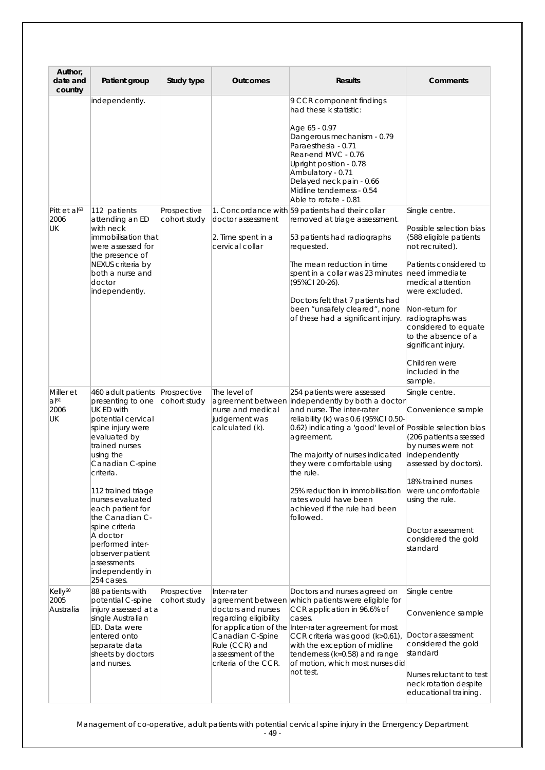| Author,<br>date and<br>country           | Patient group                                                                                                                                                                                                                                                                                                                                                                            | Study type                  | <b>Outcomes</b>                                                                                                                               | <b>Results</b>                                                                                                                                                                                                                                                                                                                                                                                                             | Comments                                                                                                                                                                                                                                                                                                                            |
|------------------------------------------|------------------------------------------------------------------------------------------------------------------------------------------------------------------------------------------------------------------------------------------------------------------------------------------------------------------------------------------------------------------------------------------|-----------------------------|-----------------------------------------------------------------------------------------------------------------------------------------------|----------------------------------------------------------------------------------------------------------------------------------------------------------------------------------------------------------------------------------------------------------------------------------------------------------------------------------------------------------------------------------------------------------------------------|-------------------------------------------------------------------------------------------------------------------------------------------------------------------------------------------------------------------------------------------------------------------------------------------------------------------------------------|
|                                          | independently.                                                                                                                                                                                                                                                                                                                                                                           |                             |                                                                                                                                               | 9 CCR component findings<br>had these k statistic:<br>Age 65 - 0.97<br>Dangerous mechanism - 0.79<br>Paraesthesia - 0.71<br>Rear-end MVC - 0.76<br>Upright position - 0.78<br>Ambulatory - 0.71<br>Delayed neck pain - 0.66<br>Midline tenderness - 0.54<br>Able to rotate - 0.81                                                                                                                                          |                                                                                                                                                                                                                                                                                                                                     |
| Pitt et al <sup>63</sup><br>2006<br>UK   | 112 patients<br>attending an ED<br>with neck<br>immobilisation that<br>were assessed for<br>the presence of<br>NEXUS criteria by<br>both a nurse and<br>doctor<br>independently.                                                                                                                                                                                                         | Prospective<br>cohort study | doctor assessment<br>2. Time spent in a<br>cervical collar                                                                                    | 1. Concordance with 59 patients had their collar<br>removed at triage assessment.<br>53 patients had radiographs<br>requested.<br>The mean reduction in time<br>spent in a collar was 23 minutes<br>(95%Cl 20-26).<br>Doctors felt that 7 patients had<br>been "unsafely cleared", none<br>of these had a significant injury.                                                                                              | Single centre.<br>Possible selection bias<br>(588 eligible patients<br>not recruited).<br>Patients considered to<br>need immediate<br>medical attention<br>were excluded.<br>Non-return for<br>radiographs was<br>considered to equate<br>to the absence of a<br>significant injury.<br>Children were<br>included in the<br>sample. |
| Miller et<br>$a ^{61}$<br>2006<br>UK     | 460 adult patients<br>presenting to one<br>UK ED with<br>potential cervical<br>spine injury were<br>evaluated by<br>trained nurses<br>using the<br>Canadian C-spine<br>criteria.<br>112 trained triage<br>nurses evaluated<br>each patient for<br>the Canadian C-<br>spine criteria<br>A doctor<br>performed inter-<br>observer patient<br>assessments<br>independently in<br>254 cases. | Prospective<br>cohort study | The level of<br>nurse and medical<br>judgement was<br>calculated (k).                                                                         | 254 patients were assessed<br>agreement between independently by both a doctor<br>and nurse. The inter-rater<br>reliability (k) was 0.6 (95%Cl 0.50-<br>0.62) indicating a 'good' level of Possible selection bias<br>agreement.<br>The majority of nurses indicated<br>they were comfortable using<br>the rule.<br>25% reduction in immobilisation<br>rates would have been<br>achieved if the rule had been<br>followed. | Single centre.<br>Convenience sample<br>(206 patients assessed<br>by nurses were not<br>independently<br>assessed by doctors).<br>18% trained nurses<br>were uncomfortable<br>using the rule.<br>Doctor assessment<br>considered the gold<br>standard                                                                               |
| Kelly <sup>60</sup><br>2005<br>Australia | 88 patients with<br>potential C-spine<br>injury assessed at a<br>single Australian<br>ED. Data were<br>entered onto<br>separate data<br>sheets by doctors<br>and nurses.                                                                                                                                                                                                                 | Prospective<br>cohort study | Inter-rater<br>doctors and nurses<br>regarding eligibility<br>Canadian C-Spine<br>Rule (CCR) and<br>assessment of the<br>criteria of the CCR. | Doctors and nurses agreed on<br>agreement between which patients were eligible for<br>CCR application in 96.6% of<br>cases.<br>for application of the Inter-rater agreement for most<br>CCR criteria was good (k>0.61),<br>with the exception of midline<br>tenderness (k=0.58) and range<br>of motion, which most nurses did<br>not test.                                                                                 | Single centre<br>Convenience sample<br>Doctor assessment<br>considered the gold<br>standard<br>Nurses reluctant to test<br>neck rotation despite<br>educational training.                                                                                                                                                           |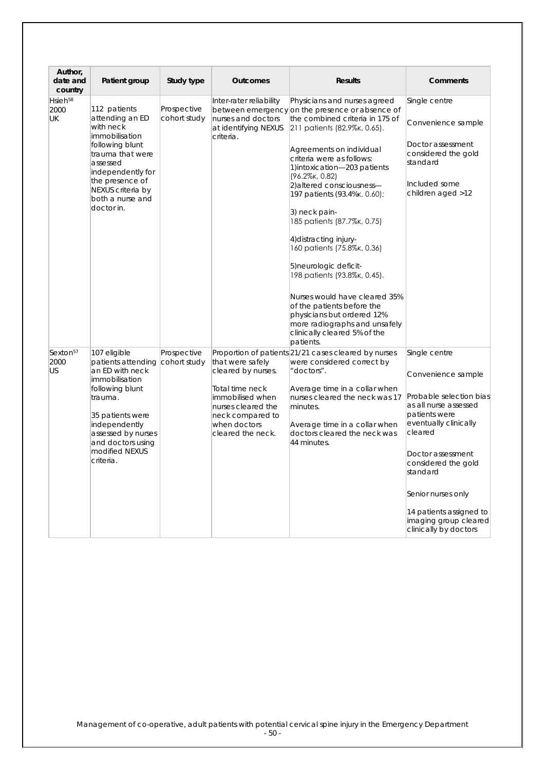| Author,<br>date and<br>country            | Patient group                                                                                                                                                                                                                     | Study type                  | <b>Outcomes</b>                                                                                                                                              | <b>Results</b>                                                                                                                                                                                                                                                                                                                                                                                                                                                                                                                                                                                                                                                            | Comments                                                                                                                                                                                                                                                                                                |
|-------------------------------------------|-----------------------------------------------------------------------------------------------------------------------------------------------------------------------------------------------------------------------------------|-----------------------------|--------------------------------------------------------------------------------------------------------------------------------------------------------------|---------------------------------------------------------------------------------------------------------------------------------------------------------------------------------------------------------------------------------------------------------------------------------------------------------------------------------------------------------------------------------------------------------------------------------------------------------------------------------------------------------------------------------------------------------------------------------------------------------------------------------------------------------------------------|---------------------------------------------------------------------------------------------------------------------------------------------------------------------------------------------------------------------------------------------------------------------------------------------------------|
| Hsieh <sup>58</sup><br>2000<br><b>UK</b>  | 112 patients<br>attending an ED<br>with neck<br>immobilisation<br>following blunt<br>trauma that were<br>assessed<br>independently for<br>the presence of<br>NEXUS criteria by<br>both a nurse and<br>doctor in.                  | Prospective<br>cohort study | Inter-rater reliability<br>nurses and doctors<br>at identifying NEXUS<br>criteria.                                                                           | Physicians and nurses agreed<br>between emergency on the presence or absence of<br>the combined criteria in 175 of<br>211 patients (82.9%, 0.65).<br>Agreements on individual<br>criteria were as follows:<br>1)intoxication-203 patients<br>$(96.2\%$ K, 0.82)<br>2) altered consciousness-<br>197 patients (93.4%k, 0.60);<br>3) neck pain-<br>185 patients (87.7% k, 0.75)<br>4) distracting injury-<br>160 patients (75.8%, 0.36)<br>5) neurologic deficit-<br>198 patients (93.8%, 0.45).<br>Nurses would have cleared 35%<br>of the patients before the<br>physicians but ordered 12%<br>more radiographs and unsafely<br>clinically cleared 5% of the<br>patients. | Single centre<br>Convenience sample<br>Doctor assessment<br>considered the gold<br>standard<br>Included some<br>children aged >12                                                                                                                                                                       |
| Sexton <sup>57</sup><br>2000<br><b>US</b> | 107 eligible<br>patients attending cohort study<br>an ED with neck<br>immobilisation<br>following blunt<br>trauma.<br>35 patients were<br>independently<br>assessed by nurses<br>and doctors using<br>modified NEXUS<br>criteria. | Prospective                 | that were safely<br>cleared by nurses.<br>Total time neck<br>immobilised when<br>nurses cleared the<br>neck compared to<br>when doctors<br>cleared the neck. | Proportion of patients 21/21 cases cleared by nurses<br>were considered correct by<br>"doctors".<br>Average time in a collar when<br>nurses cleared the neck was 17<br>minutes.<br>Average time in a collar when<br>doctors cleared the neck was<br>44 minutes.                                                                                                                                                                                                                                                                                                                                                                                                           | Single centre<br>Convenience sample<br>Probable selection bias<br>as all nurse assessed<br>patients were<br>eventually clinically<br>cleared<br>Doctor assessment<br>considered the gold<br>standard<br>Senior nurses only<br>14 patients assigned to<br>imaging group cleared<br>clinically by doctors |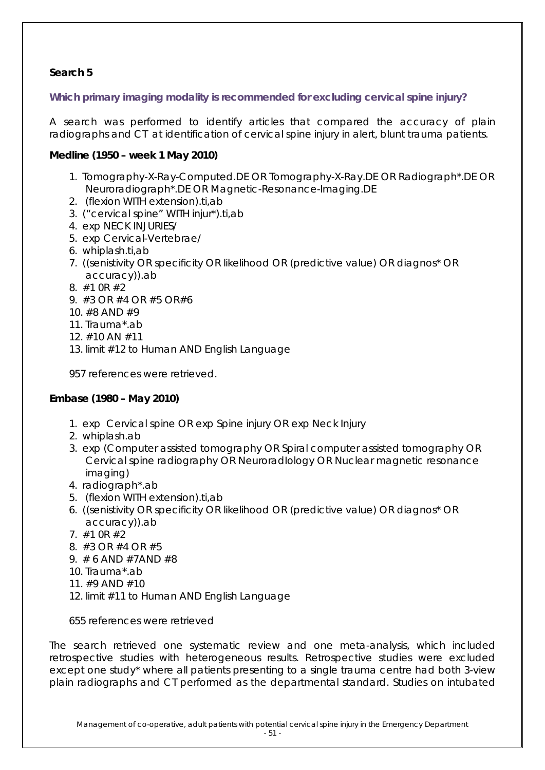### **Search 5**

**Which primary imaging modality is recommended for excluding cervical spine injury?**

A search was performed to identify articles that compared the accuracy of plain radiographs and CT at identification of cervical spine injury in alert, blunt trauma patients.

### *Medline (1950 – week 1 May 2010)*

- 1. Tomography-X-Ray-Computed.DE OR Tomography-X-Ray.DE OR Radiograph\*.DE OR Neuroradiograph\*.DE OR Magnetic-Resonance-Imaging.DE
- 2. (flexion WITH extension).ti,ab
- 3. ("cervical spine" WITH injur\*).ti,ab
- 4. exp NECK INJURIES/
- 5. exp Cervical-Vertebrae/
- 6. whiplash.ti,ab
- 7. ((senistivity OR specificity OR likelihood OR (predictive value) OR diagnos\* OR accuracy)).ab
- 8. #1 0R #2
- 9. #3 OR #4 OR #5 OR#6
- 10. #8 AND #9
- 11. Trauma\*.ab
- 12. #10 AN #11
- 13. limit #12 to Human AND English Language

957 references were retrieved.

### **Embase** *(1980 – May 2010)*

- 1. exp Cervical spine OR exp Spine injury OR exp Neck Injury
- 2. whiplash.ab
- 3. exp (Computer assisted tomography OR Spiral computer assisted tomography OR Cervical spine radiography OR NeuroradIology OR Nuclear magnetic resonance imaging)
- 4. radiograph\*.ab
- 5. (flexion WITH extension).ti,ab
- 6. ((senistivity OR specificity OR likelihood OR (predictive value) OR diagnos\* OR accuracy)).ab
- 7. #1 0R #2
- 8. #3 OR #4 OR #5
- 9. # 6 AND #7AND #8
- 10. Trauma\*.ab
- 11. #9 AND #10
- 12. limit #11 to Human AND English Language

655 references were retrieved

The search retrieved one systematic review and one meta-analysis, which included retrospective studies with heterogeneous results. Retrospective studies were excluded except one study\* where all patients presenting to a single trauma centre had both 3-view plain radiographs and CT performed as the departmental standard. Studies on intubated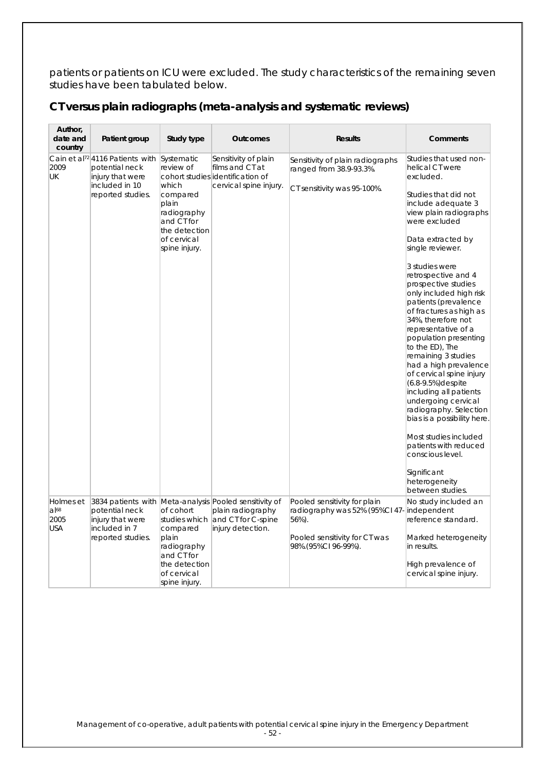patients or patients on ICU were excluded. The study characteristics of the remaining seven studies have been tabulated below.

| CT versus plain radiographs (meta-analysis and systematic reviews) |  |  |
|--------------------------------------------------------------------|--|--|
|--------------------------------------------------------------------|--|--|

| Author,<br>date and<br>country                       | Patient group                                                                                                             | Study type                                                                                                                          | <b>Outcomes</b>                                                                                                        | <b>Results</b>                                                                                                                  | <b>Comments</b>                                                                                                                                                                                                                                                                                                                                                                                                                                                                                                                                                                                                                                                                                                                                                       |
|------------------------------------------------------|---------------------------------------------------------------------------------------------------------------------------|-------------------------------------------------------------------------------------------------------------------------------------|------------------------------------------------------------------------------------------------------------------------|---------------------------------------------------------------------------------------------------------------------------------|-----------------------------------------------------------------------------------------------------------------------------------------------------------------------------------------------------------------------------------------------------------------------------------------------------------------------------------------------------------------------------------------------------------------------------------------------------------------------------------------------------------------------------------------------------------------------------------------------------------------------------------------------------------------------------------------------------------------------------------------------------------------------|
| 2009<br><b>UK</b>                                    | Cain et al <sup>72</sup>  4116 Patients with<br>potential neck<br>injury that were<br>included in 10<br>reported studies. | Systematic<br>review of<br>which<br>compared<br>plain<br>radiography<br>and CT for<br>the detection<br>of cervical<br>spine injury. | Sensitivity of plain<br>films and CT at<br>cohort studies ddentification of<br>cervical spine injury.                  | Sensitivity of plain radiographs<br>ranged from 38.9-93.3%.<br>CT sensitivity was 95-100%.                                      | Studies that used non-<br>helical CT were<br>excluded.<br>Studies that did not<br>include adequate 3<br>view plain radiographs<br>were excluded<br>Data extracted by<br>single reviewer.<br>3 studies were<br>retrospective and 4<br>prospective studies<br>only included high risk<br>patients (prevalence<br>of fractures as high as<br>34%, therefore not<br>representative of a<br>population presenting<br>to the ED), The<br>remaining 3 studies<br>had a high prevalence<br>of cervical spine injury<br>(6.8-9.5%) despite<br>including all patients<br>undergoing cervical<br>radiography. Selection<br>bias is a possibility here.<br>Most studies included<br>patients with reduced<br>conscious level.<br>Significant<br>heterogeneity<br>between studies. |
| Holmes et<br>$a$ <sup>68</sup><br>2005<br><b>USA</b> | potential neck<br>injury that were<br>included in 7<br>reported studies.                                                  | of cohort<br>studies which<br>compared<br>plain<br>radiography<br>and CT for<br>the detection<br>of cervical<br>spine injury.       | 3834 patients with Meta-analysis Pooled sensitivity of<br>plain radiography<br>and CT for C-spine<br>injury detection. | Pooled sensitivity for plain<br>radiography was 52% (95%Cl 47-<br>56%).<br>Pooled sensitivity for CT was<br>98%.(95%CI 96-99%). | No study included an<br>independent<br>reference standard.<br>Marked heterogeneity<br>in results.<br>High prevalence of<br>cervical spine injury.                                                                                                                                                                                                                                                                                                                                                                                                                                                                                                                                                                                                                     |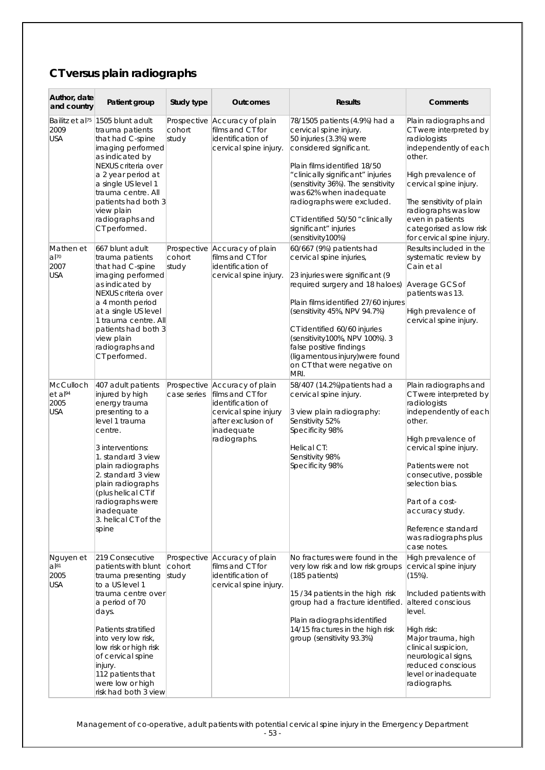# **CT versus plain radiographs**

| Author, date<br>and country                              | Patient group                                                                                                                                                                                                                                                                                              | Study type                     | <b>Outcomes</b>                                                                                                                                     | <b>Results</b>                                                                                                                                                                                                                                                                                                                                                            | Comments                                                                                                                                                                                                                                                                                                               |
|----------------------------------------------------------|------------------------------------------------------------------------------------------------------------------------------------------------------------------------------------------------------------------------------------------------------------------------------------------------------------|--------------------------------|-----------------------------------------------------------------------------------------------------------------------------------------------------|---------------------------------------------------------------------------------------------------------------------------------------------------------------------------------------------------------------------------------------------------------------------------------------------------------------------------------------------------------------------------|------------------------------------------------------------------------------------------------------------------------------------------------------------------------------------------------------------------------------------------------------------------------------------------------------------------------|
| Bailitz et al <sup>75</sup><br>2009<br><b>USA</b>        | 1505 blunt adult<br>trauma patients<br>that had C-spine<br>imaging performed<br>as indicated by<br>NEXUS criteria over<br>a 2 year period at<br>a single US level 1<br>trauma centre. All<br>patients had both 3<br>view plain<br>radiographs and<br>CT performed.                                         | cohort<br>study                | Prospective Accuracy of plain<br>films and CT for<br>identification of<br>cervical spine injury.                                                    | 78/1505 patients (4.9%) had a<br>cervical spine injury.<br>50 injuries (3.3%) were<br>considered significant.<br>Plain films identified 18/50<br>"clinically significant" injuries<br>(sensitivity 36%). The sensitivity<br>was 62% when inadequate<br>radiographs were excluded.<br>CT identified 50/50 "clinically<br>significant" injuries<br>(sensitivity100%)        | Plain radiographs and<br>CT were interpreted by<br>radiologists<br>independently of each<br>other.<br>High prevalence of<br>cervical spine injury.<br>The sensitivity of plain<br>radiographs was low<br>even in patients<br>categorised as low risk<br>for cervical spine injury.                                     |
| Mathen et<br>$a^{170}$<br>2007<br><b>USA</b>             | 667 blunt adult<br>trauma patients<br>that had C-spine<br>imaging performed<br>as indicated by<br>NEXUS criteria over<br>a 4 month period<br>at a single US level<br>1 trauma centre. All<br>patients had both 3<br>view plain<br>radiographs and<br>CT performed.                                         | cohort<br>study                | Prospective Accuracy of plain<br>films and CT for<br>identification of<br>cervical spine injury.                                                    | 60/667 (9%) patients had<br>cervical spine injuries,<br>23 injuries were significant (9<br>required surgery and 18 haloes)<br>Plain films identified 27/60 injures<br>(sensitivity 45%, NPV 94.7%)<br>CT identified 60/60 injuries<br>(sensitivity100%, NPV 100%). 3<br>false positive findings<br>(ligamentous injury) were found<br>on CT that were negative on<br>MRI. | Results included in the<br>systematic review by<br>Cain et al<br>Average GCS of<br>patients was 13.<br>High prevalence of<br>cervical spine injury.                                                                                                                                                                    |
| McCulloch<br>$et$ al <sup>94</sup><br>2005<br><b>USA</b> | 407 adult patients<br>injured by high<br>energy trauma<br>presenting to a<br>level 1 trauma<br>centre.<br>3 interventions:<br>1. standard 3 view<br>plain radiographs<br>2. standard 3 view<br>plain radiographs<br>(plus helical CT if<br>radiographs were<br>inadequate<br>3. helical CT of the<br>spine | case series                    | Prospective Accuracy of plain<br>films and CT for<br>identification of<br>cervical spine injury<br>after exclusion of<br>inadequate<br>radiographs. | 58/407 (14.2%) patients had a<br>cervical spine injury.<br>3 view plain radiography:<br>Sensitivity 52%<br>Specificity 98%<br>Helical CT:<br>Sensitivity 98%<br>Specificity 98%                                                                                                                                                                                           | Plain radiographs and<br>CT were interpreted by<br>radiologists<br>independently of each<br>other.<br>High prevalence of<br>cervical spine injury.<br>Patients were not<br>consecutive, possible<br>selection bias.<br>Part of a cost-<br>accuracy study.<br>Reference standard<br>was radiographs plus<br>case notes. |
| Nguyen et<br>$a$ <sup>81</sup><br>2005<br><b>USA</b>     | 219 Consecutive<br>patients with blunt<br>trauma presenting<br>to a US level 1<br>trauma centre over<br>a period of 70<br>days.<br>Patients stratified<br>into very low risk,<br>low risk or high risk<br>of cervical spine<br>injury.<br>112 patients that<br>were low or high<br>risk had both 3 view    | Prospective<br>cohort<br>study | Accuracy of plain<br>films and CT for<br>identification of<br>cervical spine injury.                                                                | No fractures were found in the<br>very low risk and low risk groups<br>(185 patients)<br>15/34 patients in the high risk<br>group had a fracture identified.<br>Plain radiographs identified<br>14/15 fractures in the high risk<br>group (sensitivity 93.3%)                                                                                                             | High prevalence of<br>cervical spine injury<br>$(15%)$ .<br>Included patients with<br>altered conscious<br>level.<br>High risk:<br>Major trauma, high<br>clinical suspicion,<br>neurological signs,<br>reduced conscious<br>level or inadequate<br>radiographs.                                                        |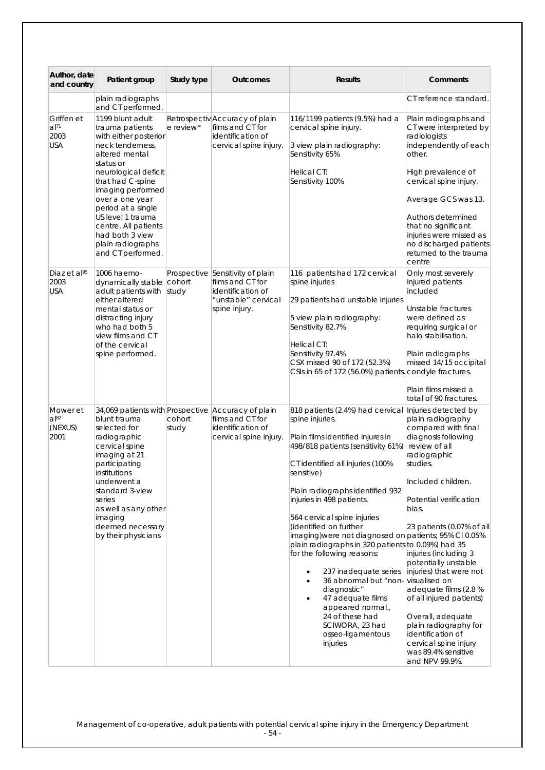| Author, date<br>and country                    | Patient group                                                                                                                                                                                                                                                                                                                       | Study type      | <b>Outcomes</b>                                                                                                   | <b>Results</b>                                                                                                                                                                                                                                                                                                                                                                                                                                                                                                                                                                                                                                 | Comments                                                                                                                                                                                                                                                                                                                                                                                                                                                                                                          |
|------------------------------------------------|-------------------------------------------------------------------------------------------------------------------------------------------------------------------------------------------------------------------------------------------------------------------------------------------------------------------------------------|-----------------|-------------------------------------------------------------------------------------------------------------------|------------------------------------------------------------------------------------------------------------------------------------------------------------------------------------------------------------------------------------------------------------------------------------------------------------------------------------------------------------------------------------------------------------------------------------------------------------------------------------------------------------------------------------------------------------------------------------------------------------------------------------------------|-------------------------------------------------------------------------------------------------------------------------------------------------------------------------------------------------------------------------------------------------------------------------------------------------------------------------------------------------------------------------------------------------------------------------------------------------------------------------------------------------------------------|
|                                                | plain radiographs<br>and CT performed.                                                                                                                                                                                                                                                                                              |                 |                                                                                                                   |                                                                                                                                                                                                                                                                                                                                                                                                                                                                                                                                                                                                                                                | CT reference standard.                                                                                                                                                                                                                                                                                                                                                                                                                                                                                            |
| Griffen et<br>al <sup>71</sup><br>2003<br>USA  | 1199 blunt adult<br>trauma patients<br>with either posterior<br>neck tenderness,<br>altered mental<br>status or<br>neurological deficit<br>that had C-spine<br>imaging performed<br>over a one year<br>period at a single<br>US level 1 trauma<br>centre. All patients<br>had both 3 view<br>plain radiographs<br>and CT performed. | e review*       | Retrospectiv Accuracy of plain<br>films and CT for<br>identification of<br>cervical spine injury.                 | 116/1199 patients (9.5%) had a<br>cervical spine injury.<br>3 view plain radiography:<br>Sensitivity 65%<br>Helical CT:<br>Sensitivity 100%                                                                                                                                                                                                                                                                                                                                                                                                                                                                                                    | Plain radiographs and<br>CT were interpreted by<br>radiologists<br>independently of each<br>other.<br>High prevalence of<br>cervical spine injury.<br>Average GCS was 13.<br>Authors determined<br>that no significant<br>injuries were missed as<br>no discharged patients<br>returned to the trauma<br>centre                                                                                                                                                                                                   |
| Diaz et al <sup>95</sup><br>2003<br><b>USA</b> | 1006 haemo-<br>dynamically stable<br>adult patients with<br>either altered<br>mental status or<br>distracting injury<br>who had both 5<br>view films and CT<br>of the cervical<br>spine performed.                                                                                                                                  | cohort<br>study | Prospective Sensitivity of plain<br>films and CT for<br>identification of<br>"unstable" cervical<br>spine injury. | 116 patients had 172 cervical<br>spine injuries<br>29 patients had unstable injuries<br>5 view plain radiography:<br>Sensitivity 82.7%<br>Helical CT:<br>Sensitivity 97.4%<br>CSX missed 90 of 172 (52.3%)<br>CSIs in 65 of 172 (56.0%) patients. condyle fractures.                                                                                                                                                                                                                                                                                                                                                                           | Only most severely<br>injured patients<br>included<br>Unstable fractures<br>were defined as<br>requiring surgical or<br>halo stabilisation.<br>Plain radiographs<br>missed 14/15 occipital<br>Plain films missed a<br>total of 90 fractures.                                                                                                                                                                                                                                                                      |
| Mower et<br>a 82<br>(NEXUS)<br>2001            | 34,069 patients with Prospective Accuracy of plain<br>blunt trauma<br>selected for<br>radiographic<br>cervical spine<br>imaging at 21<br>participating<br>institutions<br>underwent a<br>standard 3-view<br>series<br>as well as any other<br>imaging<br>deemed necessary<br>by their physicians                                    | cohort<br>study | films and CT for<br>identification of<br>cervical spine injury.                                                   | 818 patients (2.4%) had cervical<br>spine injuries.<br>Plain films identified injures in<br>498/818 patients (sensitivity 61%)<br>CT identified all injuries (100%<br>sensitive)<br>Plain radiographs identified 932<br>injuries in 498 patients.<br>564 cervical spine injuries<br>(identified on further<br>imaging) were not diagnosed on patients; 95% CI 0.05%<br>plain radiographs in 320 patients to 0.09%) had 35<br>for the following reasons:<br>237 inadequate series<br>36 abnormal but "non-<br>٠<br>diagnostic"<br>47 adequate films<br>appeared normal.,<br>24 of these had<br>SCIWORA, 23 had<br>osseo-ligamentous<br>injuries | Injuries detected by<br>plain radiography<br>compared with final<br>diagnosis following<br>review of all<br>radiographic<br>studies.<br>Included children.<br>Potential verification<br>bias.<br>23 patients (0.07% of all<br>injuries (including 3<br>potentially unstable<br>injuries) that were not<br>visualised on<br>adequate films (2.8 %<br>of all injured patients)<br>Overall, adequate<br>plain radiography for<br>identification of<br>cervical spine injury<br>was 89.4% sensitive<br>and NPV 99.9%. |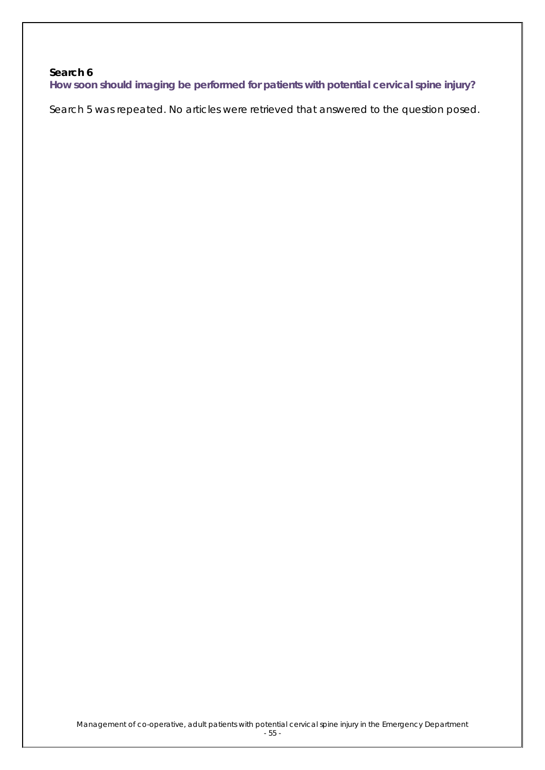### **Search 6**

**How soon should imaging be performed for patients with potential cervical spine injury?**

Search 5 was repeated. No articles were retrieved that answered to the question posed.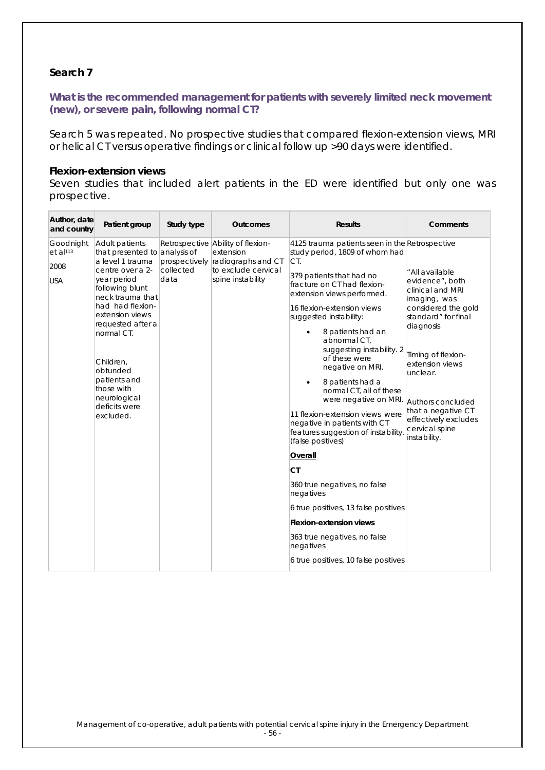### **Search 7**

#### **What is the recommended management for patients with severely limited neck movement (new), or severe pain, following normal CT?**

Search 5 was repeated. No prospective studies that compared flexion-extension views, MRI or helical CT versus operative findings or clinical follow up >90 days were identified.

#### **Flexion-extension views**

Seven studies that included alert patients in the ED were identified but only one was prospective.

| Author, date<br>and country                               | Patient group                                                                                                                                                                                                                                                                                                                | Study type                         | <b>Outcomes</b>                                                                                                  | <b>Results</b>                                                                                                                                                                                                                                                                                                                                                                                                                                                                                                                                                                                                                                                                                                                                                                             | Comments                                                                                                                                                                                                                                                                                    |
|-----------------------------------------------------------|------------------------------------------------------------------------------------------------------------------------------------------------------------------------------------------------------------------------------------------------------------------------------------------------------------------------------|------------------------------------|------------------------------------------------------------------------------------------------------------------|--------------------------------------------------------------------------------------------------------------------------------------------------------------------------------------------------------------------------------------------------------------------------------------------------------------------------------------------------------------------------------------------------------------------------------------------------------------------------------------------------------------------------------------------------------------------------------------------------------------------------------------------------------------------------------------------------------------------------------------------------------------------------------------------|---------------------------------------------------------------------------------------------------------------------------------------------------------------------------------------------------------------------------------------------------------------------------------------------|
| Goodnight<br>$et$ al <sup>113</sup><br>2008<br><b>USA</b> | Adult patients<br>that presented to analysis of<br>a level 1 trauma<br>centre over a 2-<br>year period<br>following blunt<br>neck trauma that<br>had had flexion-<br>extension views<br>requested after a<br>normal CT.<br>Children,<br>obtunded<br>patients and<br>those with<br>neurological<br>deficits were<br>excluded. | prospectively<br>collected<br>data | Retrospective Ability of flexion-<br>extension<br>radiographs and CT<br>to exclude cervical<br>spine instability | 4125 trauma patients seen in the Retrospective<br>study period, 1809 of whom had<br>CT.<br>379 patients that had no<br>fracture on CT had flexion-<br>extension views performed.<br>16 flexion-extension views<br>suggested instability:<br>8 patients had an<br>abnormal CT,<br>suggesting instability. 2<br>of these were<br>negative on MRI.<br>8 patients had a<br>normal CT, all of these<br>were negative on MRI.<br>11 flexion-extension views were<br>negative in patients with CT<br>features suggestion of instability.<br>(false positives)<br>Overall<br><b>CT</b><br>360 true negatives, no false<br>negatives<br>6 true positives, 13 false positives<br><b>Flexion-extension views</b><br>363 true negatives, no false<br>negatives<br>6 true positives, 10 false positives | " All available<br>evidence", both<br>clinical and MRI<br>imaging, was<br>considered the gold<br>standard" for final<br>diagnosis<br>Timing of flexion-<br>extension views<br>unclear.<br>Authors concluded<br>that a negative CT<br>effectively excludes<br>cervical spine<br>instability. |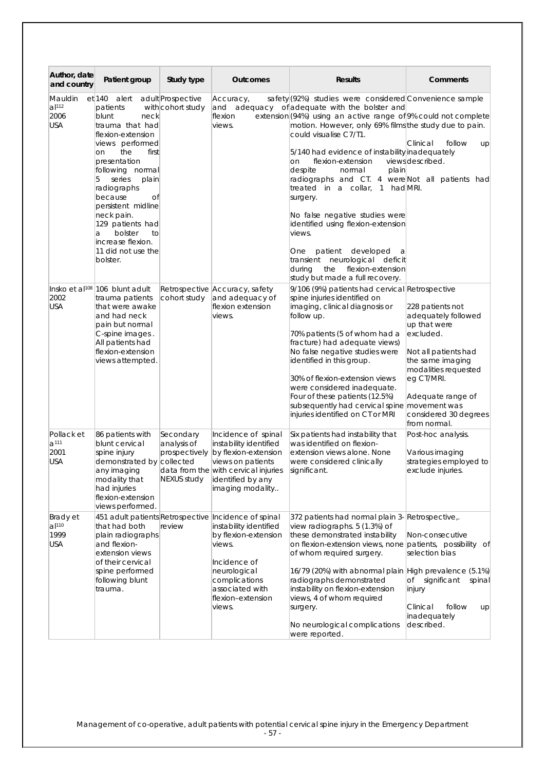| Author, date<br>and country                          | Patient group                                                                                                                                                                                                                                                                                                                                               | Study type                                               | <b>Outcomes</b>                                                                                                                                                                                                     | <b>Results</b>                                                                                                                                                                                                                                                                                                                                                                                                                                                                                                                                                                                                                                                                                            | Comments                                                                                                                                                                                                             |
|------------------------------------------------------|-------------------------------------------------------------------------------------------------------------------------------------------------------------------------------------------------------------------------------------------------------------------------------------------------------------------------------------------------------------|----------------------------------------------------------|---------------------------------------------------------------------------------------------------------------------------------------------------------------------------------------------------------------------|-----------------------------------------------------------------------------------------------------------------------------------------------------------------------------------------------------------------------------------------------------------------------------------------------------------------------------------------------------------------------------------------------------------------------------------------------------------------------------------------------------------------------------------------------------------------------------------------------------------------------------------------------------------------------------------------------------------|----------------------------------------------------------------------------------------------------------------------------------------------------------------------------------------------------------------------|
| Mauldin<br>$a$  112<br>2006<br><b>USA</b>            | et 140 alert<br>patients<br>blunt<br>neck<br>trauma that had<br>flexion-extension<br>views performed<br>the<br>first<br>on<br>presentation<br>following normal<br>5<br>series<br>plain<br>radiographs<br>because<br>Οľ<br>persistent midline<br>neck pain.<br>129 patients had<br>bolster<br>to<br>a<br>increase flexion.<br>11 did not use the<br>bolster. | adult Prospective<br>with cohort study                   | Accuracy,<br>flexion<br>views.                                                                                                                                                                                      | safety (92%) studies were considered Convenience sample<br>and adequacy of adequate with the bolster and<br>extension (94%) using an active range of 9% could not complete<br>motion. However, only 69% films the study due to pain.<br>could visualise C7/T1.<br>5/140 had evidence of instability inadequately<br>flexion-extension<br>on<br>despite<br>normal<br>plain<br>radiographs and CT. 4 were Not all patients had<br>treated in a collar. 1 had MRI.<br>surgery.<br>No false negative studies were<br>identified using flexion-extension<br>views.<br>patient developed<br>One<br>a<br>transient neurological deficit<br>flexion-extension<br>durina<br>the<br>study but made a full recovery. | Clinical<br>follow<br>up<br>viewsdescribed.                                                                                                                                                                          |
| 2002<br><b>USA</b>                                   | Insko et al <sup>108</sup> 106 blunt adult<br>trauma patients<br>that were awake<br>and had neck<br>pain but normal<br>C-spine images.<br>All patients had<br>flexion-extension<br>views attempted.                                                                                                                                                         | cohort study                                             | Retrospective Accuracy, safety<br>and adequacy of<br>flexion extension<br>views.                                                                                                                                    | 9/106 (9%) patients had cervical Retrospective<br>spine injuries identified on<br>imaging, clinical diagnosis or<br>follow up.<br>70% patients (5 of whom had a<br>fracture) had adequate views)<br>No false negative studies were<br>identified in this group.<br>30% of flexion-extension views<br>were considered inadequate.<br>Four of these patients (12.5%)<br>subsequently had cervical spine movement was<br>injuries identified on CT or MRI                                                                                                                                                                                                                                                    | 228 patients not<br>adequately followed<br>up that were<br>excluded.<br>Not all patients had<br>the same imaging<br>modalities requested<br>eg CT/MRI.<br>Adequate range of<br>considered 30 degrees<br>from normal. |
| Pollack et<br>a <sup>111</sup><br>2001<br><b>USA</b> | 86 patients with<br>blunt cervical<br>spine injury<br>demonstrated by collected<br>any imaging<br>modality that<br>had injuries<br>flexion-extension<br>views performed.                                                                                                                                                                                    | Secondary<br>analysis of<br>prospectively<br>NEXUS study | Incidence of spinal<br>instability identified<br>by flexion-extension<br>views on patients<br>data from the with cervical injuries<br>identified by any<br>imaging modality                                         | Six patients had instability that<br>was identified on flexion-<br>extension views alone. None<br>were considered clinically<br>significant.                                                                                                                                                                                                                                                                                                                                                                                                                                                                                                                                                              | Post-hoc analysis.<br>Various imaging<br>strategies employed to<br>exclude injuries.                                                                                                                                 |
| Brady et<br>al <sup>110</sup><br>1999<br><b>USA</b>  | that had both<br>plain radiographs<br>and flexion-<br>extension views<br>of their cervical<br>spine performed<br>following blunt<br>trauma.                                                                                                                                                                                                                 | review                                                   | 451 adult patients Retrospective Incidence of spinal<br>instability identified<br>by flexion-extension<br>views.<br>Incidence of<br>neurological<br>complications<br>associated with<br>flexion-extension<br>views. | 372 patients had normal plain 3- Retrospective,.<br>view radiographs. 5 (1.3%) of<br>these demonstrated instability<br>on flexion-extension views, none patients, possibility of<br>of whom required surgery.<br>16/79 (20%) with abnormal plain High prevalence (5.1%)<br>radiographs demonstrated<br>instability on flexion-extension<br>views, 4 of whom required<br>surgery.<br>No neurological complications<br>were reported.                                                                                                                                                                                                                                                                       | Non-consecutive<br>selection bias<br>of<br>significant<br>spinal<br>injury<br>follow<br>Clinical<br>up<br>inadequately<br>described.                                                                                 |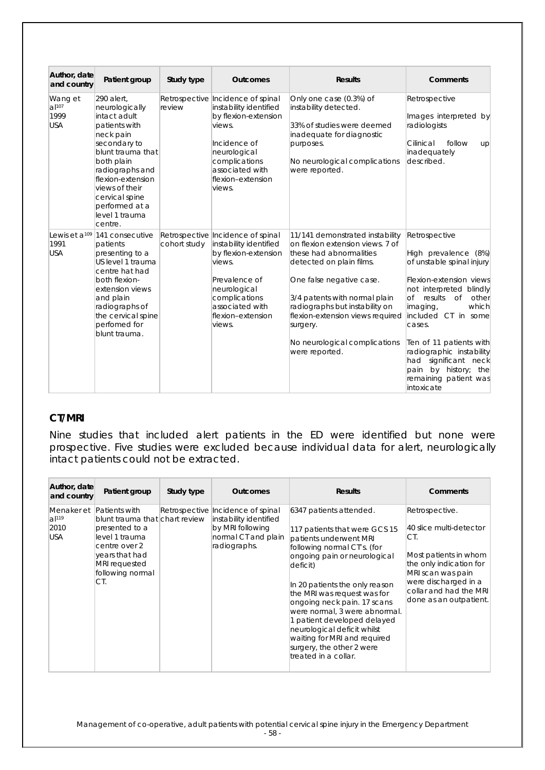| Author, date<br>and country               | Patient group                                                                                                                                                                                                                                            | Study type   | <b>Outcomes</b>                                                                                                                                                                                   | <b>Results</b>                                                                                                                                                                                                                                                                                                               | <b>Comments</b>                                                                                                                                                                                                                                                                                                                                                         |
|-------------------------------------------|----------------------------------------------------------------------------------------------------------------------------------------------------------------------------------------------------------------------------------------------------------|--------------|---------------------------------------------------------------------------------------------------------------------------------------------------------------------------------------------------|------------------------------------------------------------------------------------------------------------------------------------------------------------------------------------------------------------------------------------------------------------------------------------------------------------------------------|-------------------------------------------------------------------------------------------------------------------------------------------------------------------------------------------------------------------------------------------------------------------------------------------------------------------------------------------------------------------------|
| Wang et<br>$a$  107<br>1999<br><b>USA</b> | 290 alert.<br>neurologically<br>intact adult<br>patients with<br>neck pain<br>secondary to<br>blunt trauma that<br>both plain<br>radiographs and<br>flexion-extension<br>views of their<br>cervical spine<br>performed at a<br>level 1 trauma<br>centre. | review       | Retrospective Incidence of spinal<br>instability identified<br>by flexion-extension<br>views.<br>Incidence of<br>neurological<br>complications<br>associated with<br>flexion-extension<br>views.  | Only one case (0.3%) of<br>instability detected.<br>33% of studies were deemed<br>inadequate for diagnostic<br>purposes.<br>No neurological complications<br>were reported.                                                                                                                                                  | Retrospective<br>Images interpreted by<br>radiologists<br>Cilinical<br>follow<br>up<br>inadequately<br>described.                                                                                                                                                                                                                                                       |
| 1991<br><b>USA</b>                        | Lewis et a <sup>109</sup> 141 consecutive<br>patients<br>presenting to a<br>US level 1 trauma<br>centre hat had<br>both flexion-<br>extension views<br>and plain<br>radiographs of<br>the cervical spine<br>perfomed for<br>blunt trauma.                | cohort study | Retrospective Incidence of spinal<br>instability identified<br>by flexion-extension<br>views.<br>Prevalence of<br>neurological<br>complications<br>associated with<br>flexion-extension<br>views. | 11/141 demonstrated instability<br>on flexion extension views. 7 of<br>these had abnormalities<br>detected on plain films.<br>One false negative case.<br>3/4 patents with normal plain<br>radiographs but instability on<br>flexion-extension views required<br>surgery.<br>No neurological complications<br>were reported. | Retrospective<br>High prevalence (8%)<br>of unstable spinal injury<br>Flexion-extension views<br>not interpreted blindly<br>of results<br>$\circ$ of<br>other<br>which<br>imaging,<br>included CT in some<br>cases.<br>Ten of 11 patients with<br>radiographic instability<br>significant neck<br>had<br>by history; the<br>pain<br>remaining patient was<br>intoxicate |

### **CT/MRI**

Nine studies that included alert patients in the ED were identified but none were prospective. Five studies were excluded because individual data for alert, neurologically intact patients could not be extracted.

| Author, date<br>and country                                | Patient group                                                                                                                                     | Study type | <b>Outcomes</b>                                                                                                        | <b>Results</b>                                                                                                                                                                                                                                                                                                                                                                                                                                    | Comments                                                                                                                                                                                              |
|------------------------------------------------------------|---------------------------------------------------------------------------------------------------------------------------------------------------|------------|------------------------------------------------------------------------------------------------------------------------|---------------------------------------------------------------------------------------------------------------------------------------------------------------------------------------------------------------------------------------------------------------------------------------------------------------------------------------------------------------------------------------------------------------------------------------------------|-------------------------------------------------------------------------------------------------------------------------------------------------------------------------------------------------------|
| Menaker et Patients with<br>$a$  119<br>2010<br><b>USA</b> | blunt trauma that chart review<br>presented to a<br>level 1 trauma<br>centre over 2<br>years that had<br>MRI requested<br>following normal<br>CT. |            | Retrospective Incidence of spinal<br>instability identified<br>by MRI following<br>normal CT and plain<br>radiographs. | 6347 patients attended.<br>117 patients that were GCS 15<br>patients underwent MRI<br>following normal CT's. (for<br>ongoing pain or neurological<br>deficit)<br>In 20 patients the only reason<br>the MRI was request was for<br>ongoing neck pain. 17 scans<br>were normal, 3 were abnormal.<br>1 patient developed delayed<br>neurological deficit whilst<br>waiting for MRI and required<br>surgery, the other 2 were<br>treated in a collar. | Retrospective.<br>40 slice multi-detector<br>CT.<br>Most patients in whom<br>the only indication for<br>MRI scan was pain<br>were discharged in a<br>collar and had the MRI<br>done as an outpatient. |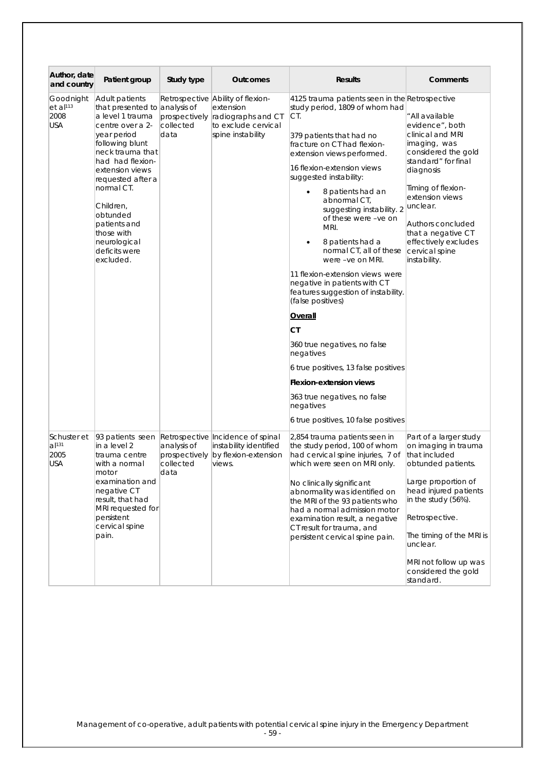| Author, date<br>and country                               | Patient group                                                                                                                                                                                                                                                                                                                | Study type                                        | <b>Outcomes</b>                                                                                                  | <b>Results</b>                                                                                                                                                                                                                                                                                                                                                                                                                                                                                                                                                                                                                                                                                                                                                                         | Comments                                                                                                                                                                                                                                                                                    |
|-----------------------------------------------------------|------------------------------------------------------------------------------------------------------------------------------------------------------------------------------------------------------------------------------------------------------------------------------------------------------------------------------|---------------------------------------------------|------------------------------------------------------------------------------------------------------------------|----------------------------------------------------------------------------------------------------------------------------------------------------------------------------------------------------------------------------------------------------------------------------------------------------------------------------------------------------------------------------------------------------------------------------------------------------------------------------------------------------------------------------------------------------------------------------------------------------------------------------------------------------------------------------------------------------------------------------------------------------------------------------------------|---------------------------------------------------------------------------------------------------------------------------------------------------------------------------------------------------------------------------------------------------------------------------------------------|
| Goodnight<br>$et$ al <sup>113</sup><br>2008<br><b>USA</b> | Adult patients<br>that presented to analysis of<br>a level 1 trauma<br>centre over a 2-<br>year period<br>following blunt<br>neck trauma that<br>had had flexion-<br>extension views<br>requested after a<br>normal CT.<br>Children,<br>obtunded<br>patients and<br>those with<br>neurological<br>deficits were<br>excluded. | prospectively<br>collected<br>data                | Retrospective Ability of flexion-<br>extension<br>radiographs and CT<br>to exclude cervical<br>spine instability | 4125 trauma patients seen in the Retrospective<br>study period, 1809 of whom had<br>CT.<br>379 patients that had no<br>fracture on CT had flexion-<br>extension views performed.<br>16 flexion-extension views<br>suggested instability:<br>8 patients had an<br>$\bullet$<br>abnormal CT,<br>suggesting instability. 2<br>of these were -ve on<br>MRI.<br>8 patients had a<br>normal CT, all of these<br>were -ve on MRI.<br>11 flexion-extension views were<br>negative in patients with CT<br>features suggestion of instability.<br>(false positives)<br>Overall<br>СT<br>360 true negatives, no false<br>negatives<br>6 true positives, 13 false positives<br><b>Flexion-extension views</b><br>363 true negatives, no false<br>negatives<br>6 true positives, 10 false positives | " All available<br>evidence", both<br>clinical and MRI<br>imaging, was<br>considered the gold<br>standard" for final<br>diagnosis<br>Timing of flexion-<br>extension views<br>unclear.<br>Authors concluded<br>that a negative CT<br>effectively excludes<br>cervical spine<br>instability. |
| Schuster et<br>$a$  131<br>2005<br><b>USA</b>             | 93 patients seen<br>in a level 2<br>trauma centre<br>with a normal<br>motor<br>examination and<br>negative CT<br>result, that had<br>MRI requested for<br>persistent<br>cervical spine<br>pain.                                                                                                                              | analysis of<br>prospectively<br>collected<br>data | Retrospective Incidence of spinal<br>instability identified<br>by flexion-extension<br>views.                    | 2,854 trauma patients seen in<br>the study period, 100 of whom<br>had cervical spine injuries, 7 of<br>which were seen on MRI only.<br>No clinically significant<br>abnormality was identified on<br>the MRI of the 93 patients who<br>had a normal admission motor<br>examination result, a negative<br>CT result for trauma, and<br>persistent cervical spine pain.                                                                                                                                                                                                                                                                                                                                                                                                                  | Part of a larger study<br>on imaging in trauma<br>that included<br>obtunded patients.<br>Large proportion of<br>head injured patients<br>in the study (56%).<br>Retrospective.<br>The timing of the MRI is<br>unclear.<br>MRI not follow up was<br>considered the gold<br>standard.         |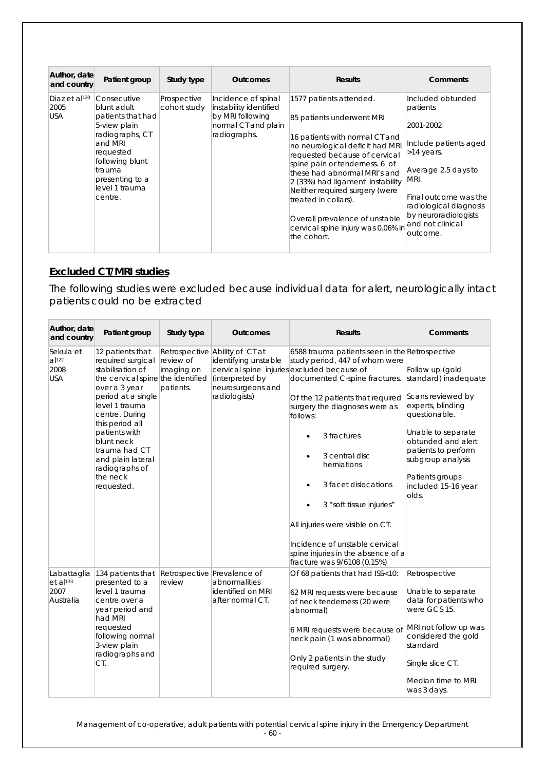| Author, date<br>and country                     | Patient group                                                                                                                                                                            | Study type                  | <b>Outcomes</b>                                                                                          | <b>Results</b>                                                                                                                                                                                                                                                                                                                                                                                                    | Comments                                                                                                                                                                                                                     |
|-------------------------------------------------|------------------------------------------------------------------------------------------------------------------------------------------------------------------------------------------|-----------------------------|----------------------------------------------------------------------------------------------------------|-------------------------------------------------------------------------------------------------------------------------------------------------------------------------------------------------------------------------------------------------------------------------------------------------------------------------------------------------------------------------------------------------------------------|------------------------------------------------------------------------------------------------------------------------------------------------------------------------------------------------------------------------------|
| Diaz et al <sup>120</sup><br>2005<br><b>USA</b> | Consecutive<br>blunt adult.<br>patients that had<br>5-view plain<br>radiographs, CT<br>and MRI<br>requested<br>following blunt<br>trauma<br>presenting to a<br>level 1 trauma<br>centre. | Prospective<br>cohort study | Incidence of spinal<br>instability identified<br>by MRI following<br>normal CT and plain<br>radiographs. | 1577 patients attended.<br>85 patients underwent MRI<br>16 patients with normal CT and<br>no neurological deficit had MRI<br>requested because of cervical<br>spine pain or tenderness. 6 of<br>these had abnormal MRI's and<br>2 (33%) had ligament instability<br>Neither required surgery (were<br>treated in collars).<br>Overall prevalence of unstable<br>cervical spine injury was 0.06% in<br>the cohort. | Included obtunded<br>patients<br>2001-2002<br>Include patients aged<br>>14 years.<br>Average 2.5 days to<br>MRI.<br>Final outcome was the<br>radiological diagnosis<br>by neuroradiologists<br>and not clinical<br>loutcome. |

### **Excluded CT/MRI studies**

The following studies were excluded because individual data for alert, neurologically intact patients could no be extracted

| Author, date<br>and country                                | Patient group                                                                                                                                                                                                                                                                                                 | Study type                           | <b>Outcomes</b>                                                                                                 | <b>Results</b>                                                                                                                                                                                                                                                                                                                                                                                                                                                                                                        | <b>Comments</b>                                                                                                                                                                                                       |
|------------------------------------------------------------|---------------------------------------------------------------------------------------------------------------------------------------------------------------------------------------------------------------------------------------------------------------------------------------------------------------|--------------------------------------|-----------------------------------------------------------------------------------------------------------------|-----------------------------------------------------------------------------------------------------------------------------------------------------------------------------------------------------------------------------------------------------------------------------------------------------------------------------------------------------------------------------------------------------------------------------------------------------------------------------------------------------------------------|-----------------------------------------------------------------------------------------------------------------------------------------------------------------------------------------------------------------------|
| Sekula et<br>al <sup>122</sup><br>2008<br><b>USA</b>       | 12 patients that<br>required surgical<br>stabilisation of<br>the cervical spine the identified<br>over a 3 year<br>period at a single<br>level 1 trauma<br>centre. During<br>this period all<br>patients with<br>blunt neck<br>trauma had CT<br>and plain lateral<br>radiographs of<br>the neck<br>requested. | review of<br>imaging on<br>patients. | Retrospective Ability of CT at<br>identifying unstable<br>(interpreted by<br>neurosurgeons and<br>radiologists) | 6588 trauma patients seen in the Retrospective<br>study period, 447 of whom were<br>cervical spine injuries excluded because of<br>documented C-spine fractures. standard) inadequate<br>Of the 12 patients that required<br>surgery the diagnoses were as<br>follows:<br>3 fractures<br>3 central disc<br>herniations<br>3 facet dislocations<br>3 "soft tissue injuries"<br>All injuries were visible on CT.<br>Incidence of unstable cervical<br>spine injuries in the absence of a<br>fracture was 9/6108 (0.15%) | Follow up (gold<br>Scans reviewed by<br>experts, blinding<br>questionable.<br>Unable to separate<br>obtunded and alert<br>patients to perform<br>subgroup analysis<br>Patients groups<br>included 15-16 year<br>olds. |
| Labattaglia<br>$et$ al <sup>133</sup><br>2007<br>Australia | 134 patients that Retrospective Prevalence of<br>presented to a<br>level 1 trauma<br>centre over a<br>year period and<br>had MRI<br>requested<br>following normal<br>3-view plain<br>radiographs and<br>CT.                                                                                                   | review                               | abnormalities<br>identified on MRI<br>after normal CT.                                                          | Of 68 patients that had ISS<10:<br>62 MRI requests were because<br>of neck tenderness (20 were<br>abnormal)<br>6 MRI requests were because of<br>neck pain (1 was abnormal)<br>Only 2 patients in the study<br>required surgery.                                                                                                                                                                                                                                                                                      | Retrospective<br>Unable to separate<br>data for patients who<br>were GCS 15.<br>MRI not follow up was<br>considered the gold<br>standard<br>Single slice CT.<br>Median time to MRI<br>was 3 days.                     |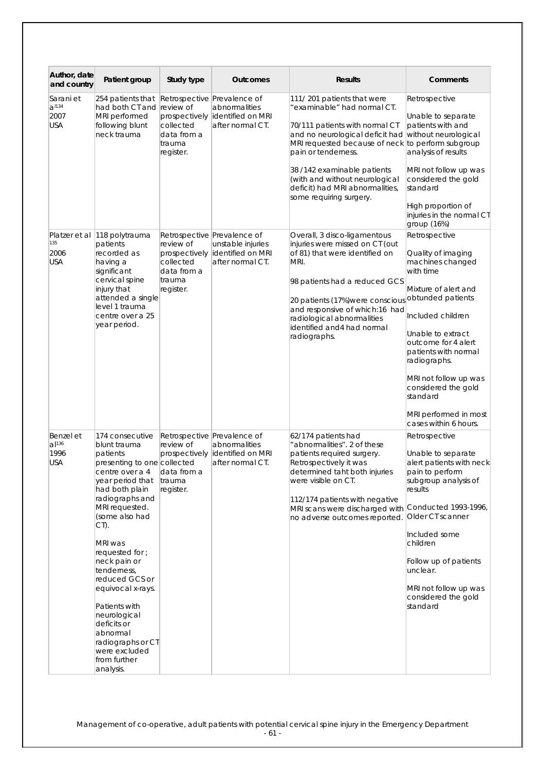| Author, date<br>and country                   | Patient group                                                                                                                                                                                                                                                                                                                                                                                                                         | Study type                                                                                                   | <b>Outcomes</b>                                                                           | <b>Results</b>                                                                                                                                                                                                                                                                                                                            | Comments                                                                                                                                                                                                                                                                                                                                 |
|-----------------------------------------------|---------------------------------------------------------------------------------------------------------------------------------------------------------------------------------------------------------------------------------------------------------------------------------------------------------------------------------------------------------------------------------------------------------------------------------------|--------------------------------------------------------------------------------------------------------------|-------------------------------------------------------------------------------------------|-------------------------------------------------------------------------------------------------------------------------------------------------------------------------------------------------------------------------------------------------------------------------------------------------------------------------------------------|------------------------------------------------------------------------------------------------------------------------------------------------------------------------------------------------------------------------------------------------------------------------------------------------------------------------------------------|
| Sarani et<br>a <sup>1134</sup><br>2007<br>USA | 254 patients that<br>had both CT and<br>MRI performed<br>following blunt<br>neck trauma                                                                                                                                                                                                                                                                                                                                               | Retrospective Prevalence of<br>review of<br>prospectively<br>collected<br>data from a<br>trauma<br>register. | abnormalities<br>identified on MRI<br>after normal CT.                                    | 111/201 patients that were<br>"examinable" had normal CT.<br>70/111 patients with normal CT<br>and no neurological deficit had<br>MRI requested because of neck to perform subgroup<br>pain or tenderness.<br>38 /142 examinable patients<br>(with and without neurological<br>deficit) had MRI abnormalities,<br>some requiring surgery. | Retrospective<br>Unable to separate<br>patients with and<br>without neurological<br>analysis of results<br>MRI not follow up was<br>considered the gold<br>standard<br>High proportion of<br>injuries in the normal CT<br>group (16%)                                                                                                    |
| Platzer et al<br>135<br>2006<br><b>USA</b>    | 118 polytrauma<br>patients<br>recorded as<br>having a<br>significant<br>cervical spine<br>injury that<br>attended a single<br>level 1 trauma<br>centre over a 25<br>year period.                                                                                                                                                                                                                                                      | review of<br>prospectively<br>collected<br>data from a<br>trauma<br>register.                                | Retrospective Prevalence of<br>unstable injuries<br>identified on MRI<br>after normal CT. | Overall, 3 disco-ligamentous<br>injuries were missed on CT (out<br>of 81) that were identified on<br>MRI.<br>98 patients had a reduced GCS<br>20 patients (17%) were conscious<br>and responsive of which:16 had<br>radiological abnormalities<br>identified and 4 had normal<br>radiographs.                                             | Retrospective<br>Quality of imaging<br>machines changed<br>with time<br>Mixture of alert and<br>obtunded patients<br>Included children<br>Unable to extract<br>outcome for 4 alert<br>patients with normal<br>radiographs.<br>MRI not follow up was<br>considered the gold<br>standard<br>MRI performed in most<br>cases within 6 hours. |
| Benzel et<br>al <sup>136</sup><br>1996<br>USA | 174 consecutive<br>blunt trauma<br>patients<br>presenting to one collected<br>centre over a 4<br>year period that<br>had both plain<br>radiographs and<br>MRI requested.<br>(some also had<br>CT).<br>MRI was<br>requested for ;<br>neck pain or<br>tenderness,<br>reduced GCS or<br>equivocal x-rays.<br>Patients with<br>neurological<br>deficits or<br>abnormal<br>radiographs or CT<br>were excluded<br>from further<br>analysis. | review of<br>prospectively<br>data from a<br>trauma<br>register.                                             | Retrospective Prevalence of<br>abnormalities<br>identified on MRI<br>after normal CT.     | 62/174 patients had<br>"abnormalities". 2 of these<br>patients required surgery.<br>Retrospectively it was<br>determined taht both injuries<br>were visible on CT.<br>112/174 patients with negative<br>MRI scans were discharged with Conducted 1993-1996,<br>no adverse outcomes reported.                                              | Retrospective<br>Unable to separate<br>alert patients with neck<br>pain to perform<br>subgroup analysis of<br>results<br>Older CT scanner<br>Included some<br>children<br>Follow up of patients<br>unclear.<br>MRI not follow up was<br>considered the gold<br>standard                                                                  |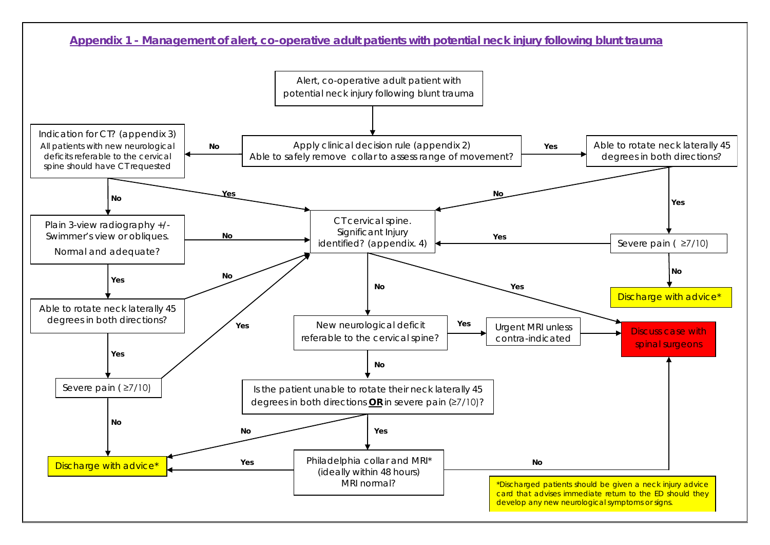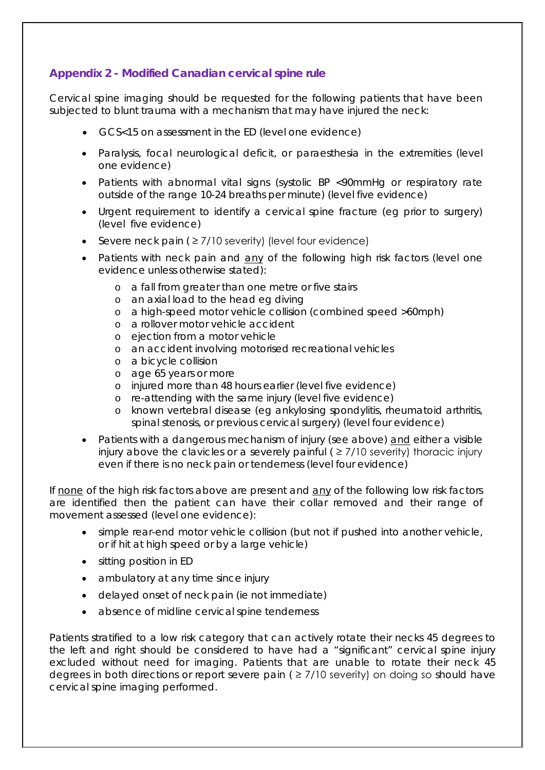### **Appendix 2 - Modified Canadian cervical spine rule**

Cervical spine imaging should be requested for the following patients that have been subjected to blunt trauma with a mechanism that may have injured the neck:

- GCS<15 on assessment in the ED (level one evidence)
- Paralysis, focal neurological deficit, or paraesthesia in the extremities (level one evidence)
- Patients with abnormal vital signs (systolic BP <90mmHg or respiratory rate outside of the range 10-24 breaths per minute) (level five evidence)
- Urgent requirement to identify a cervical spine fracture (eg prior to surgery) (level five evidence)
- Severe neck pain ( $\geq$  7/10 severity) (level four evidence)
- Patients with neck pain and any of the following high risk factors (level one evidence unless otherwise stated):
	- o a fall from greater than one metre or five stairs
	- o an axial load to the head eg diving
	- o a high-speed motor vehicle collision (combined speed >60mph)
	- o a rollover motor vehicle accident
	- o ejection from a motor vehicle
	- o an accident involving motorised recreational vehicles
	- o a bicycle collision
	- o age 65 years or more
	- o injured more than 48 hours earlier (level five evidence)
	- o re-attending with the same injury (level five evidence)
	- o known vertebral disease (eg ankylosing spondylitis, rheumatoid arthritis, spinal stenosis, or previous cervical surgery) (level four evidence)
- Patients with a dangerous mechanism of injury (see above) and either a visible injury above the clavicles or a severely painful  $($   $\geq$  7/10 severity) thoracic injury even if there is no neck pain or tenderness (level four evidence)

If none of the high risk factors above are present and any of the following low risk factors are identified then the patient can have their collar removed and their range of movement assessed (level one evidence):

- simple rear-end motor vehicle collision (but not if pushed into another vehicle, or if hit at high speed or by a large vehicle)
- sitting position in ED
- ambulatory at any time since injury
- delayed onset of neck pain (ie not immediate)
- absence of midline cervical spine tenderness

Patients stratified to a low risk category that can actively rotate their necks 45 degrees to the left and right should be considered to have had a "significant" cervical spine injury excluded without need for imaging. Patients that are unable to rotate their neck 45 degrees in both directions or report severe pain ( $\geq$  7/10 severity) on doing so should have cervical spine imaging performed.